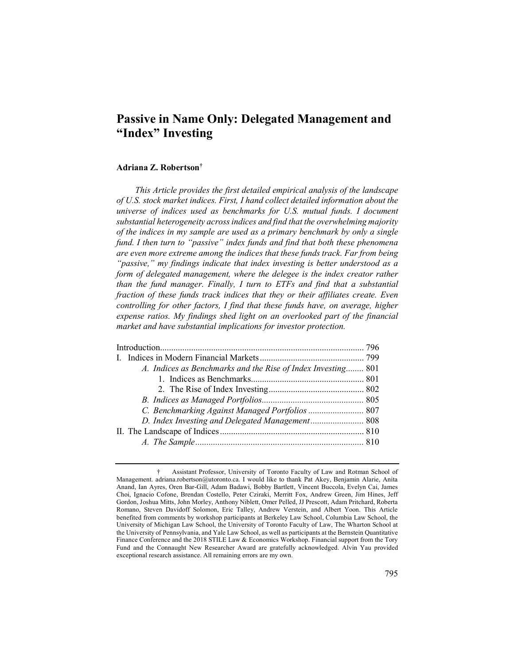# **Passive in Name Only: Delegated Management and "Index" Investing**

## **Adriana Z. Robertson†**

*This Article provides the first detailed empirical analysis of the landscape of U.S. stock market indices. First, I hand collect detailed information about the universe of indices used as benchmarks for U.S. mutual funds. I document substantial heterogeneity across indices and find that the overwhelming majority of the indices in my sample are used as a primary benchmark by only a single fund. I then turn to "passive" index funds and find that both these phenomena are even more extreme among the indices that these funds track. Far from being "passive," my findings indicate that index investing is better understood as a form of delegated management, where the delegee is the index creator rather than the fund manager. Finally, I turn to ETFs and find that a substantial fraction of these funds track indices that they or their affiliates create. Even controlling for other factors, I find that these funds have, on average, higher expense ratios. My findings shed light on an overlooked part of the financial market and have substantial implications for investor protection.*

| A. Indices as Benchmarks and the Rise of Index Investing 801 |  |
|--------------------------------------------------------------|--|
|                                                              |  |
|                                                              |  |
|                                                              |  |
| C. Benchmarking Against Managed Portfolios  807              |  |
|                                                              |  |
|                                                              |  |
|                                                              |  |
|                                                              |  |

<sup>†</sup> Assistant Professor, University of Toronto Faculty of Law and Rotman School of Management. adriana.robertson@utoronto.ca. I would like to thank Pat Akey, Benjamin Alarie, Anita Anand, Ian Ayres, Oren Bar-Gill, Adam Badawi, Bobby Bartlett, Vincent Buccola, Evelyn Cai, James Choi, Ignacio Cofone, Brendan Costello, Peter Cziraki, Merritt Fox, Andrew Green, Jim Hines, Jeff Gordon, Joshua Mitts, John Morley, Anthony Niblett, Omer Pelled, JJ Prescott, Adam Pritchard, Roberta Romano, Steven Davidoff Solomon, Eric Talley, Andrew Verstein, and Albert Yoon. This Article benefited from comments by workshop participants at Berkeley Law School, Columbia Law School, the University of Michigan Law School, the University of Toronto Faculty of Law, The Wharton School at the University of Pennsylvania, and Yale Law School, as well as participants at the Bernstein Quantitative Finance Conference and the 2018 STILE Law & Economics Workshop. Financial support from the Tory Fund and the Connaught New Researcher Award are gratefully acknowledged. Alvin Yau provided exceptional research assistance. All remaining errors are my own.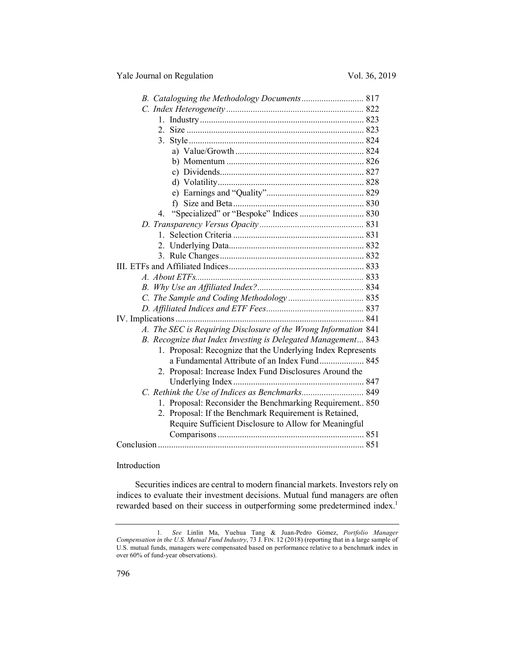| B. Cataloguing the Methodology Documents 817                    |  |
|-----------------------------------------------------------------|--|
|                                                                 |  |
|                                                                 |  |
|                                                                 |  |
|                                                                 |  |
|                                                                 |  |
|                                                                 |  |
|                                                                 |  |
|                                                                 |  |
|                                                                 |  |
|                                                                 |  |
| 4.                                                              |  |
|                                                                 |  |
|                                                                 |  |
|                                                                 |  |
|                                                                 |  |
|                                                                 |  |
|                                                                 |  |
|                                                                 |  |
|                                                                 |  |
|                                                                 |  |
|                                                                 |  |
| A. The SEC is Requiring Disclosure of the Wrong Information 841 |  |
| B. Recognize that Index Investing is Delegated Management 843   |  |
| 1. Proposal: Recognize that the Underlying Index Represents     |  |
| a Fundamental Attribute of an Index Fund 845                    |  |
| 2. Proposal: Increase Index Fund Disclosures Around the         |  |
|                                                                 |  |
|                                                                 |  |
| 1. Proposal: Reconsider the Benchmarking Requirement 850        |  |
| 2. Proposal: If the Benchmark Requirement is Retained,          |  |
| Require Sufficient Disclosure to Allow for Meaningful           |  |
|                                                                 |  |
|                                                                 |  |

#### Introduction

Securities indices are central to modern financial markets. Investors rely on indices to evaluate their investment decisions. Mutual fund managers are often rewarded based on their success in outperforming some predetermined index.<sup>1</sup>

<sup>1</sup>*. See* Linlin Ma, Yuehua Tang & Juan-Pedro Gómez, *Portfolio Manager Compensation in the U.S. Mutual Fund Industry*, 73 J. FIN. 12 (2018) (reporting that in a large sample of U.S. mutual funds, managers were compensated based on performance relative to a benchmark index in over 60% of fund-year observations).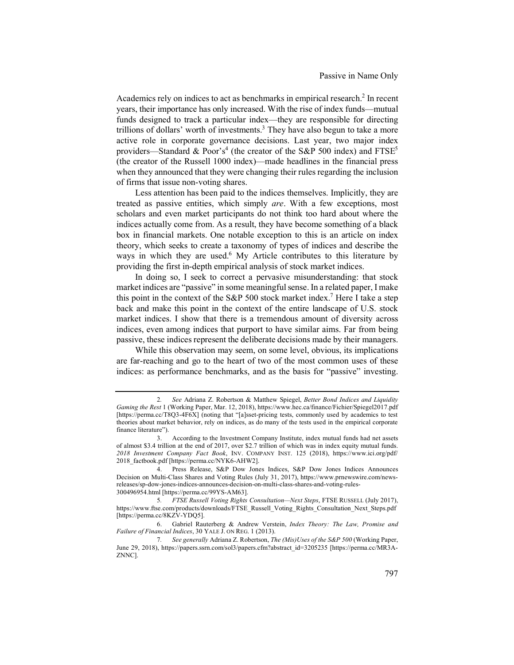Academics rely on indices to act as benchmarks in empirical research.<sup>2</sup> In recent years, their importance has only increased. With the rise of index funds—mutual funds designed to track a particular index—they are responsible for directing trillions of dollars' worth of investments.<sup>3</sup> They have also begun to take a more active role in corporate governance decisions. Last year, two major index providers—Standard & Poor's<sup>4</sup> (the creator of the S&P 500 index) and  $FTSE<sup>5</sup>$ (the creator of the Russell 1000 index)—made headlines in the financial press when they announced that they were changing their rules regarding the inclusion of firms that issue non-voting shares.

Less attention has been paid to the indices themselves. Implicitly, they are treated as passive entities, which simply *are*. With a few exceptions, most scholars and even market participants do not think too hard about where the indices actually come from. As a result, they have become something of a black box in financial markets. One notable exception to this is an article on index theory, which seeks to create a taxonomy of types of indices and describe the ways in which they are used.<sup>6</sup> My Article contributes to this literature by providing the first in-depth empirical analysis of stock market indices.

In doing so, I seek to correct a pervasive misunderstanding: that stock market indices are "passive" in some meaningful sense. In a related paper, I make this point in the context of the S&P 500 stock market index.<sup>7</sup> Here I take a step back and make this point in the context of the entire landscape of U.S. stock market indices. I show that there is a tremendous amount of diversity across indices, even among indices that purport to have similar aims. Far from being passive, these indices represent the deliberate decisions made by their managers.

While this observation may seem, on some level, obvious, its implications are far-reaching and go to the heart of two of the most common uses of these indices: as performance benchmarks, and as the basis for "passive" investing.

<sup>2</sup>*. See* Adriana Z. Robertson & Matthew Spiegel, *Better Bond Indices and Liquidity Gaming the Rest* 1 (Working Paper, Mar. 12, 2018), https://www.hec.ca/finance/Fichier/Spiegel2017.pdf [https://perma.cc/T8Q3-4F6X] (noting that "[a]sset-pricing tests, commonly used by academics to test theories about market behavior, rely on indices, as do many of the tests used in the empirical corporate finance literature").

<sup>3.</sup> According to the Investment Company Institute, index mutual funds had net assets of almost \$3.4 trillion at the end of 2017, over \$2.7 trillion of which was in index equity mutual funds. *2018 Investment Company Fact Book*, INV. COMPANY INST. 125 (2018), https://www.ici.org/pdf/ 2018\_factbook.pdf [https://perma.cc/NYK6-AHW2].

<sup>4.</sup> Press Release, S&P Dow Jones Indices, S&P Dow Jones Indices Announces Decision on Multi-Class Shares and Voting Rules (July 31, 2017), https://www.prnewswire.com/newsreleases/sp-dow-jones-indices-announces-decision-on-multi-class-shares-and-voting-rules-300496954.html [https://perma.cc/99YS-AM63].

<sup>5</sup>*. FTSE Russell Voting Rights Consultation—Next Steps*, FTSE RUSSELL (July 2017), https://www.ftse.com/products/downloads/FTSE\_Russell\_Voting\_Rights\_Consultation\_Next\_Steps.pdf [https://perma.cc/8KZV-YDQ5].

<sup>6.</sup> Gabriel Rauterberg & Andrew Verstein, *Index Theory: The Law, Promise and Failure of Financial Indices*, 30 YALE J. ON REG. 1 (2013).

<sup>7</sup>*. See generally* Adriana Z. Robertson, *The (Mis)Uses of the S&P 500* (Working Paper, June 29, 2018), https://papers.ssrn.com/sol3/papers.cfm?abstract\_id=3205235 [https://perma.cc/MR3A-ZNNC].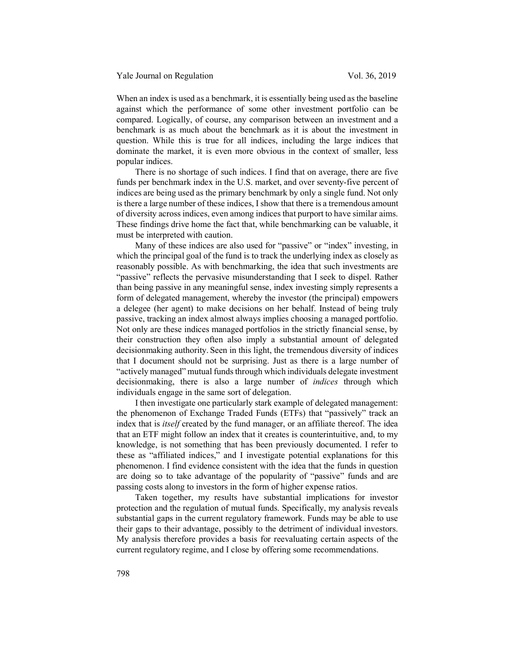When an index is used as a benchmark, it is essentially being used as the baseline against which the performance of some other investment portfolio can be compared. Logically, of course, any comparison between an investment and a benchmark is as much about the benchmark as it is about the investment in question. While this is true for all indices, including the large indices that dominate the market, it is even more obvious in the context of smaller, less popular indices.

There is no shortage of such indices. I find that on average, there are five funds per benchmark index in the U.S. market, and over seventy-five percent of indices are being used as the primary benchmark by only a single fund. Not only is there a large number of these indices, I show that there is a tremendous amount of diversity across indices, even among indices that purport to have similar aims. These findings drive home the fact that, while benchmarking can be valuable, it must be interpreted with caution.

Many of these indices are also used for "passive" or "index" investing, in which the principal goal of the fund is to track the underlying index as closely as reasonably possible. As with benchmarking, the idea that such investments are "passive" reflects the pervasive misunderstanding that I seek to dispel. Rather than being passive in any meaningful sense, index investing simply represents a form of delegated management, whereby the investor (the principal) empowers a delegee (her agent) to make decisions on her behalf. Instead of being truly passive, tracking an index almost always implies choosing a managed portfolio. Not only are these indices managed portfolios in the strictly financial sense, by their construction they often also imply a substantial amount of delegated decisionmaking authority. Seen in this light, the tremendous diversity of indices that I document should not be surprising. Just as there is a large number of "actively managed" mutual funds through which individuals delegate investment decisionmaking, there is also a large number of *indices* through which individuals engage in the same sort of delegation.

I then investigate one particularly stark example of delegated management: the phenomenon of Exchange Traded Funds (ETFs) that "passively" track an index that is *itself* created by the fund manager, or an affiliate thereof. The idea that an ETF might follow an index that it creates is counterintuitive, and, to my knowledge, is not something that has been previously documented. I refer to these as "affiliated indices," and I investigate potential explanations for this phenomenon. I find evidence consistent with the idea that the funds in question are doing so to take advantage of the popularity of "passive" funds and are passing costs along to investors in the form of higher expense ratios.

Taken together, my results have substantial implications for investor protection and the regulation of mutual funds. Specifically, my analysis reveals substantial gaps in the current regulatory framework. Funds may be able to use their gaps to their advantage, possibly to the detriment of individual investors. My analysis therefore provides a basis for reevaluating certain aspects of the current regulatory regime, and I close by offering some recommendations.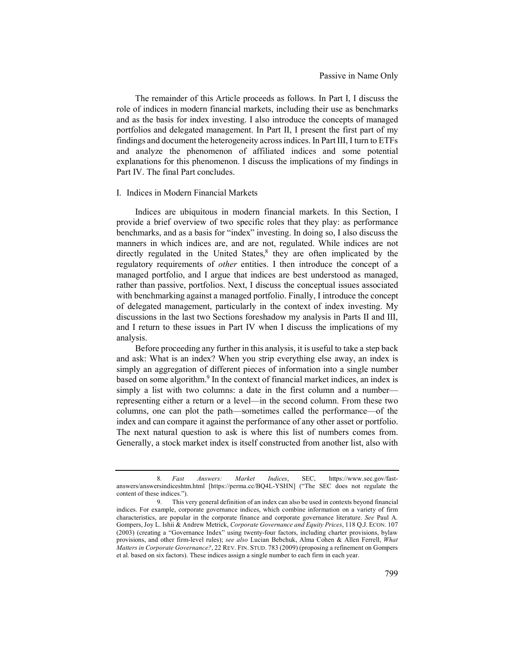The remainder of this Article proceeds as follows. In Part I, I discuss the role of indices in modern financial markets, including their use as benchmarks and as the basis for index investing. I also introduce the concepts of managed portfolios and delegated management. In Part II, I present the first part of my findings and document the heterogeneity across indices. In Part III, I turn to ETFs and analyze the phenomenon of affiliated indices and some potential explanations for this phenomenon. I discuss the implications of my findings in Part IV. The final Part concludes.

## I. Indices in Modern Financial Markets

Indices are ubiquitous in modern financial markets. In this Section, I provide a brief overview of two specific roles that they play: as performance benchmarks, and as a basis for "index" investing. In doing so, I also discuss the manners in which indices are, and are not, regulated. While indices are not directly regulated in the United States, $8$  they are often implicated by the regulatory requirements of *other* entities. I then introduce the concept of a managed portfolio, and I argue that indices are best understood as managed, rather than passive, portfolios. Next, I discuss the conceptual issues associated with benchmarking against a managed portfolio. Finally, I introduce the concept of delegated management, particularly in the context of index investing. My discussions in the last two Sections foreshadow my analysis in Parts II and III, and I return to these issues in Part IV when I discuss the implications of my analysis.

Before proceeding any further in this analysis, it is useful to take a step back and ask: What is an index? When you strip everything else away, an index is simply an aggregation of different pieces of information into a single number based on some algorithm.<sup>9</sup> In the context of financial market indices, an index is simply a list with two columns: a date in the first column and a number representing either a return or a level—in the second column. From these two columns, one can plot the path—sometimes called the performance—of the index and can compare it against the performance of any other asset or portfolio. The next natural question to ask is where this list of numbers comes from. Generally, a stock market index is itself constructed from another list, also with

<sup>8</sup>*. Fast Answers: Market Indices*, SEC, https://www.sec.gov/fastanswers/answersindiceshtm.html [https://perma.cc/BQ4L-YSHN] ("The SEC does not regulate the content of these indices.").

<sup>9.</sup> This very general definition of an index can also be used in contexts beyond financial indices. For example, corporate governance indices, which combine information on a variety of firm characteristics, are popular in the corporate finance and corporate governance literature. *See* Paul A. Gompers, Joy L. Ishii & Andrew Metrick, *Corporate Governance and Equity Prices*, 118 Q.J. ECON. 107 (2003) (creating a "Governance Index" using twenty-four factors, including charter provisions, bylaw provisions, and other firm-level rules); *see also* Lucian Bebchuk, Alma Cohen & Allen Ferrell, *What Matters in Corporate Governance?*, 22 REV. FIN. STUD. 783 (2009) (proposing a refinement on Gompers et al. based on six factors). These indices assign a single number to each firm in each year.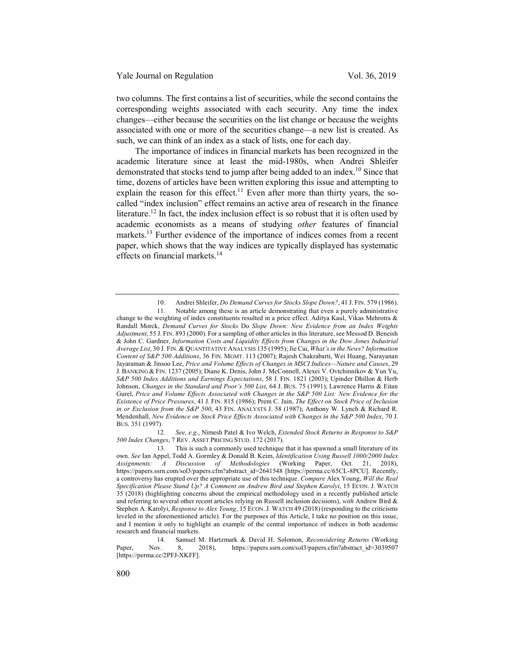two columns. The first contains a list of securities, while the second contains the corresponding weights associated with each security. Any time the index changes—either because the securities on the list change or because the weights associated with one or more of the securities change—a new list is created. As such, we can think of an index as a stack of lists, one for each day.

The importance of indices in financial markets has been recognized in the academic literature since at least the mid-1980s, when Andrei Shleifer demonstrated that stocks tend to jump after being added to an index.<sup>10</sup> Since that time, dozens of articles have been written exploring this issue and attempting to explain the reason for this effect.<sup>11</sup> Even after more than thirty years, the socalled "index inclusion" effect remains an active area of research in the finance literature.<sup>12</sup> In fact, the index inclusion effect is so robust that it is often used by academic economists as a means of studying *other* features of financial markets.<sup>13</sup> Further evidence of the importance of indices comes from a recent paper, which shows that the way indices are typically displayed has systematic effects on financial markets.<sup>14</sup>

12*. See, e.g.*, Nimesh Patel & Ivo Welch, *Extended Stock Returns in Response to S&P 500 Index Changes*, 7 REV. ASSET PRICING STUD. 172 (2017).

<sup>10.</sup> Andrei Shleifer, *Do Demand Curves for Stocks Slope Down?*, 41 J. FIN. 579 (1986).

<sup>11.</sup> Notable among these is an article demonstrating that even a purely administrative change to the weighting of index constituents resulted in a price effect. Aditya Kaul, Vikas Mehrotra & Randall Morck, *Demand Curves for Stocks* Do *Slope Down: New Evidence from an Index Weights Adjustment*, 55 J. FIN. 893 (2000). For a sampling of other articles in this literature, see Messod D. Beneish & John C. Gardner, *Information Costs and Liquidity Effects from Changes in the Dow Jones Industrial Average List*, 30 J. FIN. & QUANTITATIVE ANALYSIS 135 (1995); Jie Cai, *What's in the News? Information Content of S&P 500 Additions*, 36 FIN. MGMT. 113 (2007); Rajesh Chakrabarti, Wei Huang, Narayanan Jayaraman & Jinsoo Lee, *Price and Volume Effects of Changes in MSCI Indices—Nature and Causes*, 29 J. BANKING & FIN. 1237 (2005); Diane K. Denis, John J. McConnell, Alexei V. Ovtchinnikov & Yun Yu, *S&P 500 Index Additions and Earnings Expectations*, 58 J. FIN. 1821 (2003); Upinder Dhillon & Herb Johnson, *Changes in the Standard and Poor's 500 List*, 64 J. BUS. 75 (1991); Lawrence Harris & Eitan Gurel, *Price and Volume Effects Associated with Changes in the S&P 500 List: New Evidence for the Existence of Price Pressures*, 41 J. FIN. 815 (1986); Prem C. Jain, *The Effect on Stock Price of Inclusion in or Exclusion from the S&P 500*, 43 FIN. ANALYSTS J. 58 (1987); Anthony W. Lynch & Richard R. Mendenhall, *New Evidence on Stock Price Effects Associated with Changes in the S&P 500 Index*, 70 J. BUS. 351 (1997).

<sup>13.</sup> This is such a commonly used technique that it has spawned a small literature of its own. *See* Ian Appel, Todd A. Gormley & Donald B. Keim, *Identification Using Russell 1000/2000 Index Assignments: A Discussion of Methodologies* (Working Paper, Oct. 21, 2018), https://papers.ssrn.com/sol3/papers.cfm?abstract\_id=2641548 [https://perma.cc/65CL-8PCU]. Recently, a controversy has erupted over the appropriate use of this technique. *Compare* Alex Young, *Will the Real Specification Please Stand Up? A Comment on Andrew Bird and Stephen Karolyi*, 15 ECON. J. WATCH 35 (2018) (highlighting concerns about the empirical methodology used in a recently published article and referring to several other recent articles relying on Russell inclusion decisions), *with* Andrew Bird & Stephen A. Karolyi, *Response to Alex Young*, 15 ECON. J. WATCH 49 (2018) (responding to the criticisms leveled in the aforementioned article). For the purposes of this Article, I take no position on this issue, and I mention it only to highlight an example of the central importance of indices in both academic research and financial markets.

<sup>14.</sup> Samuel M. Hartzmark & David H. Solomon, *Reconsidering Returns* (Working Paper, Nov. 8, 2018), https://papers.ssrn.com/sol3/papers.cfm?abstract\_id=3039507 [https://perma.cc/2PFJ-XKFF].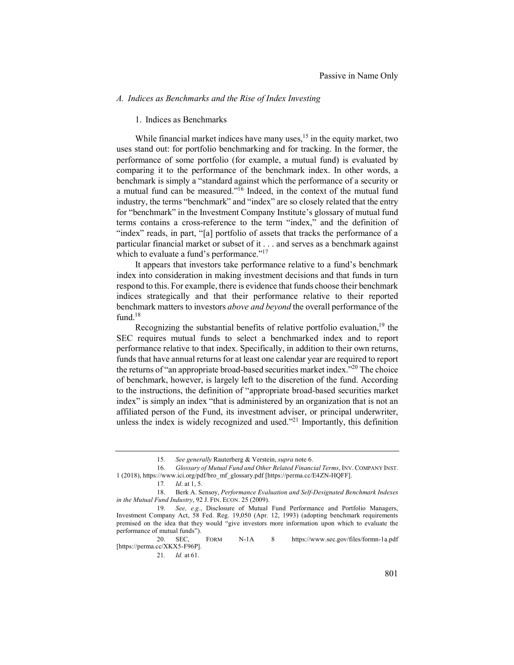## *A. Indices as Benchmarks and the Rise of Index Investing*

### 1. Indices as Benchmarks

While financial market indices have many uses, $15$  in the equity market, two uses stand out: for portfolio benchmarking and for tracking. In the former, the performance of some portfolio (for example, a mutual fund) is evaluated by comparing it to the performance of the benchmark index. In other words, a benchmark is simply a "standard against which the performance of a security or a mutual fund can be measured."<sup>16</sup> Indeed, in the context of the mutual fund industry, the terms "benchmark" and "index" are so closely related that the entry for "benchmark" in the Investment Company Institute's glossary of mutual fund terms contains a cross-reference to the term "index," and the definition of "index" reads, in part, "[a] portfolio of assets that tracks the performance of a particular financial market or subset of it . . . and serves as a benchmark against which to evaluate a fund's performance."<sup>17</sup>

It appears that investors take performance relative to a fund's benchmark index into consideration in making investment decisions and that funds in turn respond to this. For example, there is evidence that funds choose their benchmark indices strategically and that their performance relative to their reported benchmark matters to investors *above and beyond* the overall performance of the fund.<sup>18</sup>

Recognizing the substantial benefits of relative portfolio evaluation, $19$  the SEC requires mutual funds to select a benchmarked index and to report performance relative to that index. Specifically, in addition to their own returns, funds that have annual returns for at least one calendar year are required to report the returns of "an appropriate broad-based securities market index."<sup>20</sup> The choice of benchmark, however, is largely left to the discretion of the fund. According to the instructions, the definition of "appropriate broad-based securities market index" is simply an index "that is administered by an organization that is not an affiliated person of the Fund, its investment adviser, or principal underwriter, unless the index is widely recognized and used. $2<sup>21</sup>$  Importantly, this definition

<sup>15</sup>*. See generally* Rauterberg & Verstein, *supra* note 6.

<sup>16</sup>*. Glossary of Mutual Fund and Other Related Financial Terms*, INV. COMPANY INST. 1 (2018), https://www.ici.org/pdf/bro\_mf\_glossary.pdf [https://perma.cc/E4ZN-HQFF].

<sup>17</sup>*. Id*. at 1, 5.

<sup>18.</sup> Berk A. Sensoy, *Performance Evaluation and Self-Designated Benchmark Indexes in the Mutual Fund Industry*, 92 J. FIN. ECON. 25 (2009).

<sup>19</sup>*. See, e.g.*, Disclosure of Mutual Fund Performance and Portfolio Managers, Investment Company Act, 58 Fed. Reg. 19,050 (Apr. 12, 1993) (adopting benchmark requirements premised on the idea that they would "give investors more information upon which to evaluate the performance of mutual funds").

<sup>20.</sup> SEC, FORM N-1A 8 https://www.sec.gov/files/formn-1a.pdf [https://perma.cc/XKX5-F96P].

<sup>21</sup>*. Id.* at 61.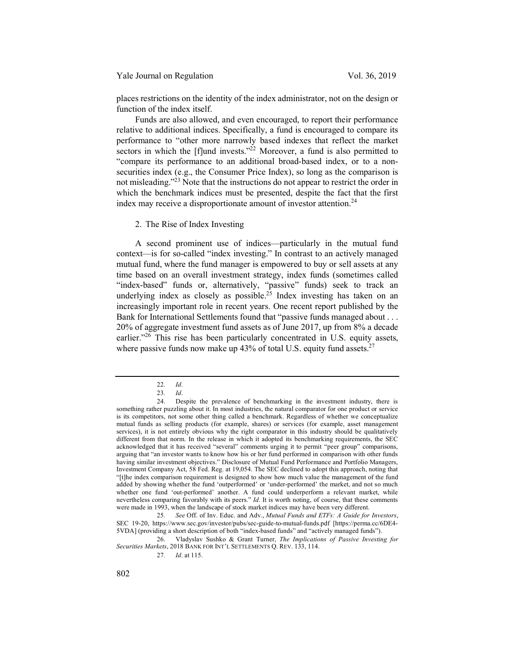Yale Journal on Regulation Vol. 36, 2019

places restrictions on the identity of the index administrator, not on the design or function of the index itself.

Funds are also allowed, and even encouraged, to report their performance relative to additional indices. Specifically, a fund is encouraged to compare its performance to "other more narrowly based indexes that reflect the market sectors in which the [f]und invests. $\frac{1}{22}$  Moreover, a fund is also permitted to "compare its performance to an additional broad-based index, or to a nonsecurities index (e.g., the Consumer Price Index), so long as the comparison is not misleading."23 Note that the instructions do not appear to restrict the order in which the benchmark indices must be presented, despite the fact that the first index may receive a disproportionate amount of investor attention.<sup>24</sup>

2. The Rise of Index Investing

A second prominent use of indices—particularly in the mutual fund context—is for so-called "index investing." In contrast to an actively managed mutual fund, where the fund manager is empowered to buy or sell assets at any time based on an overall investment strategy, index funds (sometimes called "index-based" funds or, alternatively, "passive" funds) seek to track an underlying index as closely as possible.<sup>25</sup> Index investing has taken on an increasingly important role in recent years. One recent report published by the Bank for International Settlements found that "passive funds managed about . . . 20% of aggregate investment fund assets as of June 2017, up from 8% a decade earlier."<sup>26</sup> This rise has been particularly concentrated in U.S. equity assets, where passive funds now make up  $43\%$  of total U.S. equity fund assets.<sup>27</sup>

26. Vladyslav Sushko & Grant Turner, *The Implications of Passive Investing for Securities Markets*, 2018 BANK FOR INT'L SETTLEMENTS Q. REV. 133, 114.

<sup>22</sup>*. Id*.

<sup>23</sup>*. Id*.

<sup>24.</sup> Despite the prevalence of benchmarking in the investment industry, there is something rather puzzling about it. In most industries, the natural comparator for one product or service is its competitors, not some other thing called a benchmark. Regardless of whether we conceptualize mutual funds as selling products (for example, shares) or services (for example, asset management services), it is not entirely obvious why the right comparator in this industry should be qualitatively different from that norm. In the release in which it adopted its benchmarking requirements, the SEC acknowledged that it has received "several" comments urging it to permit "peer group" comparisons, arguing that "an investor wants to know how his or her fund performed in comparison with other funds having similar investment objectives." Disclosure of Mutual Fund Performance and Portfolio Managers, Investment Company Act, 58 Fed. Reg. at 19,054. The SEC declined to adopt this approach, noting that "[t]he index comparison requirement is designed to show how much value the management of the fund added by showing whether the fund 'outperformed' or 'under-performed' the market, and not so much whether one fund 'out-performed' another. A fund could underperform a relevant market, while nevertheless comparing favorably with its peers." *Id*. It is worth noting, of course, that these comments were made in 1993, when the landscape of stock market indices may have been very different.

<sup>25</sup>*. See* Off. of Inv. Educ. and Adv., *Mutual Funds and ETFs: A Guide for Investors*, SEC 19-20, https://www.sec.gov/investor/pubs/sec-guide-to-mutual-funds.pdf [https://perma.cc/6DE4- 5VDA] (providing a short description of both "index-based funds" and "actively managed funds").

<sup>27</sup>*. Id*. at 115.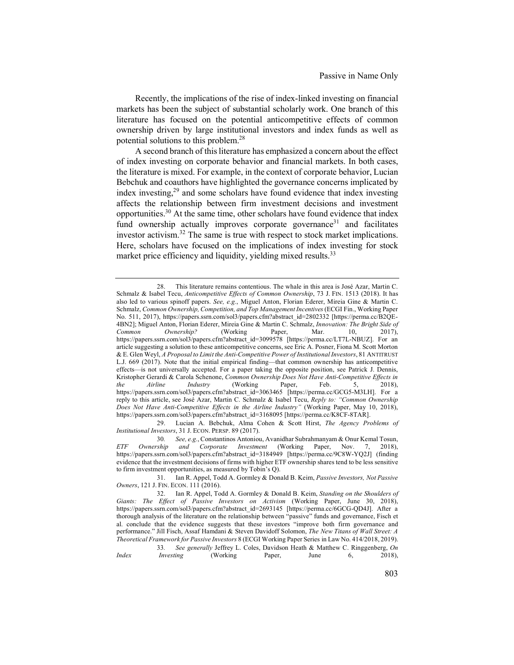Recently, the implications of the rise of index-linked investing on financial markets has been the subject of substantial scholarly work. One branch of this literature has focused on the potential anticompetitive effects of common ownership driven by large institutional investors and index funds as well as potential solutions to this problem.28

A second branch of this literature has emphasized a concern about the effect of index investing on corporate behavior and financial markets. In both cases, the literature is mixed. For example, in the context of corporate behavior, Lucian Bebchuk and coauthors have highlighted the governance concerns implicated by index investing,29 and some scholars have found evidence that index investing affects the relationship between firm investment decisions and investment opportunities.<sup>30</sup> At the same time, other scholars have found evidence that index fund ownership actually improves corporate governance<sup>31</sup> and facilitates investor activism.<sup>32</sup> The same is true with respect to stock market implications. Here, scholars have focused on the implications of index investing for stock market price efficiency and liquidity, yielding mixed results.<sup>33</sup>

33*. See generally* Jeffrey L. Coles, Davidson Heath & Matthew C. Ringgenberg, *On Index Investing* (Working Paper, June 6, 2018),

<sup>28.</sup> This literature remains contentious. The whale in this area is José Azar, Martin C. Schmalz & Isabel Tecu, *Anticompetitive Effects of Common Ownership*, 73 J. FIN. 1513 (2018). It has also led to various spinoff papers. *See, e.g.*, Miguel Anton, Florian Ederer, Mireia Gine & Martin C. Schmalz, *Common Ownership, Competition, and Top Management Incentives*(ECGI Fin., Working Paper No. 511, 2017), https://papers.ssrn.com/sol3/papers.cfm?abstract\_id=2802332 [https://perma.cc/B2QE-4BN2]; Miguel Anton, Florian Ederer, Mireia Gine & Martin C. Schmalz, *Innovation: The Bright Side of Common Ownership?* (Working Paper, Mar. 10, 2017), https://papers.ssrn.com/sol3/papers.cfm?abstract\_id=3099578 [https://perma.cc/LT7L-NBUZ]. For an article suggesting a solution to these anticompetitive concerns, see Eric A. Posner, Fiona M. Scott Morton & E. Glen Weyl, *A Proposal to Limit the Anti-Competitive Power of Institutional Investors*, 81 ANTITRUST L.J. 669 (2017). Note that the initial empirical finding—that common ownership has anticompetitive effects—is not universally accepted. For a paper taking the opposite position, see Patrick J. Dennis, Kristopher Gerardi & Carola Schenone, *Common Ownership Does Not Have Anti-Competitive Effects in the Airline Industry* (Working Paper, Feb. 5, 2018), https://papers.ssrn.com/sol3/papers.cfm?abstract\_id=3063465 [https://perma.cc/GCG5-M3LH]. For a reply to this article, see José Azar, Martin C. Schmalz & Isabel Tecu, *Reply to: "Common Ownership Does Not Have Anti-Competitive Effects in the Airline Industry"* (Working Paper, May 10, 2018), https://papers.ssrn.com/sol3/papers.cfm?abstract\_id=3168095 [https://perma.cc/K8CF-8TAR].

<sup>29.</sup> Lucian A. Bebchuk, Alma Cohen & Scott Hirst, *The Agency Problems of Institutional Investors*, 31 J. ECON. PERSP. 89 (2017).

<sup>30</sup>*. See, e.g.*, Constantinos Antoniou, Avanidhar Subrahmanyam & Onur Kemal Tosun, *ETF Ownership and Corporate Investment* (Working Paper, Nov. 7, 2018), https://papers.ssrn.com/sol3/papers.cfm?abstract\_id=3184949 [https://perma.cc/9C8W-YQ2J] (finding evidence that the investment decisions of firms with higher ETF ownership shares tend to be less sensitive to firm investment opportunities, as measured by Tobin's Q).

<sup>31.</sup> Ian R. Appel, Todd A. Gormley & Donald B. Keim, *Passive Investors, Not Passive Owners*, 121 J. FIN. ECON. 111 (2016).

<sup>32.</sup> Ian R. Appel, Todd A. Gormley & Donald B. Keim, *Standing on the Shoulders of Giants: The Effect of Passive Investors on Activism* (Working Paper, June 30, 2018), https://papers.ssrn.com/sol3/papers.cfm?abstract\_id=2693145 [https://perma.cc/6GCG-QD4J]. After a thorough analysis of the literature on the relationship between "passive" funds and governance, Fisch et al. conclude that the evidence suggests that these investors "improve both firm governance and performance." Jill Fisch, Assaf Hamdani & Steven Davidoff Solomon, *The New Titans of Wall Street: A Theoretical Framework for Passive Investors* 8 (ECGI Working Paper Series in Law No. 414/2018, 2019).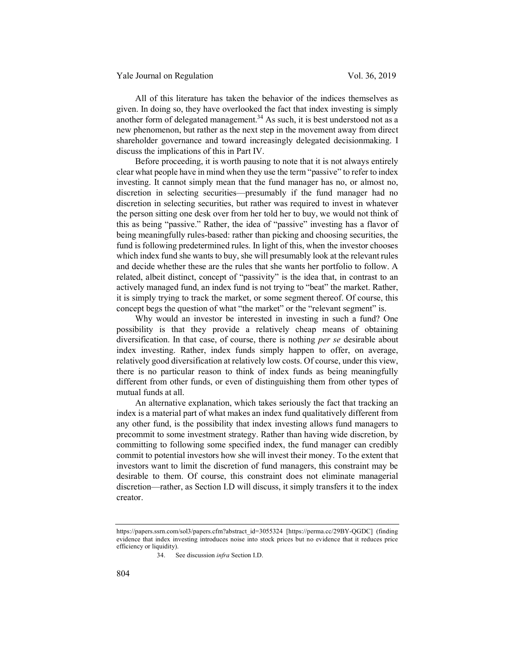All of this literature has taken the behavior of the indices themselves as given. In doing so, they have overlooked the fact that index investing is simply another form of delegated management.<sup>34</sup> As such, it is best understood not as a new phenomenon, but rather as the next step in the movement away from direct shareholder governance and toward increasingly delegated decisionmaking. I discuss the implications of this in Part IV.

Before proceeding, it is worth pausing to note that it is not always entirely clear what people have in mind when they use the term "passive" to refer to index investing. It cannot simply mean that the fund manager has no, or almost no, discretion in selecting securities—presumably if the fund manager had no discretion in selecting securities, but rather was required to invest in whatever the person sitting one desk over from her told her to buy, we would not think of this as being "passive." Rather, the idea of "passive" investing has a flavor of being meaningfully rules-based: rather than picking and choosing securities, the fund is following predetermined rules. In light of this, when the investor chooses which index fund she wants to buy, she will presumably look at the relevant rules and decide whether these are the rules that she wants her portfolio to follow. A related, albeit distinct, concept of "passivity" is the idea that, in contrast to an actively managed fund, an index fund is not trying to "beat" the market. Rather, it is simply trying to track the market, or some segment thereof. Of course, this concept begs the question of what "the market" or the "relevant segment" is.

Why would an investor be interested in investing in such a fund? One possibility is that they provide a relatively cheap means of obtaining diversification. In that case, of course, there is nothing *per se* desirable about index investing. Rather, index funds simply happen to offer, on average, relatively good diversification at relatively low costs. Of course, under this view, there is no particular reason to think of index funds as being meaningfully different from other funds, or even of distinguishing them from other types of mutual funds at all.

An alternative explanation, which takes seriously the fact that tracking an index is a material part of what makes an index fund qualitatively different from any other fund, is the possibility that index investing allows fund managers to precommit to some investment strategy. Rather than having wide discretion, by committing to following some specified index, the fund manager can credibly commit to potential investors how she will invest their money. To the extent that investors want to limit the discretion of fund managers, this constraint may be desirable to them. Of course, this constraint does not eliminate managerial discretion—rather, as Section I.D will discuss, it simply transfers it to the index creator.

https://papers.ssrn.com/sol3/papers.cfm?abstract\_id=3055324 [https://perma.cc/29BY-QGDC] (finding evidence that index investing introduces noise into stock prices but no evidence that it reduces price efficiency or liquidity).

<sup>34.</sup> See discussion *infra* Section I.D.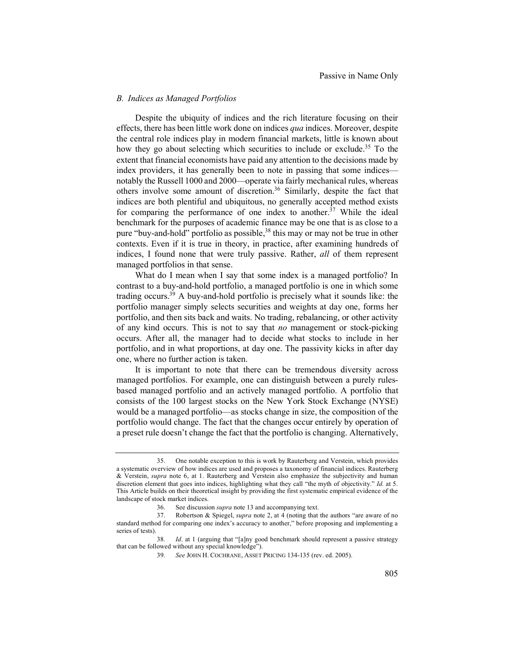### *B. Indices as Managed Portfolios*

Despite the ubiquity of indices and the rich literature focusing on their effects, there has been little work done on indices *qua* indices. Moreover, despite the central role indices play in modern financial markets, little is known about how they go about selecting which securities to include or exclude.<sup>35</sup> To the extent that financial economists have paid any attention to the decisions made by index providers, it has generally been to note in passing that some indices notably the Russell 1000 and 2000—operate via fairly mechanical rules, whereas others involve some amount of discretion.36 Similarly, despite the fact that indices are both plentiful and ubiquitous, no generally accepted method exists for comparing the performance of one index to another.<sup>37</sup> While the ideal benchmark for the purposes of academic finance may be one that is as close to a pure "buy-and-hold" portfolio as possible,<sup>38</sup> this may or may not be true in other contexts. Even if it is true in theory, in practice, after examining hundreds of indices, I found none that were truly passive. Rather, *all* of them represent managed portfolios in that sense.

What do I mean when I say that some index is a managed portfolio? In contrast to a buy-and-hold portfolio, a managed portfolio is one in which some trading occurs.<sup>39</sup> A buy-and-hold portfolio is precisely what it sounds like: the portfolio manager simply selects securities and weights at day one, forms her portfolio, and then sits back and waits. No trading, rebalancing, or other activity of any kind occurs. This is not to say that *no* management or stock-picking occurs. After all, the manager had to decide what stocks to include in her portfolio, and in what proportions, at day one. The passivity kicks in after day one, where no further action is taken.

It is important to note that there can be tremendous diversity across managed portfolios. For example, one can distinguish between a purely rulesbased managed portfolio and an actively managed portfolio. A portfolio that consists of the 100 largest stocks on the New York Stock Exchange (NYSE) would be a managed portfolio—as stocks change in size, the composition of the portfolio would change. The fact that the changes occur entirely by operation of a preset rule doesn't change the fact that the portfolio is changing. Alternatively,

<sup>35.</sup> One notable exception to this is work by Rauterberg and Verstein, which provides a systematic overview of how indices are used and proposes a taxonomy of financial indices. Rauterberg & Verstein, *supra* note 6, at 1. Rauterberg and Verstein also emphasize the subjectivity and human discretion element that goes into indices, highlighting what they call "the myth of objectivity." *Id.* at 5. This Article builds on their theoretical insight by providing the first systematic empirical evidence of the landscape of stock market indices.

<sup>36.</sup> See discussion *supra* note 13 and accompanying text.

<sup>37.</sup> Robertson & Spiegel, *supra* note 2, at 4 (noting that the authors "are aware of no standard method for comparing one index's accuracy to another," before proposing and implementing a series of tests).

<sup>38</sup>*. Id*. at 1 (arguing that "[a]ny good benchmark should represent a passive strategy that can be followed without any special knowledge").

<sup>39</sup>*. See* JOHN H. COCHRANE, ASSET PRICING 134-135 (rev. ed. 2005).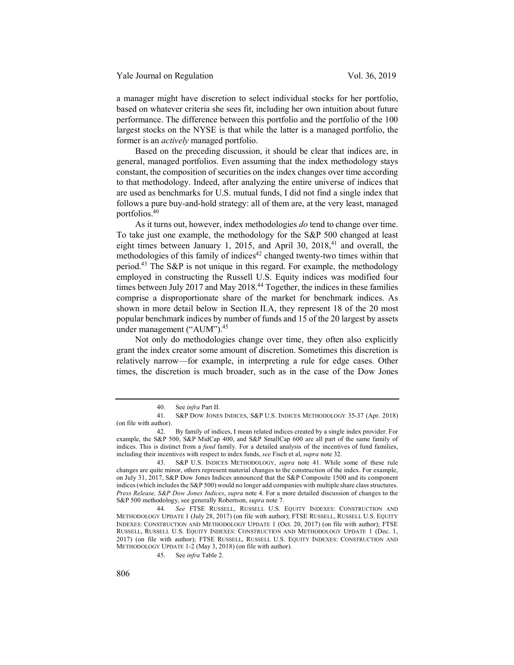a manager might have discretion to select individual stocks for her portfolio, based on whatever criteria she sees fit, including her own intuition about future performance. The difference between this portfolio and the portfolio of the 100 largest stocks on the NYSE is that while the latter is a managed portfolio, the former is an *actively* managed portfolio.

Based on the preceding discussion, it should be clear that indices are, in general, managed portfolios. Even assuming that the index methodology stays constant, the composition of securities on the index changes over time according to that methodology. Indeed, after analyzing the entire universe of indices that are used as benchmarks for U.S. mutual funds, I did not find a single index that follows a pure buy-and-hold strategy: all of them are, at the very least, managed portfolios.40

As it turns out, however, index methodologies *do* tend to change over time. To take just one example, the methodology for the S&P 500 changed at least eight times between January 1, 2015, and April 30, 2018, $41$  and overall, the methodologies of this family of indices<sup>42</sup> changed twenty-two times within that period.<sup>43</sup> The S&P is not unique in this regard. For example, the methodology employed in constructing the Russell U.S. Equity indices was modified four times between July 2017 and May 2018.<sup>44</sup> Together, the indices in these families comprise a disproportionate share of the market for benchmark indices. As shown in more detail below in Section II.A, they represent 18 of the 20 most popular benchmark indices by number of funds and 15 of the 20 largest by assets under management ("AUM").<sup>45</sup>

Not only do methodologies change over time, they often also explicitly grant the index creator some amount of discretion. Sometimes this discretion is relatively narrow—for example, in interpreting a rule for edge cases. Other times, the discretion is much broader, such as in the case of the Dow Jones

<sup>40.</sup> See *infra* Part II.

<sup>41.</sup> S&P DOW JONES INDICES, S&P U.S. INDICES METHODOLOGY 35-37 (Apr. 2018) (on file with author).

<sup>42.</sup> By family of indices, I mean related indices created by a single index provider. For example, the S&P 500, S&P MidCap 400, and S&P SmallCap 600 are all part of the same family of indices. This is distinct from a *fund* family. For a detailed analysis of the incentives of fund families, including their incentives with respect to index funds, *see* Fisch et al, *supra* note 32.

<sup>43.</sup> S&P U.S. INDICES METHODOLOGY, *supra* note 41. While some of these rule changes are quite minor, others represent material changes to the construction of the index. For example, on July 31, 2017, S&P Dow Jones Indices announced that the S&P Composite 1500 and its component indices (which includes the S&P 500) would no longer add companies with multiple share class structures. *Press Release, S&P Dow Jones Indices*, *supra* note 4. For a more detailed discussion of changes to the S&P 500 methodology, see generally Robertson, *supra* note 7.

<sup>44</sup>*. See* FTSE RUSSELL, RUSSELL U.S. EQUITY INDEXES: CONSTRUCTION AND METHODOLOGY UPDATE 1 (July 28, 2017) (on file with author); FTSE RUSSELL, RUSSELL U.S. EQUITY INDEXES: CONSTRUCTION AND METHODOLOGY UPDATE 1 (Oct. 20, 2017) (on file with author); FTSE RUSSELL, RUSSELL U.S. EQUITY INDEXES: CONSTRUCTION AND METHODOLOGY UPDATE 1 (Dec. 1, 2017) (on file with author); FTSE RUSSELL, RUSSELL U.S. EQUITY INDEXES: CONSTRUCTION AND METHODOLOGY UPDATE 1-2 (May 3, 2018) (on file with author).

<sup>45.</sup> See *infra* Table 2.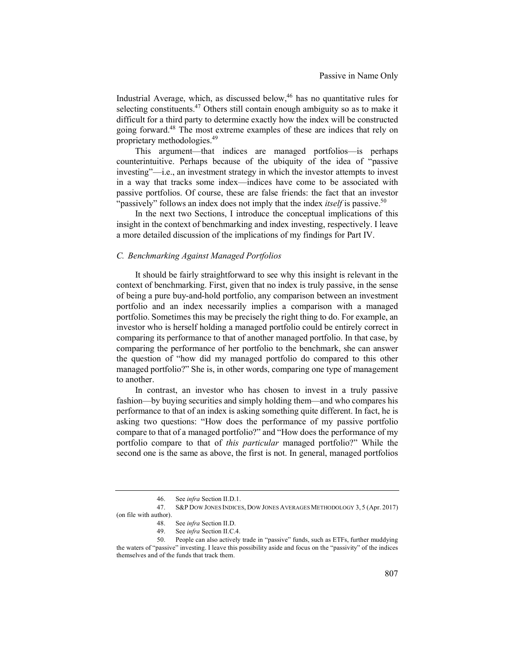Industrial Average, which, as discussed below,<sup>46</sup> has no quantitative rules for selecting constituents.<sup>47</sup> Others still contain enough ambiguity so as to make it difficult for a third party to determine exactly how the index will be constructed going forward.48 The most extreme examples of these are indices that rely on proprietary methodologies.49

This argument—that indices are managed portfolios—is perhaps counterintuitive. Perhaps because of the ubiquity of the idea of "passive investing"—i.e., an investment strategy in which the investor attempts to invest in a way that tracks some index—indices have come to be associated with passive portfolios. Of course, these are false friends: the fact that an investor "passively" follows an index does not imply that the index *itself* is passive.<sup>50</sup>

In the next two Sections, I introduce the conceptual implications of this insight in the context of benchmarking and index investing, respectively. I leave a more detailed discussion of the implications of my findings for Part IV.

## *C. Benchmarking Against Managed Portfolios*

It should be fairly straightforward to see why this insight is relevant in the context of benchmarking. First, given that no index is truly passive, in the sense of being a pure buy-and-hold portfolio, any comparison between an investment portfolio and an index necessarily implies a comparison with a managed portfolio. Sometimes this may be precisely the right thing to do. For example, an investor who is herself holding a managed portfolio could be entirely correct in comparing its performance to that of another managed portfolio. In that case, by comparing the performance of her portfolio to the benchmark, she can answer the question of "how did my managed portfolio do compared to this other managed portfolio?" She is, in other words, comparing one type of management to another.

In contrast, an investor who has chosen to invest in a truly passive fashion—by buying securities and simply holding them—and who compares his performance to that of an index is asking something quite different. In fact, he is asking two questions: "How does the performance of my passive portfolio compare to that of a managed portfolio?" and "How does the performance of my portfolio compare to that of *this particular* managed portfolio?" While the second one is the same as above, the first is not. In general, managed portfolios

<sup>46.</sup> See *infra* Section II.D.1.

<sup>47.</sup> S&P DOW JONES INDICES, DOW JONES AVERAGES METHODOLOGY 3, 5 (Apr. 2017) (on file with author).

<sup>48.</sup> See *infra* Section II.D.

<sup>49.</sup> See *infra* Section II.C.4.

<sup>50.</sup> People can also actively trade in "passive" funds, such as ETFs, further muddying the waters of "passive" investing. I leave this possibility aside and focus on the "passivity" of the indices themselves and of the funds that track them.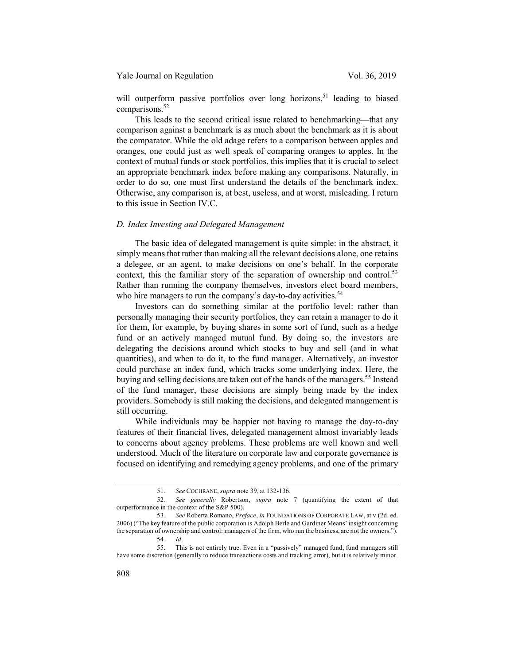## Yale Journal on Regulation Vol. 36, 2019

will outperform passive portfolios over long horizons,<sup>51</sup> leading to biased comparisons.<sup>52</sup>

This leads to the second critical issue related to benchmarking—that any comparison against a benchmark is as much about the benchmark as it is about the comparator. While the old adage refers to a comparison between apples and oranges, one could just as well speak of comparing oranges to apples. In the context of mutual funds or stock portfolios, this implies that it is crucial to select an appropriate benchmark index before making any comparisons. Naturally, in order to do so, one must first understand the details of the benchmark index. Otherwise, any comparison is, at best, useless, and at worst, misleading. I return to this issue in Section IV.C.

#### *D. Index Investing and Delegated Management*

The basic idea of delegated management is quite simple: in the abstract, it simply means that rather than making all the relevant decisions alone, one retains a delegee, or an agent, to make decisions on one's behalf. In the corporate context, this the familiar story of the separation of ownership and control.<sup>53</sup> Rather than running the company themselves, investors elect board members, who hire managers to run the company's day-to-day activities.<sup>54</sup>

Investors can do something similar at the portfolio level: rather than personally managing their security portfolios, they can retain a manager to do it for them, for example, by buying shares in some sort of fund, such as a hedge fund or an actively managed mutual fund. By doing so, the investors are delegating the decisions around which stocks to buy and sell (and in what quantities), and when to do it, to the fund manager. Alternatively, an investor could purchase an index fund, which tracks some underlying index. Here, the buying and selling decisions are taken out of the hands of the managers.<sup>55</sup> Instead of the fund manager, these decisions are simply being made by the index providers. Somebody is still making the decisions, and delegated management is still occurring.

While individuals may be happier not having to manage the day-to-day features of their financial lives, delegated management almost invariably leads to concerns about agency problems. These problems are well known and well understood. Much of the literature on corporate law and corporate governance is focused on identifying and remedying agency problems, and one of the primary

<sup>51</sup>*. See* COCHRANE, *supra* note 39, at 132-136.

<sup>52</sup>*. See generally* Robertson, *supra* note 7 (quantifying the extent of that outperformance in the context of the S&P 500).

<sup>53</sup>*. See* Roberta Romano, *Preface*, *in* FOUNDATIONS OF CORPORATE LAW, at v (2d. ed. 2006) ("The key feature of the public corporation is Adolph Berle and Gardiner Means' insight concerning the separation of ownership and control: managers of the firm, who run the business, are not the owners."). 54*. Id*.

<sup>55.</sup> This is not entirely true. Even in a "passively" managed fund, fund managers still have some discretion (generally to reduce transactions costs and tracking error), but it is relatively minor.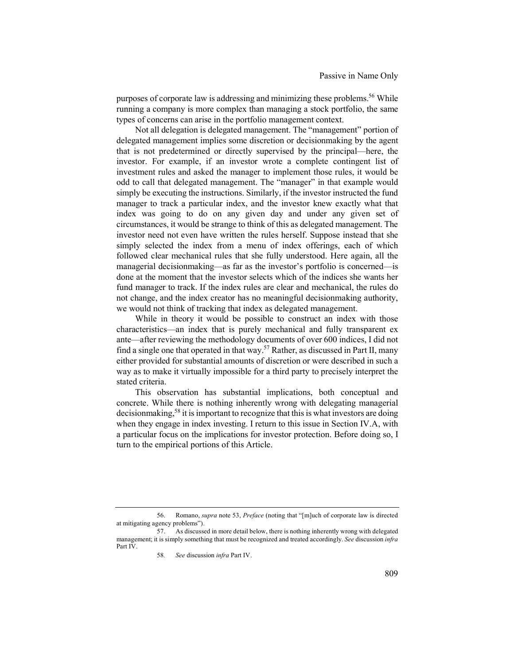purposes of corporate law is addressing and minimizing these problems.<sup>56</sup> While running a company is more complex than managing a stock portfolio, the same types of concerns can arise in the portfolio management context.

Not all delegation is delegated management. The "management" portion of delegated management implies some discretion or decisionmaking by the agent that is not predetermined or directly supervised by the principal—here, the investor. For example, if an investor wrote a complete contingent list of investment rules and asked the manager to implement those rules, it would be odd to call that delegated management. The "manager" in that example would simply be executing the instructions. Similarly, if the investor instructed the fund manager to track a particular index, and the investor knew exactly what that index was going to do on any given day and under any given set of circumstances, it would be strange to think of this as delegated management. The investor need not even have written the rules herself. Suppose instead that she simply selected the index from a menu of index offerings, each of which followed clear mechanical rules that she fully understood. Here again, all the managerial decisionmaking—as far as the investor's portfolio is concerned—is done at the moment that the investor selects which of the indices she wants her fund manager to track. If the index rules are clear and mechanical, the rules do not change, and the index creator has no meaningful decisionmaking authority, we would not think of tracking that index as delegated management.

While in theory it would be possible to construct an index with those characteristics—an index that is purely mechanical and fully transparent ex ante—after reviewing the methodology documents of over 600 indices, I did not find a single one that operated in that way.57 Rather, as discussed in Part II, many either provided for substantial amounts of discretion or were described in such a way as to make it virtually impossible for a third party to precisely interpret the stated criteria.

This observation has substantial implications, both conceptual and concrete. While there is nothing inherently wrong with delegating managerial decisionmaking, <sup>58</sup> it is important to recognize that this is what investors are doing when they engage in index investing. I return to this issue in Section IV.A, with a particular focus on the implications for investor protection. Before doing so, I turn to the empirical portions of this Article.

<sup>56.</sup> Romano, *supra* note 53, *Preface* (noting that "[m]uch of corporate law is directed at mitigating agency problems").

<sup>57.</sup> As discussed in more detail below, there is nothing inherently wrong with delegated management; it is simply something that must be recognized and treated accordingly. *See* discussion *infra*  Part IV.

<sup>58</sup>*. See* discussion *infra* Part IV.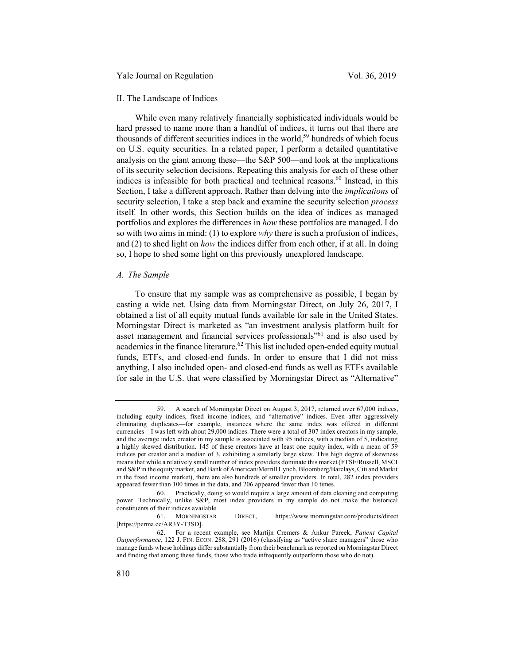Yale Journal on Regulation Vol. 36, 2019

#### II. The Landscape of Indices

While even many relatively financially sophisticated individuals would be hard pressed to name more than a handful of indices, it turns out that there are thousands of different securities indices in the world,<sup>59</sup> hundreds of which focus on U.S. equity securities. In a related paper, I perform a detailed quantitative analysis on the giant among these—the S&P 500—and look at the implications of its security selection decisions. Repeating this analysis for each of these other indices is infeasible for both practical and technical reasons. $60$  Instead, in this Section, I take a different approach. Rather than delving into the *implications* of security selection, I take a step back and examine the security selection *process*  itself*.* In other words, this Section builds on the idea of indices as managed portfolios and explores the differences in *how* these portfolios are managed. I do so with two aims in mind: (1) to explore *why* there is such a profusion of indices, and (2) to shed light on *how* the indices differ from each other, if at all. In doing so, I hope to shed some light on this previously unexplored landscape.

#### *A. The Sample*

To ensure that my sample was as comprehensive as possible, I began by casting a wide net. Using data from Morningstar Direct, on July 26, 2017, I obtained a list of all equity mutual funds available for sale in the United States. Morningstar Direct is marketed as "an investment analysis platform built for asset management and financial services professionals<sup>"61</sup> and is also used by academics in the finance literature.<sup>62</sup> This list included open-ended equity mutual funds, ETFs, and closed-end funds. In order to ensure that I did not miss anything, I also included open- and closed-end funds as well as ETFs available for sale in the U.S. that were classified by Morningstar Direct as "Alternative"

<sup>59.</sup> A search of Morningstar Direct on August 3, 2017, returned over 67,000 indices, including equity indices, fixed income indices, and "alternative" indices. Even after aggressively eliminating duplicates—for example, instances where the same index was offered in different currencies—I was left with about 29,000 indices. There were a total of 307 index creators in my sample, and the average index creator in my sample is associated with 95 indices, with a median of 5, indicating a highly skewed distribution. 145 of these creators have at least one equity index, with a mean of 59 indices per creator and a median of 3, exhibiting a similarly large skew. This high degree of skewness means that while a relatively small number of index providers dominate this market (FTSE/Russell, MSCI and S&P in the equity market, and Bank of American/Merrill Lynch, Bloomberg/Barclays, Citi and Markit in the fixed income market), there are also hundreds of smaller providers. In total, 282 index providers appeared fewer than 100 times in the data, and 206 appeared fewer than 10 times.

<sup>60.</sup> Practically, doing so would require a large amount of data cleaning and computing power. Technically, unlike S&P, most index providers in my sample do not make the historical constituents of their indices available.

<sup>61.</sup> MORNINGSTAR DIRECT, https://www.morningstar.com/products/direct [https://perma.cc/AR3Y-T3SD].

<sup>62.</sup> For a recent example, see Martijn Cremers & Ankur Pareek, *Patient Capital Outperformance*, 122 J. FIN. ECON. 288, 291 (2016) (classifying as "active share managers" those who manage funds whose holdings differ substantially from their benchmark as reported on Morningstar Direct and finding that among these funds, those who trade infrequently outperform those who do not).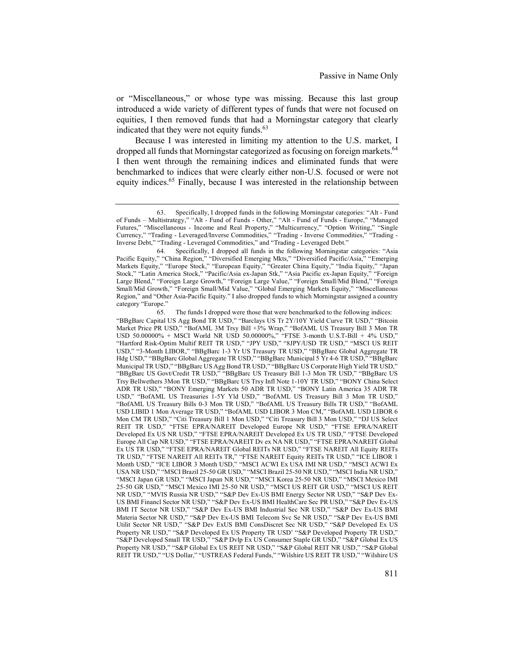or "Miscellaneous," or whose type was missing. Because this last group introduced a wide variety of different types of funds that were not focused on equities, I then removed funds that had a Morningstar category that clearly indicated that they were not equity funds.<sup>63</sup>

Because I was interested in limiting my attention to the U.S. market, I dropped all funds that Morningstar categorized as focusing on foreign markets.<sup>64</sup> I then went through the remaining indices and eliminated funds that were benchmarked to indices that were clearly either non-U.S. focused or were not equity indices.65 Finally, because I was interested in the relationship between

65. The funds I dropped were those that were benchmarked to the following indices: "BBgBarc Capital US Agg Bond TR USD," "Barclays US Tr 2Y/10Y Yield Curve TR USD," "Bitcoin Market Price PR USD," "BofAML 3M Trsy Bill +3% Wrap," "BofAML US Treasury Bill 3 Mon TR USD 50.00000% + MSCI World NR USD 50.00000%," "FTSE 3-month U.S.T-Bill + 4% USD," "Hartford Risk-Optim Multif REIT TR USD," "JPY USD," "8JPY/USD TR USD," "MSCI US REIT USD," "3-Month LIBOR," "BBgBarc 1-3 Yr US Treasury TR USD," "BBgBarc Global Aggregate TR Hdg USD," "BBgBarc Global Aggregate TR USD," "BBgBarc Municipal 5 Yr 4-6 TR USD," "BBgBarc Municipal TR USD," "BBgBarc US Agg Bond TR USD," "BBgBarc US Corporate High Yield TR USD," "BBgBarc US Govt/Credit TR USD," "BBgBarc US Treasury Bill 1-3 Mon TR USD," "BBgBarc US Trsy Bellwethers 3Mon TR USD," "BBgBarc US Trsy Infl Note 1-10Y TR USD," "BONY China Select ADR TR USD," "BONY Emerging Markets 50 ADR TR USD," "BONY Latin America 35 ADR TR USD," "BofAML US Treasuries 1-5Y Yld USD," "BofAML US Treasury Bill 3 Mon TR USD," "BofAML US Treasury Bills 0-3 Mon TR USD," "BofAML US Treasury Bills TR USD," "BofAML USD LIBID 1 Mon Average TR USD," "BofAML USD LIBOR 3 Mon CM," "BofAML USD LIBOR 6 Mon CM TR USD," "Citi Treasury Bill 1 Mon USD," "Citi Treasury Bill 3 Mon USD," "DJ US Select REIT TR USD," "FTSE EPRA/NAREIT Developed Europe NR USD," "FTSE EPRA/NAREIT Developed Ex US NR USD," "FTSE EPRA/NAREIT Developed Ex US TR USD," "FTSE Developed Europe All Cap NR USD," "FTSE EPRA/NAREIT Dv ex NA NR USD," "FTSE EPRA/NAREIT Global Ex US TR USD," "FTSE EPRA/NAREIT Global REITs NR USD," "FTSE NAREIT All Equity REITs TR USD," "FTSE NAREIT All REITs TR," "FTSE NAREIT Equity REITs TR USD," "ICE LIBOR 1 Month USD," "ICE LIBOR 3 Month USD," "MSCI ACWI Ex USA IMI NR USD," "MSCI ACWI Ex USA NR USD," "MSCI Brazil 25-50 GR USD," "MSCI Brazil 25-50 NR USD," "MSCI India NR USD," "MSCI Japan GR USD," "MSCI Japan NR USD," "MSCI Korea 25-50 NR USD," "MSCI Mexico IMI 25-50 GR USD," "MSCI Mexico IMI 25-50 NR USD," "MSCI US REIT GR USD," "MSCI US REIT NR USD," "MVIS Russia NR USD," "S&P Dev Ex-US BMI Energy Sector NR USD," "S&P Dev Ex-US BMI Financl Sector NR USD," "S&P Dev Ex-US BMI HealthCare Sec PR USD," "S&P Dev Ex-US BMI IT Sector NR USD," "S&P Dev Ex-US BMI Industrial Sec NR USD," "S&P Dev Ex-US BMI Materia Sector NR USD," "S&P Dev Ex-US BMI Telecom Svc Se NR USD," "S&P Dev Ex-US BMI Utilit Sector NR USD," "S&P Dev ExUS BMI ConsDiscret Sec NR USD," "S&P Developed Ex US Property NR USD," "S&P Developed Ex US Property TR USD' "S&P Developed Property TR USD," "S&P Developed Small TR USD," "S&P Dvlp Ex US Consumer Staple GR USD," "S&P Global Ex US Property NR USD," "S&P Global Ex US REIT NR USD," "S&P Global REIT NR USD," "S&P Global REIT TR USD," "US Dollar," "USTREAS Federal Funds," "Wilshire US REIT TR USD," "Wilshire US

<sup>63.</sup> Specifically, I dropped funds in the following Morningstar categories: "Alt - Fund of Funds – Multistrategy," "Alt - Fund of Funds - Other," "Alt - Fund of Funds - Europe," "Managed Futures," "Miscellaneous - Income and Real Property," "Multicurrency," "Option Writing," "Single Currency," "Trading - Leveraged/Inverse Commodities," "Trading - Inverse Commodities," "Trading - Inverse Debt," "Trading - Leveraged Commodities," and "Trading - Leveraged Debt."

<sup>64.</sup> Specifically, I dropped all funds in the following Morningstar categories: "Asia Pacific Equity," "China Region," "Diversified Emerging Mkts," "Diversified Pacific/Asia," "Emerging Markets Equity," "Europe Stock," "European Equity," "Greater China Equity," "India Equity," "Japan Stock," "Latin America Stock," "Pacific/Asia ex-Japan Stk," "Asia Pacific ex-Japan Equity," "Foreign Large Blend," "Foreign Large Growth," "Foreign Large Value," "Foreign Small/Mid Blend," "Foreign Small/Mid Growth," "Foreign Small/Mid Value," "Global Emerging Markets Equity," "Miscellaneous Region," and "Other Asia-Pacific Equity." I also dropped funds to which Morningstar assigned a country category "Europe."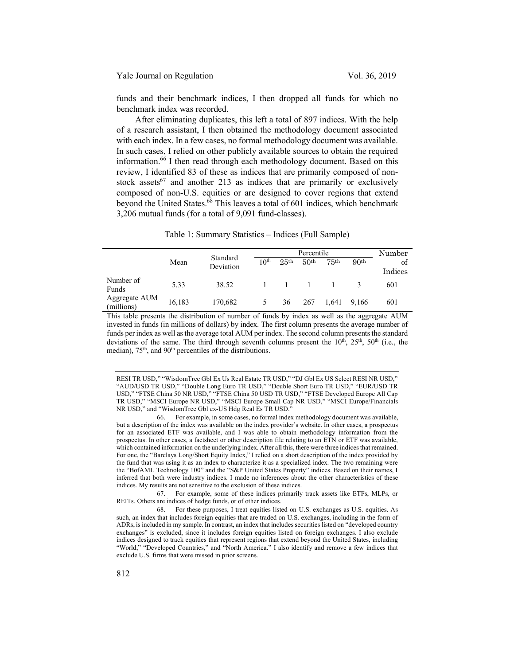funds and their benchmark indices, I then dropped all funds for which no benchmark index was recorded.

After eliminating duplicates, this left a total of 897 indices. With the help of a research assistant, I then obtained the methodology document associated with each index. In a few cases, no formal methodology document was available. In such cases, I relied on other publicly available sources to obtain the required information.66 I then read through each methodology document. Based on this review, I identified 83 of these as indices that are primarily composed of nonstock assets<sup>67</sup> and another 213 as indices that are primarily or exclusively composed of non-U.S. equities or are designed to cover regions that extend beyond the United States.68 This leaves a total of 601 indices, which benchmark 3,206 mutual funds (for a total of 9,091 fund-classes).

|                             |        | Standard<br>Deviation |                  | Percentile       |                  |                  |                  | Number  |
|-----------------------------|--------|-----------------------|------------------|------------------|------------------|------------------|------------------|---------|
|                             | Mean   |                       | 10 <sup>th</sup> | 25 <sup>th</sup> | 50 <sup>th</sup> | 75 <sup>th</sup> | 90 <sup>th</sup> | of      |
|                             |        |                       |                  |                  |                  |                  |                  | Indices |
| Number of<br>Funds          | 5.33   | 38.52                 |                  |                  |                  |                  |                  | 601     |
| Aggregate AUM<br>(millions) | 16,183 | 170,682               |                  | 36               | 267              | 1.641            | 9.166            | 601     |

This table presents the distribution of number of funds by index as well as the aggregate AUM invested in funds (in millions of dollars) by index. The first column presents the average number of funds per index as well as the average total AUM per index. The second column presents the standard deviations of the same. The third through seventh columns present the  $10<sup>th</sup>$ ,  $25<sup>th</sup>$ ,  $50<sup>th</sup>$  (i.e., the median), 75<sup>th</sup>, and 90<sup>th</sup> percentiles of the distributions.

RESI TR USD," "WisdomTree Gbl Ex Us Real Estate TR USD," "DJ Gbl Ex US Select RESI NR USD," "AUD/USD TR USD," "Double Long Euro TR USD," "Double Short Euro TR USD," "EUR/USD TR USD," "FTSE China 50 NR USD," "FTSE China 50 USD TR USD," "FTSE Developed Europe All Cap TR USD," "MSCI Europe NR USD," "MSCI Europe Small Cap NR USD," "MSCI Europe/Financials NR USD," and "WisdomTree Gbl ex-US Hdg Real Es TR USD."

66. For example, in some cases, no formal index methodology document was available, but a description of the index was available on the index provider's website. In other cases, a prospectus for an associated ETF was available, and I was able to obtain methodology information from the prospectus. In other cases, a factsheet or other description file relating to an ETN or ETF was available, which contained information on the underlying index. After all this, there were three indices that remained. For one, the "Barclays Long/Short Equity Index," I relied on a short description of the index provided by the fund that was using it as an index to characterize it as a specialized index. The two remaining were the "BofAML Technology 100" and the "S&P United States Property" indices. Based on their names, I inferred that both were industry indices. I made no inferences about the other characteristics of these indices. My results are not sensitive to the exclusion of these indices.

67. For example, some of these indices primarily track assets like ETFs, MLPs, or REITs. Others are indices of hedge funds, or of other indices.

<sup>68.</sup> For these purposes, I treat equities listed on U.S. exchanges as U.S. equities. As such, an index that includes foreign equities that are traded on U.S. exchanges, including in the form of ADRs, is included in my sample. In contrast, an index that includes securities listed on "developed country exchanges" is excluded, since it includes foreign equities listed on foreign exchanges. I also exclude indices designed to track equities that represent regions that extend beyond the United States, including "World," "Developed Countries," and "North America." I also identify and remove a few indices that exclude U.S. firms that were missed in prior screens.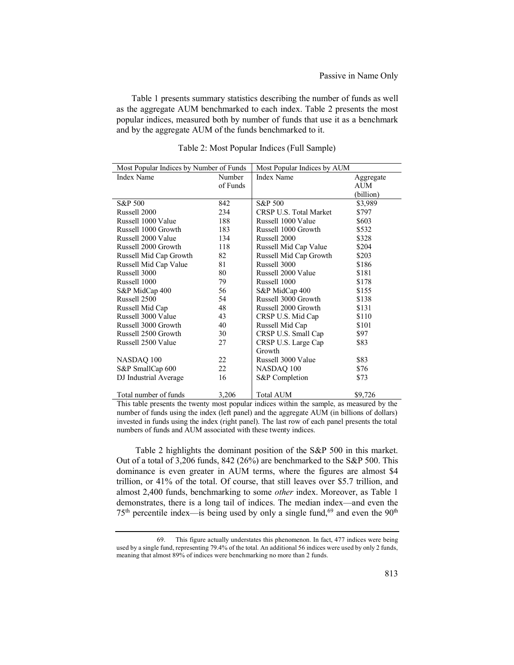Table 1 presents summary statistics describing the number of funds as well as the aggregate AUM benchmarked to each index. Table 2 presents the most popular indices, measured both by number of funds that use it as a benchmark and by the aggregate AUM of the funds benchmarked to it.

| Most Popular Indices by Number of Funds |          | Most Popular Indices by AUM |           |  |
|-----------------------------------------|----------|-----------------------------|-----------|--|
| <b>Index Name</b>                       | Number   | Index Name                  | Aggregate |  |
|                                         | of Funds |                             | AUM       |  |
|                                         |          |                             | (billion) |  |
| S&P 500                                 | 842      | S&P 500                     | \$3,989   |  |
| Russell 2000                            | 234      | CRSP U.S. Total Market      | \$797     |  |
| Russell 1000 Value                      | 188      | Russell 1000 Value          | \$603     |  |
| Russell 1000 Growth                     | 183      | Russell 1000 Growth         | \$532     |  |
| Russell 2000 Value                      | 134      | Russell 2000                | \$328     |  |
| Russell 2000 Growth                     | 118      | Russell Mid Cap Value       | \$204     |  |
| Russell Mid Cap Growth                  | 82       | Russell Mid Cap Growth      | \$203     |  |
| Russell Mid Cap Value                   | 81       | Russell 3000                | \$186     |  |
| Russell 3000                            | 80       | Russell 2000 Value          | \$181     |  |
| Russell 1000                            | 79       | Russell 1000                | \$178     |  |
| S&P MidCap 400                          | 56       | S&P MidCap 400              | \$155     |  |
| Russell 2500                            | 54       | Russell 3000 Growth         | \$138     |  |
| Russell Mid Cap                         | 48       | Russell 2000 Growth         | \$131     |  |
| Russell 3000 Value                      | 43       | CRSP U.S. Mid Cap           | \$110     |  |
| Russell 3000 Growth                     | 40       | Russell Mid Cap             | \$101     |  |
| Russell 2500 Growth                     | 30       | CRSP U.S. Small Cap         | \$97      |  |
| Russell 2500 Value                      | 27       | CRSP U.S. Large Cap         | \$83      |  |
|                                         |          | Growth                      |           |  |
| NASDAQ 100                              | 22       | Russell 3000 Value          | \$83      |  |
| S&P SmallCap 600                        | 22       | NASDAQ 100                  | \$76      |  |
| DJ Industrial Average                   | 16       | S&P Completion              | \$73      |  |
|                                         |          |                             |           |  |
| Total number of funds                   | 3,206    | Total AUM                   | \$9,726   |  |

Table 2: Most Popular Indices (Full Sample)

This table presents the twenty most popular indices within the sample, as measured by the number of funds using the index (left panel) and the aggregate AUM (in billions of dollars) invested in funds using the index (right panel). The last row of each panel presents the total numbers of funds and AUM associated with these twenty indices.

Table 2 highlights the dominant position of the S&P 500 in this market. Out of a total of 3,206 funds, 842 (26%) are benchmarked to the S&P 500. This dominance is even greater in AUM terms, where the figures are almost \$4 trillion, or 41% of the total. Of course, that still leaves over \$5.7 trillion, and almost 2,400 funds, benchmarking to some *other* index. Moreover, as Table 1 demonstrates, there is a long tail of indices. The median index—and even the  $75<sup>th</sup>$  percentile index—is being used by only a single fund,<sup>69</sup> and even the  $90<sup>th</sup>$ 

<sup>69.</sup> This figure actually understates this phenomenon. In fact, 477 indices were being used by a single fund, representing 79.4% of the total. An additional 56 indices were used by only 2 funds, meaning that almost 89% of indices were benchmarking no more than 2 funds.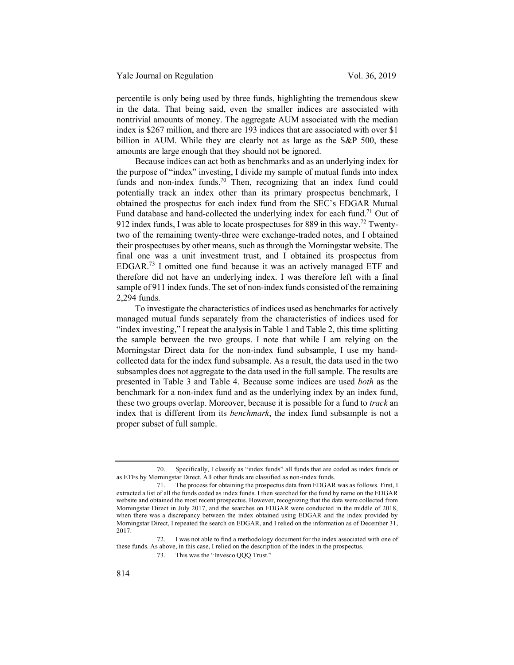percentile is only being used by three funds, highlighting the tremendous skew in the data. That being said, even the smaller indices are associated with nontrivial amounts of money. The aggregate AUM associated with the median index is \$267 million, and there are 193 indices that are associated with over \$1 billion in AUM. While they are clearly not as large as the S&P 500, these amounts are large enough that they should not be ignored.

Because indices can act both as benchmarks and as an underlying index for the purpose of "index" investing, I divide my sample of mutual funds into index funds and non-index funds.<sup>70</sup> Then, recognizing that an index fund could potentially track an index other than its primary prospectus benchmark, I obtained the prospectus for each index fund from the SEC's EDGAR Mutual Fund database and hand-collected the underlying index for each fund.<sup>71</sup> Out of 912 index funds, I was able to locate prospectuses for 889 in this way.<sup>72</sup> Twentytwo of the remaining twenty-three were exchange-traded notes, and I obtained their prospectuses by other means, such as through the Morningstar website. The final one was a unit investment trust, and I obtained its prospectus from EDGAR.<sup>73</sup> I omitted one fund because it was an actively managed ETF and therefore did not have an underlying index. I was therefore left with a final sample of 911 index funds. The set of non-index funds consisted of the remaining 2,294 funds.

To investigate the characteristics of indices used as benchmarks for actively managed mutual funds separately from the characteristics of indices used for "index investing," I repeat the analysis in Table 1 and Table 2, this time splitting the sample between the two groups. I note that while I am relying on the Morningstar Direct data for the non-index fund subsample, I use my handcollected data for the index fund subsample. As a result, the data used in the two subsamples does not aggregate to the data used in the full sample. The results are presented in Table 3 and Table 4. Because some indices are used *both* as the benchmark for a non-index fund and as the underlying index by an index fund, these two groups overlap. Moreover, because it is possible for a fund to *track* an index that is different from its *benchmark*, the index fund subsample is not a proper subset of full sample.

<sup>70.</sup> Specifically, I classify as "index funds" all funds that are coded as index funds or as ETFs by Morningstar Direct. All other funds are classified as non-index funds.

<sup>71.</sup> The process for obtaining the prospectus data from EDGAR was as follows. First, I extracted a list of all the funds coded as index funds. I then searched for the fund by name on the EDGAR website and obtained the most recent prospectus. However, recognizing that the data were collected from Morningstar Direct in July 2017, and the searches on EDGAR were conducted in the middle of 2018, when there was a discrepancy between the index obtained using EDGAR and the index provided by Morningstar Direct, I repeated the search on EDGAR, and I relied on the information as of December 31, 2017.

<sup>72.</sup> I was not able to find a methodology document for the index associated with one of these funds. As above, in this case, I relied on the description of the index in the prospectus.

<sup>73.</sup> This was the "Invesco QQQ Trust."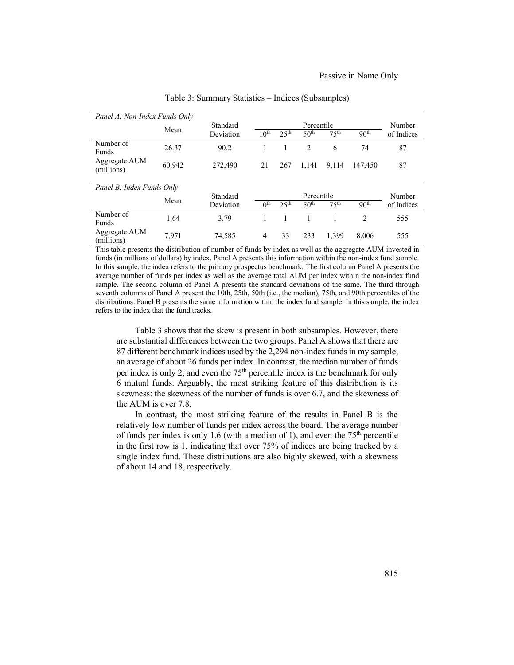| Panel A: Non-Index Funds Only |        |           |                  |                  |                  |                  |                  |            |
|-------------------------------|--------|-----------|------------------|------------------|------------------|------------------|------------------|------------|
|                               |        | Standard  |                  |                  | Percentile       |                  |                  | Number     |
|                               | Mean   | Deviation | 10 <sup>th</sup> | 25 <sup>th</sup> | 50 <sup>th</sup> | 75 <sup>th</sup> | 90 <sup>th</sup> | of Indices |
| Number of<br><b>Funds</b>     | 26.37  | 90.2      |                  |                  | $\overline{2}$   | 6                | 74               | 87         |
| Aggregate AUM<br>(millions)   | 60,942 | 272,490   | 21               | 267              | 1,141            | 9.114            | 147.450          | 87         |
|                               |        |           |                  |                  |                  |                  |                  |            |
| Panel B: Index Funds Only     |        |           |                  |                  |                  |                  |                  |            |
|                               | Mean   | Standard  |                  |                  | Percentile       |                  |                  | Number     |
|                               |        | Deviation | 10 <sup>th</sup> | 25 <sup>th</sup> | 50 <sup>th</sup> | 75 <sup>th</sup> | 90 <sup>th</sup> | of Indices |
| Number of<br>Funds            | 1.64   | 3.79      |                  |                  |                  |                  | 2                | 555        |
| Aggregate AUM<br>(millions)   | 7.971  | 74,585    | $\overline{4}$   | 33               | 233              | 1.399            | 8.006            | 555        |

Table 3: Summary Statistics – Indices (Subsamples)

This table presents the distribution of number of funds by index as well as the aggregate AUM invested in funds (in millions of dollars) by index. Panel A presents this information within the non-index fund sample. In this sample, the index refers to the primary prospectus benchmark. The first column Panel A presents the average number of funds per index as well as the average total AUM per index within the non-index fund sample. The second column of Panel A presents the standard deviations of the same. The third through seventh columns of Panel A present the 10th, 25th, 50th (i.e., the median), 75th, and 90th percentiles of the distributions. Panel B presents the same information within the index fund sample. In this sample, the index refers to the index that the fund tracks.

Table 3 shows that the skew is present in both subsamples. However, there are substantial differences between the two groups. Panel A shows that there are 87 different benchmark indices used by the 2,294 non-index funds in my sample, an average of about 26 funds per index. In contrast, the median number of funds per index is only 2, and even the  $75<sup>th</sup>$  percentile index is the benchmark for only 6 mutual funds. Arguably, the most striking feature of this distribution is its skewness: the skewness of the number of funds is over 6.7, and the skewness of the AUM is over 7.8.

In contrast, the most striking feature of the results in Panel B is the relatively low number of funds per index across the board. The average number of funds per index is only 1.6 (with a median of 1), and even the  $75<sup>th</sup>$  percentile in the first row is 1, indicating that over 75% of indices are being tracked by a single index fund. These distributions are also highly skewed, with a skewness of about 14 and 18, respectively.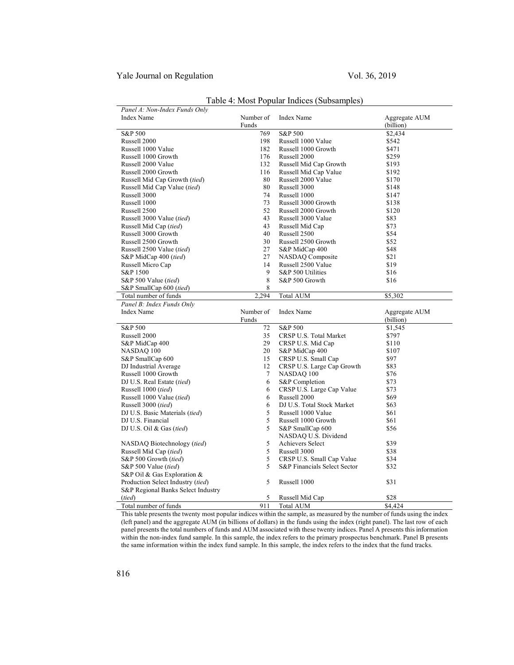## Yale Journal on Regulation Vol. 36, 2019

| Panel A: Non-Index Funds Only      |           |                              |               |
|------------------------------------|-----------|------------------------------|---------------|
| <b>Index Name</b>                  | Number of | Index Name                   | Aggregate AUM |
|                                    | Funds     |                              | (billion)     |
| S&P 500                            | 769       | S&P 500                      | \$2.434       |
| Russell 2000                       | 198       | Russell 1000 Value           | \$542         |
| Russell 1000 Value                 | 182       | Russell 1000 Growth          | \$471         |
| Russell 1000 Growth                | 176       | Russell 2000                 | \$259         |
| Russell 2000 Value                 | 132       | Russell Mid Cap Growth       | \$193         |
| Russell 2000 Growth                | 116       | Russell Mid Cap Value        | \$192         |
| Russell Mid Cap Growth (tied)      | 80        | Russell 2000 Value           | \$170         |
| Russell Mid Cap Value (tied)       | 80        | Russell 3000                 | \$148         |
| Russell 3000                       | 74        | Russell 1000                 | \$147         |
| Russell 1000                       | 73        | Russell 3000 Growth          | \$138         |
| Russell 2500                       | 52        | Russell 2000 Growth          | \$120         |
| Russell 3000 Value (tied)          | 43        | Russell 3000 Value           | \$83          |
| Russell Mid Cap (tied)             | 43        | Russell Mid Cap              | \$73          |
| Russell 3000 Growth                | 40        | Russell 2500                 | \$54          |
| Russell 2500 Growth                | 30        | Russell 2500 Growth          | \$52          |
| Russell 2500 Value (tied)          | 27        | S&P MidCap 400               | \$48          |
| S&P MidCap 400 (tied)              | 27        | NASDAQ Composite             | \$21          |
| Russell Micro Cap                  | 14        | Russell 2500 Value           | \$19          |
| S&P 1500                           | 9         | S&P 500 Utilities            | \$16          |
| S&P 500 Value (tied)               | 8         | S&P 500 Growth               | \$16          |
| S&P SmallCap 600 (tied)            | 8         |                              |               |
| Total number of funds              | 2,294     | <b>Total AUM</b>             | \$5,302       |
| Panel B: Index Funds Only          |           |                              |               |
|                                    |           |                              |               |
| <b>Index Name</b>                  | Number of | <b>Index Name</b>            | Aggregate AUM |
|                                    | Funds     |                              | (billion)     |
| S&P 500                            | 72        | S&P 500                      | \$1,545       |
| Russell 2000                       | 35        | CRSP U.S. Total Market       | \$797         |
| S&P MidCap 400                     | 29        | CRSP U.S. Mid Cap            | \$110         |
| NASDAQ 100                         | 20        | S&P MidCap 400               | \$107         |
| S&P SmallCap 600                   | 15        | CRSP U.S. Small Cap          | \$97          |
| DJ Industrial Average              | 12        | CRSP U.S. Large Cap Growth   | \$83          |
| Russell 1000 Growth                | $\tau$    | NASDAQ 100                   | \$76          |
| DJ U.S. Real Estate (tied)         | 6         | S&P Completion               | \$73          |
| Russell 1000 (tied)                | 6         | CRSP U.S. Large Cap Value    | \$73          |
| Russell 1000 Value (tied)          | 6         | Russell 2000                 | \$69          |
| Russell 3000 (tied)                | 6         | DJ U.S. Total Stock Market   | \$63          |
| DJ U.S. Basic Materials (tied)     | 5         | Russell 1000 Value           | \$61          |
| DJ U.S. Financial                  | 5         | Russell 1000 Growth          | \$61          |
| DJ U.S. Oil $&$ Gas (tied)         | 5         | S&P SmallCap 600             | \$56          |
|                                    |           | NASDAQ U.S. Dividend         |               |
| NASDAQ Biotechnology (tied)        | 5         | Achievers Select             | \$39          |
| Russell Mid Cap (tied)             | 5         | Russell 3000                 | \$38          |
| S&P 500 Growth (tied)              | 5         | CRSP U.S. Small Cap Value    | \$34          |
| S&P 500 Value (tied)               | 5         | S&P Financials Select Sector | \$32          |
| S&P Oil & Gas Exploration &        |           |                              |               |
| Production Select Industry (tied)  | 5         | Russell 1000                 | \$31          |
| S&P Regional Banks Select Industry |           |                              |               |
| (tied)                             | 5         | Russell Mid Cap              | \$28          |

## Table 4: Most Popular Indices (Subsamples)

This table presents the twenty most popular indices within the sample, as measured by the number of funds using the index (left panel) and the aggregate AUM (in billions of dollars) in the funds using the index (right panel). The last row of each panel presents the total numbers of funds and AUM associated with these twenty indices. Panel A presents this information within the non-index fund sample. In this sample, the index refers to the primary prospectus benchmark. Panel B presents the same information within the index fund sample. In this sample, the index refers to the index that the fund tracks.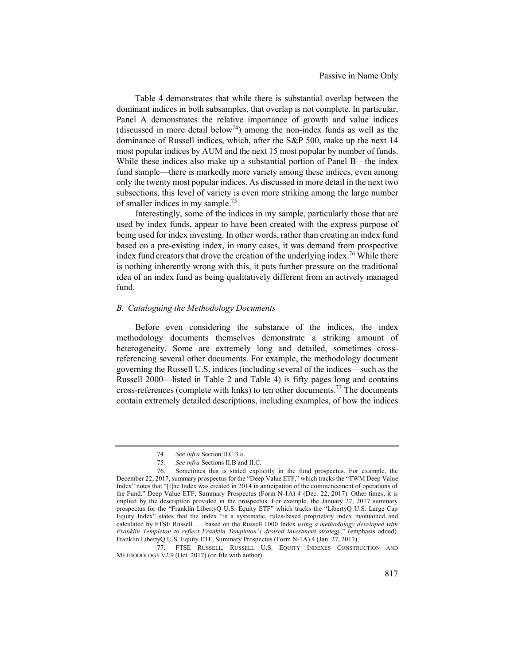Table 4 demonstrates that while there is substantial overlap between the dominant indices in both subsamples, that overlap is not complete. In particular, Panel A demonstrates the relative importance of growth and value indices (discussed in more detail below<sup>74</sup>) among the non-index funds as well as the dominance of Russell indices, which, after the S&P 500, make up the next 14 most popular indices by AUM and the next 15 most popular by number of funds. While these indices also make up a substantial portion of Panel B—the index fund sample—there is markedly more variety among these indices, even among only the twenty most popular indices. As discussed in more detail in the next two subsections, this level of variety is even more striking among the large number of smaller indices in my sample.75

Interestingly, some of the indices in my sample, particularly those that are used by index funds, appear to have been created with the express purpose of being used for index investing. In other words, rather than creating an index fund based on a pre-existing index, in many cases, it was demand from prospective index fund creators that drove the creation of the underlying index.<sup>76</sup> While there is nothing inherently wrong with this, it puts further pressure on the traditional idea of an index fund as being qualitatively different from an actively managed fund.

#### *B. Cataloguing the Methodology Documents*

Before even considering the substance of the indices, the index methodology documents themselves demonstrate a striking amount of heterogeneity. Some are extremely long and detailed, sometimes crossreferencing several other documents. For example, the methodology document governing the Russell U.S. indices (including several of the indices—such as the Russell 2000—listed in Table 2 and Table 4) is fifty pages long and contains cross-references (complete with links) to ten other documents.<sup>77</sup> The documents contain extremely detailed descriptions, including examples, of how the indices

<sup>74</sup>*. See infra* Section II.C.3.a.

<sup>75</sup>*. See infra* Sections II.B and II.C.

<sup>76.</sup> Sometimes this is stated explicitly in the fund prospectus. For example, the December 22, 2017, summary prospectus for the "Deep Value ETF," which tracks the "TWM Deep Value Index" notes that "[t]he Index was created in 2014 in anticipation of the commencement of operations of the Fund." Deep Value ETF, Summary Prospectus (Form N-1A) 4 (Dec. 22, 2017). Other times, it is implied by the description provided in the prospectus. For example, the January 27, 2017 summary prospectus for the "Franklin LibertyQ U.S. Equity ETF" which tracks the "LibertyQ U.S. Large Cap Equity Index" states that the index "is a systematic, rules-based proprietary index maintained and calculated by FTSE Russell . . . based on the Russell 1000 Index *using a methodology developed with Franklin Templeton to reflect Franklin Templeton's desired investment strategy*." (emphasis added). Franklin LibertyQ U.S. Equity ETF, Summary Prospectus (Form N-1A) 4 (Jan. 27, 2017).

<sup>77.</sup> FTSE RUSSELL, RUSSELL U.S. EQUITY INDEXES CONSTRUCTION AND METHODOLOGY V2.9 (Oct. 2017) (on file with author).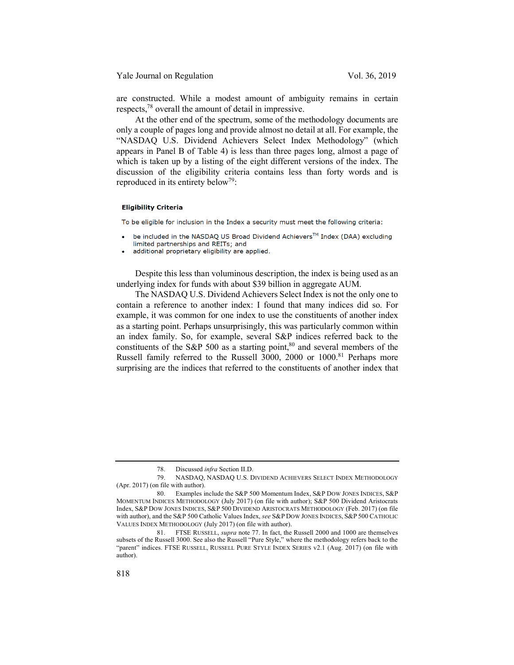Yale Journal on Regulation Vol. 36, 2019

are constructed. While a modest amount of ambiguity remains in certain respects,78 overall the amount of detail in impressive.

At the other end of the spectrum, some of the methodology documents are only a couple of pages long and provide almost no detail at all. For example, the "NASDAQ U.S. Dividend Achievers Select Index Methodology" (which appears in Panel B of Table 4) is less than three pages long, almost a page of which is taken up by a listing of the eight different versions of the index. The discussion of the eligibility criteria contains less than forty words and is reproduced in its entirety below<sup>79</sup>:

#### **Eligibility Criteria**

To be eligible for inclusion in the Index a security must meet the following criteria:

- be included in the NASDAQ US Broad Dividend Achievers™ Index (DAA) excluding limited partnerships and REITs; and
- additional proprietary eligibility are applied.

Despite this less than voluminous description, the index is being used as an underlying index for funds with about \$39 billion in aggregate AUM.

The NASDAQ U.S. Dividend Achievers Select Index is not the only one to contain a reference to another index: I found that many indices did so. For example, it was common for one index to use the constituents of another index as a starting point. Perhaps unsurprisingly, this was particularly common within an index family. So, for example, several S&P indices referred back to the constituents of the S&P 500 as a starting point, $80$  and several members of the Russell family referred to the Russell 3000, 2000 or 1000.<sup>81</sup> Perhaps more surprising are the indices that referred to the constituents of another index that

<sup>78.</sup> Discussed *infra* Section II.D.

<sup>79.</sup> NASDAQ, NASDAQ U.S. DIVIDEND ACHIEVERS SELECT INDEX METHODOLOGY (Apr. 2017) (on file with author).

<sup>80.</sup> Examples include the S&P 500 Momentum Index, S&P DOW JONES INDICES, S&P MOMENTUM INDICES METHODOLOGY (July 2017) (on file with author); S&P 500 Dividend Aristocrats Index, S&P DOW JONES INDICES, S&P 500 DIVIDEND ARISTOCRATS METHODOLOGY (Feb. 2017) (on file with author), and the S&P 500 Catholic Values Index, *see* S&P DOW JONES INDICES, S&P 500 CATHOLIC VALUES INDEX METHODOLOGY (July 2017) (on file with author).

<sup>81.</sup> FTSE RUSSELL, *supra* note 77. In fact, the Russell 2000 and 1000 are themselves subsets of the Russell 3000. See also the Russell "Pure Style," where the methodology refers back to the "parent" indices. FTSE RUSSELL, RUSSELL PURE STYLE INDEX SERIES v2.1 (Aug. 2017) (on file with author).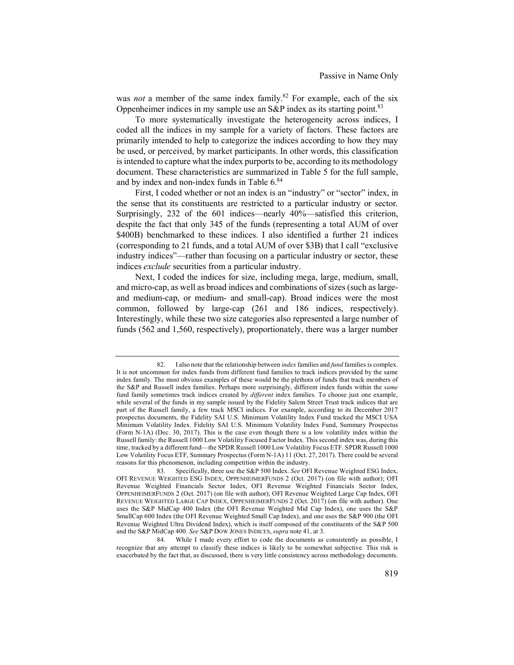was *not* a member of the same index family.<sup>82</sup> For example, each of the six Oppenheimer indices in my sample use an  $S\&P$  index as its starting point.<sup>83</sup>

To more systematically investigate the heterogeneity across indices, I coded all the indices in my sample for a variety of factors. These factors are primarily intended to help to categorize the indices according to how they may be used, or perceived, by market participants. In other words, this classification is intended to capture what the index purports to be, according to its methodology document. These characteristics are summarized in Table 5 for the full sample, and by index and non-index funds in Table 6. 84

First, I coded whether or not an index is an "industry" or "sector" index, in the sense that its constituents are restricted to a particular industry or sector. Surprisingly, 232 of the 601 indices—nearly 40%—satisfied this criterion, despite the fact that only 345 of the funds (representing a total AUM of over \$400B) benchmarked to these indices. I also identified a further 21 indices (corresponding to 21 funds, and a total AUM of over \$3B) that I call "exclusive industry indices"—rather than focusing on a particular industry or sector, these indices *exclude* securities from a particular industry.

Next, I coded the indices for size, including mega, large, medium, small, and micro-cap, as well as broad indices and combinations of sizes (such as largeand medium-cap, or medium- and small-cap). Broad indices were the most common, followed by large-cap (261 and 186 indices, respectively). Interestingly, while these two size categories also represented a large number of funds (562 and 1,560, respectively), proportionately, there was a larger number

<sup>82.</sup> I also note that the relationship between *index* families and *fund* families is complex. It is not uncommon for index funds from different fund families to track indices provided by the same index family. The most obvious examples of these would be the plethora of funds that track members of the S&P and Russell index families. Perhaps more surprisingly, different index funds within the *same* fund family sometimes track indices created by *different* index families. To choose just one example, while several of the funds in my sample issued by the Fidelity Salem Street Trust track indices that are part of the Russell family, a few track MSCI indices. For example, according to its December 2017 prospectus documents, the Fidelity SAI U.S. Minimum Volatility Index Fund tracked the MSCI USA Minimum Volatility Index. Fidelity SAI U.S. Minimum Volatility Index Fund, Summary Prospectus (Form N-1A) (Dec. 30, 2017). This is the case even though there is a low volatility index within the Russell family: the Russell 1000 Low Volatility Focused Factor Index. This second index was, during this time, tracked by a different fund—the SPDR Russell 1000 Low Volatility Focus ETF. SPDR Russell 1000 Low Volatility Focus ETF, Summary Prospectus (Form N-1A) 11 (Oct. 27, 2017). There could be several reasons for this phenomenon, including competition within the industry.

<sup>83.</sup> Specifically, three use the S&P 500 Index. *See* OFI Revenue Weighted ESG Index, OFI REVENUE WEIGHTED ESG INDEX, OPPENHEIMERFUNDS 2 (Oct. 2017) (on file with author); OFI Revenue Weighted Financials Sector Index, OFI Revenue Weighted Financials Sector Index, OPPENHEIMERFUNDS 2 (Oct. 2017) (on file with author); OFI Revenue Weighted Large Cap Index, OFI REVENUE WEIGHTED LARGE CAP INDEX, OPPENHEIMERFUNDS 2 (Oct. 2017) (on file with author). One uses the S&P MidCap 400 Index (the OFI Revenue Weighted Mid Cap Index), one uses the S&P SmallCap 600 Index (the OFI Revenue Weighted Small Cap Index), and one uses the S&P 900 (the OFI Revenue Weighted Ultra Dividend Index), which is itself composed of the constituents of the S&P 500 and the S&P MidCap 400. *See* S&P DOW JONES INDICES, *supra* note 41, at 3.

<sup>84.</sup> While I made every effort to code the documents as consistently as possible, I recognize that any attempt to classify these indices is likely to be somewhat subjective. This risk is exacerbated by the fact that, as discussed, there is very little consistency across methodology documents.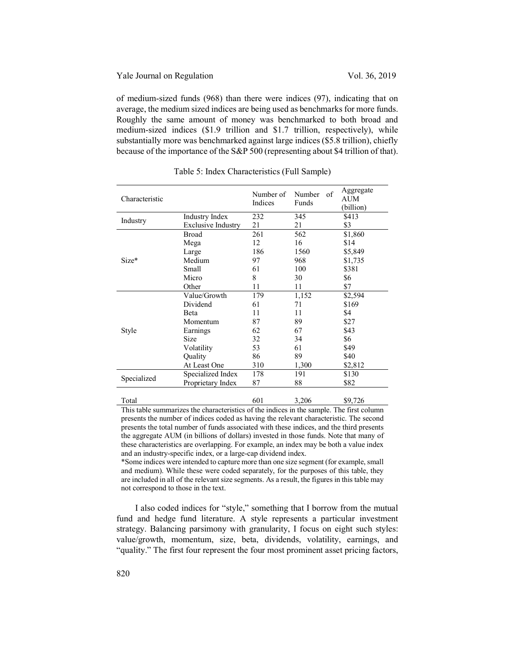of medium-sized funds (968) than there were indices (97), indicating that on average, the medium sized indices are being used as benchmarks for more funds. Roughly the same amount of money was benchmarked to both broad and medium-sized indices (\$1.9 trillion and \$1.7 trillion, respectively), while substantially more was benchmarked against large indices (\$5.8 trillion), chiefly because of the importance of the S&P 500 (representing about \$4 trillion of that).

| Characteristic |                           | Number of<br>Indices | of<br>Number<br>Funds | Aggregate<br>AUM<br>(billion) |
|----------------|---------------------------|----------------------|-----------------------|-------------------------------|
|                | Industry Index            | 232                  | 345                   | \$413                         |
| Industry       | <b>Exclusive Industry</b> | 21                   | 21                    | \$3                           |
|                | Broad                     | 261                  | 562                   | \$1,860                       |
|                | Mega                      | 12                   | 16                    | \$14                          |
|                | Large                     | 186                  | 1560                  | \$5,849                       |
| Size*          | Medium                    | 97                   | 968                   | \$1,735                       |
|                | Small                     | 61                   | 100                   | \$381                         |
|                | Micro                     | 8                    | 30                    | \$6                           |
|                | Other                     | 11                   | 11                    | \$7                           |
|                | Value/Growth              | 179                  | 1,152                 | \$2,594                       |
|                | Dividend                  | 61                   | 71                    | \$169                         |
|                | <b>Beta</b>               | 11                   | 11                    | \$4                           |
|                | Momentum                  | 87                   | 89                    | \$27                          |
| Style          | Earnings                  | 62                   | 67                    | \$43                          |
|                | Size                      | 32                   | 34                    | \$6                           |
|                | Volatility                | 53                   | 61                    | \$49                          |
|                | Quality                   | 86                   | 89                    | \$40                          |
|                | At Least One              | 310                  | 1,300                 | \$2,812                       |
|                | Specialized Index         | 178                  | 191                   | \$130                         |
| Specialized    | Proprietary Index         | 87                   | 88                    | \$82                          |
| Total          |                           | 601                  | 3,206                 | \$9,726                       |

Table 5: Index Characteristics (Full Sample)

This table summarizes the characteristics of the indices in the sample. The first column presents the number of indices coded as having the relevant characteristic. The second presents the total number of funds associated with these indices, and the third presents the aggregate AUM (in billions of dollars) invested in those funds. Note that many of these characteristics are overlapping. For example, an index may be both a value index and an industry-specific index, or a large-cap dividend index.

\*Some indices were intended to capture more than one size segment (for example, small and medium). While these were coded separately, for the purposes of this table, they are included in all of the relevant size segments. As a result, the figures in this table may not correspond to those in the text.

I also coded indices for "style," something that I borrow from the mutual fund and hedge fund literature. A style represents a particular investment strategy. Balancing parsimony with granularity, I focus on eight such styles: value/growth, momentum, size, beta, dividends, volatility, earnings, and "quality." The first four represent the four most prominent asset pricing factors,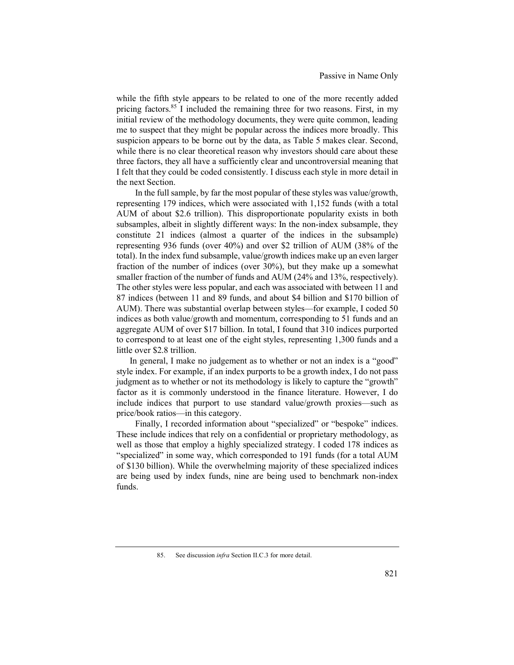while the fifth style appears to be related to one of the more recently added pricing factors.<sup>85</sup> I included the remaining three for two reasons. First, in my initial review of the methodology documents, they were quite common, leading me to suspect that they might be popular across the indices more broadly. This suspicion appears to be borne out by the data, as Table 5 makes clear. Second, while there is no clear theoretical reason why investors should care about these three factors, they all have a sufficiently clear and uncontroversial meaning that I felt that they could be coded consistently. I discuss each style in more detail in the next Section.

In the full sample, by far the most popular of these styles was value/growth, representing 179 indices, which were associated with 1,152 funds (with a total AUM of about \$2.6 trillion). This disproportionate popularity exists in both subsamples, albeit in slightly different ways: In the non-index subsample, they constitute 21 indices (almost a quarter of the indices in the subsample) representing 936 funds (over 40%) and over \$2 trillion of AUM (38% of the total). In the index fund subsample, value/growth indices make up an even larger fraction of the number of indices (over 30%), but they make up a somewhat smaller fraction of the number of funds and AUM (24% and 13%, respectively). The other styles were less popular, and each was associated with between 11 and 87 indices (between 11 and 89 funds, and about \$4 billion and \$170 billion of AUM). There was substantial overlap between styles—for example, I coded 50 indices as both value/growth and momentum, corresponding to 51 funds and an aggregate AUM of over \$17 billion. In total, I found that 310 indices purported to correspond to at least one of the eight styles, representing 1,300 funds and a little over \$2.8 trillion.

In general, I make no judgement as to whether or not an index is a "good" style index. For example, if an index purports to be a growth index, I do not pass judgment as to whether or not its methodology is likely to capture the "growth" factor as it is commonly understood in the finance literature. However, I do include indices that purport to use standard value/growth proxies—such as price/book ratios—in this category.

Finally, I recorded information about "specialized" or "bespoke" indices. These include indices that rely on a confidential or proprietary methodology, as well as those that employ a highly specialized strategy. I coded 178 indices as "specialized" in some way, which corresponded to 191 funds (for a total AUM of \$130 billion). While the overwhelming majority of these specialized indices are being used by index funds, nine are being used to benchmark non-index funds.

<sup>85.</sup> See discussion *infra* Section II.C.3 for more detail.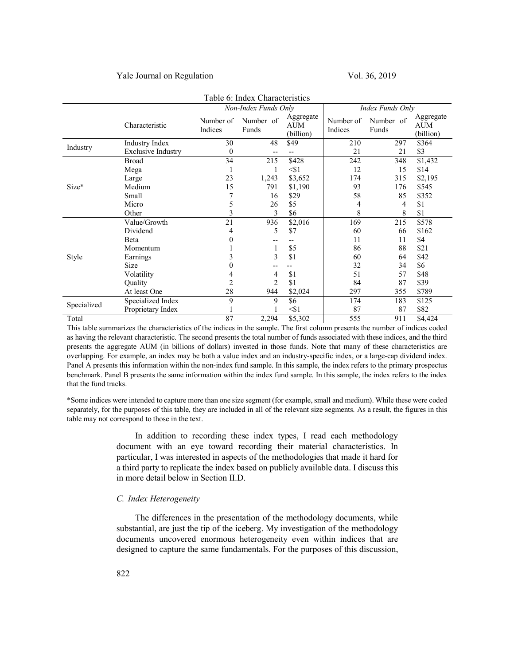### Yale Journal on Regulation Vol. 36, 2019

| Table 6: Index Characteristics |                           |                      |                    |                                      |                      |                    |                                      |
|--------------------------------|---------------------------|----------------------|--------------------|--------------------------------------|----------------------|--------------------|--------------------------------------|
|                                |                           | Non-Index Funds Only |                    |                                      | Index Funds Only     |                    |                                      |
|                                | Characteristic            | Number of<br>Indices | Number of<br>Funds | Aggregate<br><b>AUM</b><br>(billion) | Number of<br>Indices | Number of<br>Funds | Aggregate<br><b>AUM</b><br>(billion) |
|                                | Industry Index            | 30                   | 48                 | \$49                                 | 210                  | 297                | \$364                                |
| Industry                       | <b>Exclusive Industry</b> | $\theta$             |                    |                                      | 21                   | 21                 | \$3                                  |
|                                | <b>Broad</b>              | 34                   | 215                | \$428                                | 242                  | 348                | \$1,432                              |
|                                | Mega                      |                      |                    | $<$ \$1                              | 12                   | 15                 | \$14                                 |
|                                | Large                     | 23                   | 1,243              | \$3,652                              | 174                  | 315                | \$2,195                              |
| Size*                          | Medium                    | 15                   | 791                | \$1,190                              | 93                   | 176                | \$545                                |
|                                | Small                     | 7                    | 16                 | \$29                                 | 58                   | 85                 | \$352                                |
|                                | Micro                     | 5                    | 26                 | \$5                                  | 4                    | 4                  | \$1                                  |
|                                | Other                     | 3                    | 3                  | \$6                                  | 8                    | 8                  | \$1                                  |
|                                | Value/Growth              | 21                   | 936                | \$2,016                              | 169                  | 215                | \$578                                |
|                                | Dividend                  | 4                    | 5                  | \$7                                  | 60                   | 66                 | \$162                                |
|                                | Beta                      | 0                    |                    |                                      | 11                   | 11                 | \$4                                  |
|                                | Momentum                  |                      |                    | \$5                                  | 86                   | 88                 | \$21                                 |
| Style                          | Earnings                  | 3                    | 3                  | \$1                                  | 60                   | 64                 | \$42                                 |
|                                | Size                      | $\theta$             |                    |                                      | 32                   | 34                 | \$6                                  |
|                                | Volatility                | 4                    | 4                  | \$1                                  | 51                   | 57                 | \$48                                 |
|                                | Ouality                   | $\overline{c}$       | $\overline{2}$     | \$1                                  | 84                   | 87                 | \$39                                 |
|                                | At least One              | 28                   | 944                | \$2,024                              | 297                  | 355                | \$789                                |
|                                | Specialized Index         | 9                    | 9                  | \$6                                  | 174                  | 183                | \$125                                |
| Specialized                    | Proprietary Index         |                      |                    | < 1                                  | 87                   | 87                 | \$82                                 |
| Total                          |                           | 87                   | 2,294              | \$5,302                              | 555                  | 911                | \$4,424                              |

This table summarizes the characteristics of the indices in the sample. The first column presents the number of indices coded as having the relevant characteristic. The second presents the total number of funds associated with these indices, and the third presents the aggregate AUM (in billions of dollars) invested in those funds. Note that many of these characteristics are overlapping. For example, an index may be both a value index and an industry-specific index, or a large-cap dividend index. Panel A presents this information within the non-index fund sample. In this sample, the index refers to the primary prospectus benchmark. Panel B presents the same information within the index fund sample. In this sample, the index refers to the index that the fund tracks.

\*Some indices were intended to capture more than one size segment (for example, small and medium). While these were coded separately, for the purposes of this table, they are included in all of the relevant size segments. As a result, the figures in this table may not correspond to those in the text.

> In addition to recording these index types, I read each methodology document with an eye toward recording their material characteristics. In particular, I was interested in aspects of the methodologies that made it hard for a third party to replicate the index based on publicly available data. I discuss this in more detail below in Section II.D.

## *C. Index Heterogeneity*

The differences in the presentation of the methodology documents, while substantial, are just the tip of the iceberg. My investigation of the methodology documents uncovered enormous heterogeneity even within indices that are designed to capture the same fundamentals. For the purposes of this discussion,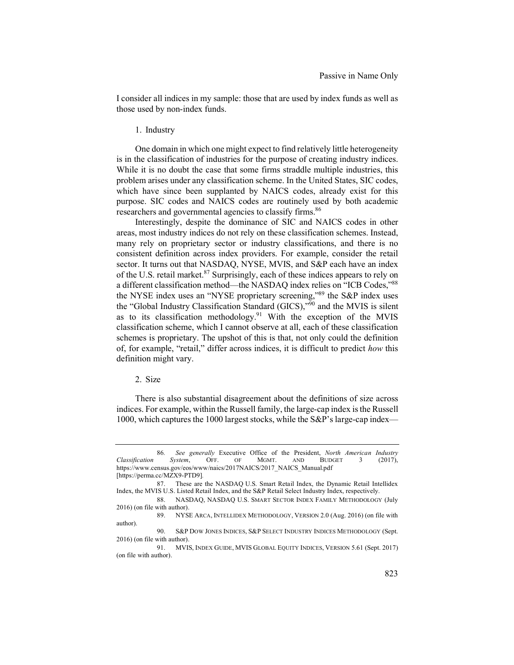I consider all indices in my sample: those that are used by index funds as well as those used by non-index funds.

#### 1. Industry

One domain in which one might expect to find relatively little heterogeneity is in the classification of industries for the purpose of creating industry indices. While it is no doubt the case that some firms straddle multiple industries, this problem arises under any classification scheme. In the United States, SIC codes, which have since been supplanted by NAICS codes, already exist for this purpose. SIC codes and NAICS codes are routinely used by both academic researchers and governmental agencies to classify firms.<sup>86</sup>

Interestingly, despite the dominance of SIC and NAICS codes in other areas, most industry indices do not rely on these classification schemes. Instead, many rely on proprietary sector or industry classifications, and there is no consistent definition across index providers. For example, consider the retail sector. It turns out that NASDAQ, NYSE, MVIS, and S&P each have an index of the U.S. retail market.<sup>87</sup> Surprisingly, each of these indices appears to rely on a different classification method—the NASDAQ index relies on "ICB Codes,"88 the NYSE index uses an "NYSE proprietary screening,"<sup>89</sup> the S&P index uses the "Global Industry Classification Standard (GICS),"90 and the MVIS is silent as to its classification methodology.<sup>91</sup> With the exception of the MVIS classification scheme, which I cannot observe at all, each of these classification schemes is proprietary. The upshot of this is that, not only could the definition of, for example, "retail," differ across indices, it is difficult to predict *how* this definition might vary.

## 2. Size

There is also substantial disagreement about the definitions of size across indices. For example, within the Russell family, the large-cap index is the Russell 1000, which captures the 1000 largest stocks, while the S&P's large-cap index—

<sup>86</sup>*. See generally* Executive Office of the President, *North American Industry Classification System*, OFF. OF MGMT. AND BUDGET 3 (2017), https://www.census.gov/eos/www/naics/2017NAICS/2017\_NAICS\_Manual.pdf [https://perma.cc/MZX9-PTD9]*.*

<sup>87.</sup> These are the NASDAQ U.S. Smart Retail Index, the Dynamic Retail Intellidex Index, the MVIS U.S. Listed Retail Index, and the S&P Retail Select Industry Index, respectively.

<sup>88.</sup> NASDAQ, NASDAQ U.S. SMART SECTOR INDEX FAMILY METHODOLOGY (July 2016) (on file with author).

<sup>89.</sup> NYSE ARCA, INTELLIDEX METHODOLOGY, VERSION 2.0 (Aug. 2016) (on file with author).

<sup>90.</sup> S&P DOW JONES INDICES, S&P SELECT INDUSTRY INDICES METHODOLOGY (Sept. 2016) (on file with author).

<sup>91.</sup> MVIS, INDEX GUIDE, MVIS GLOBAL EQUITY INDICES, VERSION 5.61 (Sept. 2017) (on file with author).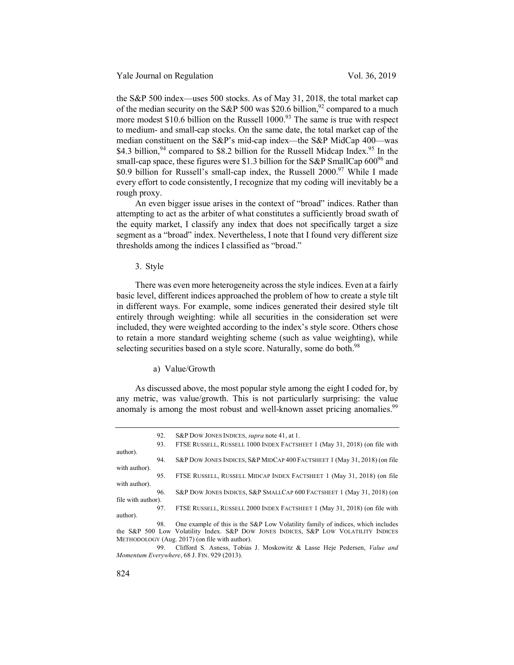Yale Journal on Regulation Vol. 36, 2019

the S&P 500 index—uses 500 stocks. As of May 31, 2018, the total market cap of the median security on the S&P 500 was \$20.6 billion,  $92$  compared to a much more modest \$10.6 billion on the Russell  $1000<sup>93</sup>$  The same is true with respect to medium- and small-cap stocks. On the same date, the total market cap of the median constituent on the S&P's mid-cap index—the S&P MidCap 400—was \$4.3 billion,  $94$  compared to \$8.2 billion for the Russell Midcap Index.  $95$  In the small-cap space, these figures were \$1.3 billion for the S&P SmallCap  $600^{96}$  and \$0.9 billion for Russell's small-cap index, the Russell 2000.<sup>97</sup> While I made every effort to code consistently, I recognize that my coding will inevitably be a rough proxy.

An even bigger issue arises in the context of "broad" indices. Rather than attempting to act as the arbiter of what constitutes a sufficiently broad swath of the equity market, I classify any index that does not specifically target a size segment as a "broad" index. Nevertheless, I note that I found very different size thresholds among the indices I classified as "broad."

3. Style

There was even more heterogeneity across the style indices. Even at a fairly basic level, different indices approached the problem of how to create a style tilt in different ways. For example, some indices generated their desired style tilt entirely through weighting: while all securities in the consideration set were included, they were weighted according to the index's style score. Others chose to retain a more standard weighting scheme (such as value weighting), while selecting securities based on a style score. Naturally, some do both.<sup>98</sup>

#### a) Value/Growth

As discussed above, the most popular style among the eight I coded for, by any metric, was value/growth. This is not particularly surprising: the value anomaly is among the most robust and well-known asset pricing anomalies.<sup>99</sup>

|                    | 92.<br>93. | S&P DOW JONES INDICES, <i>supra</i> note 41, at 1.<br>FTSE RUSSELL, RUSSELL 1000 INDEX FACTSHEET 1 (May 31, 2018) (on file with                                        |
|--------------------|------------|------------------------------------------------------------------------------------------------------------------------------------------------------------------------|
| author).           | 94.        | S&P DOW JONES INDICES, S&P MIDCAP 400 FACTSHEET 1 (May 31, 2018) (on file                                                                                              |
| with author).      | 95.        | FTSE RUSSELL, RUSSELL MIDCAP INDEX FACTSHEET 1 (May 31, 2018) (on file                                                                                                 |
| with author).      | 96.        | S&P DOW JONES INDICES, S&P SMALLCAP 600 FACTSHEET 1 (May 31, 2018) (on                                                                                                 |
| file with author). | 97.        | FTSE RUSSELL, RUSSELL 2000 INDEX FACTSHEET 1 (May 31, 2018) (on file with                                                                                              |
| author).           |            |                                                                                                                                                                        |
|                    | 98.        | One example of this is the S&P Low Volatility family of indices, which includes<br>the S&P 500 Low Volatility Index. S&P DOW JONES INDICES, S&P LOW VOLATILITY INDICES |
|                    |            | METHODOLOGY (Aug. 2017) (on file with author).                                                                                                                         |

99. Clifford S. Asness, Tobias J. Moskowitz & Lasse Heje Pedersen, *Value and Momentum Everywhere*, 68 J. FIN. 929 (2013).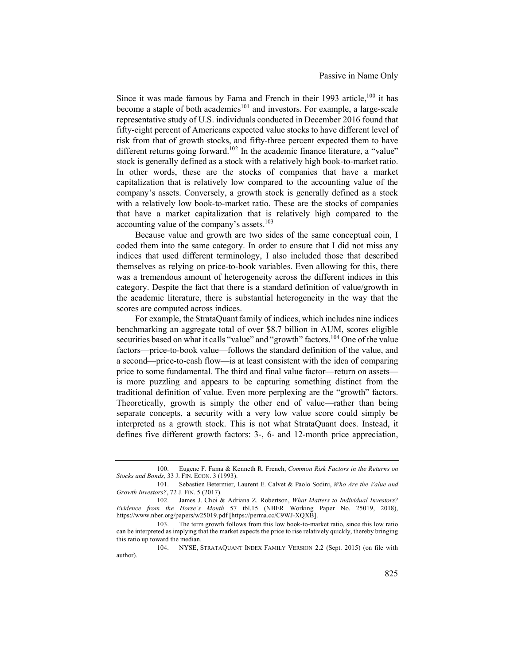Since it was made famous by Fama and French in their 1993 article,  $100$  it has become a staple of both academics<sup>101</sup> and investors. For example, a large-scale representative study of U.S. individuals conducted in December 2016 found that fifty-eight percent of Americans expected value stocks to have different level of risk from that of growth stocks, and fifty-three percent expected them to have different returns going forward.<sup>102</sup> In the academic finance literature, a "value" stock is generally defined as a stock with a relatively high book-to-market ratio. In other words, these are the stocks of companies that have a market capitalization that is relatively low compared to the accounting value of the company's assets. Conversely, a growth stock is generally defined as a stock with a relatively low book-to-market ratio. These are the stocks of companies that have a market capitalization that is relatively high compared to the accounting value of the company's assets.<sup>103</sup>

Because value and growth are two sides of the same conceptual coin, I coded them into the same category. In order to ensure that I did not miss any indices that used different terminology, I also included those that described themselves as relying on price-to-book variables. Even allowing for this, there was a tremendous amount of heterogeneity across the different indices in this category. Despite the fact that there is a standard definition of value/growth in the academic literature, there is substantial heterogeneity in the way that the scores are computed across indices.

For example, the StrataQuant family of indices, which includes nine indices benchmarking an aggregate total of over \$8.7 billion in AUM, scores eligible securities based on what it calls "value" and "growth" factors.<sup>104</sup> One of the value factors—price-to-book value—follows the standard definition of the value, and a second—price-to-cash flow—is at least consistent with the idea of comparing price to some fundamental. The third and final value factor—return on assets is more puzzling and appears to be capturing something distinct from the traditional definition of value. Even more perplexing are the "growth" factors. Theoretically, growth is simply the other end of value—rather than being separate concepts, a security with a very low value score could simply be interpreted as a growth stock. This is not what StrataQuant does. Instead, it defines five different growth factors: 3-, 6- and 12-month price appreciation,

<sup>100.</sup> Eugene F. Fama & Kenneth R. French, *Common Risk Factors in the Returns on Stocks and Bonds*, 33 J. FIN. ECON. 3 (1993).

<sup>101.</sup> Sebastien Betermier, Laurent E. Calvet & Paolo Sodini, *Who Are the Value and Growth Investors?*, 72 J. FIN. 5 (2017).

<sup>102.</sup> James J. Choi & Adriana Z. Robertson, *What Matters to Individual Investors? Evidence from the Horse's Mouth* 57 tbl.15 (NBER Working Paper No. 25019, 2018), https://www.nber.org/papers/w25019.pdf [https://perma.cc/C9WJ-XQXB].

<sup>103.</sup> The term growth follows from this low book-to-market ratio, since this low ratio can be interpreted as implying that the market expects the price to rise relatively quickly, thereby bringing this ratio up toward the median.

<sup>104.</sup> NYSE, STRATAQUANT INDEX FAMILY VERSION 2.2 (Sept. 2015) (on file with author).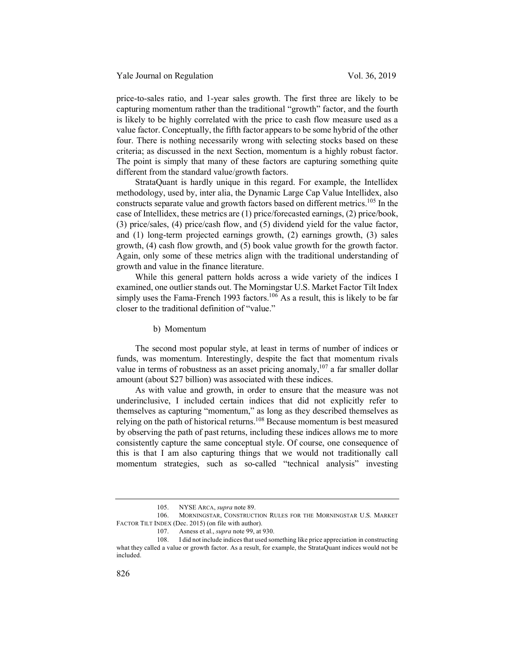price-to-sales ratio, and 1-year sales growth. The first three are likely to be capturing momentum rather than the traditional "growth" factor, and the fourth is likely to be highly correlated with the price to cash flow measure used as a value factor. Conceptually, the fifth factor appears to be some hybrid of the other four. There is nothing necessarily wrong with selecting stocks based on these criteria; as discussed in the next Section, momentum is a highly robust factor. The point is simply that many of these factors are capturing something quite different from the standard value/growth factors.

StrataQuant is hardly unique in this regard. For example, the Intellidex methodology, used by, inter alia, the Dynamic Large Cap Value Intellidex, also constructs separate value and growth factors based on different metrics.<sup>105</sup> In the case of Intellidex, these metrics are (1) price/forecasted earnings, (2) price/book, (3) price/sales, (4) price/cash flow, and (5) dividend yield for the value factor, and (1) long-term projected earnings growth, (2) earnings growth, (3) sales growth, (4) cash flow growth, and (5) book value growth for the growth factor. Again, only some of these metrics align with the traditional understanding of growth and value in the finance literature.

While this general pattern holds across a wide variety of the indices I examined, one outlier stands out. The Morningstar U.S. Market Factor Tilt Index simply uses the Fama-French 1993 factors.<sup>106</sup> As a result, this is likely to be far closer to the traditional definition of "value."

b) Momentum

The second most popular style, at least in terms of number of indices or funds, was momentum. Interestingly, despite the fact that momentum rivals value in terms of robustness as an asset pricing anomaly,<sup>107</sup> a far smaller dollar amount (about \$27 billion) was associated with these indices.

As with value and growth, in order to ensure that the measure was not underinclusive, I included certain indices that did not explicitly refer to themselves as capturing "momentum," as long as they described themselves as relying on the path of historical returns.<sup>108</sup> Because momentum is best measured by observing the path of past returns, including these indices allows me to more consistently capture the same conceptual style. Of course, one consequence of this is that I am also capturing things that we would not traditionally call momentum strategies, such as so-called "technical analysis" investing

<sup>105.</sup> NYSE ARCA, *supra* note 89.

<sup>106.</sup> MORNINGSTAR, CONSTRUCTION RULES FOR THE MORNINGSTAR U.S. MARKET FACTOR TILT INDEX (Dec. 2015) (on file with author).

<sup>107.</sup> Asness et al., *supra* note 99, at 930.

<sup>108.</sup> I did not include indices that used something like price appreciation in constructing what they called a value or growth factor. As a result, for example, the StrataQuant indices would not be included.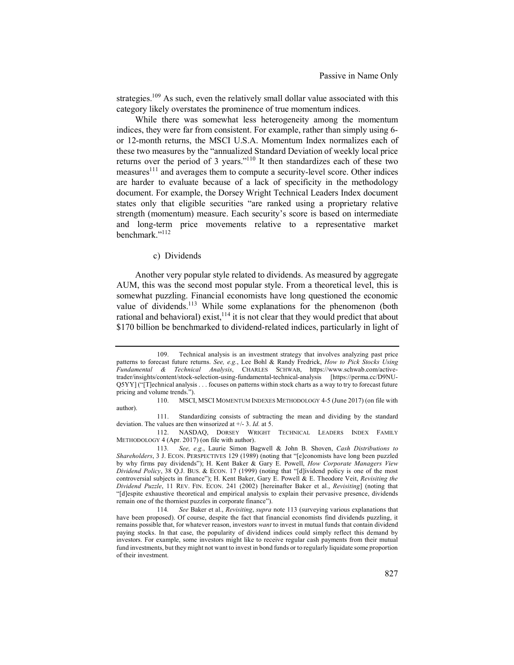strategies.<sup>109</sup> As such, even the relatively small dollar value associated with this category likely overstates the prominence of true momentum indices.

While there was somewhat less heterogeneity among the momentum indices, they were far from consistent. For example, rather than simply using 6 or 12-month returns, the MSCI U.S.A. Momentum Index normalizes each of these two measures by the "annualized Standard Deviation of weekly local price returns over the period of 3 years."<sup>110</sup> It then standardizes each of these two measures<sup>111</sup> and averages them to compute a security-level score. Other indices are harder to evaluate because of a lack of specificity in the methodology document. For example, the Dorsey Wright Technical Leaders Index document states only that eligible securities "are ranked using a proprietary relative strength (momentum) measure. Each security's score is based on intermediate and long-term price movements relative to a representative market benchmark."112

## c) Dividends

Another very popular style related to dividends. As measured by aggregate AUM, this was the second most popular style. From a theoretical level, this is somewhat puzzling. Financial economists have long questioned the economic value of dividends.<sup>113</sup> While some explanations for the phenomenon (both rational and behavioral) exist,  $114$  it is not clear that they would predict that about \$170 billion be benchmarked to dividend-related indices, particularly in light of

112. NASDAQ, DORSEY WRIGHT TECHNICAL LEADERS INDEX FAMILY METHODOLOGY 4 (Apr. 2017) (on file with author).

<sup>109.</sup> Technical analysis is an investment strategy that involves analyzing past price patterns to forecast future returns. *See, e.g.*, Lee Bohl & Randy Fredrick, *How to Pick Stocks Using Fundamental & Technical Analysis*, CHARLES SCHWAB, https://www.schwab.com/activetrader/insights/content/stock-selection-using-fundamental-technical-analysis [https://perma.cc/D9NU-Q5YY] ("[T]echnical analysis . . . focuses on patterns within stock charts as a way to try to forecast future pricing and volume trends.").

<sup>110.</sup> MSCI, MSCI MOMENTUM INDEXES METHODOLOGY 4-5 (June 2017) (on file with author).

<sup>111.</sup> Standardizing consists of subtracting the mean and dividing by the standard deviation. The values are then winsorized at +/- 3. *Id.* at 5.

<sup>113</sup>*. See, e.g.*, Laurie Simon Bagwell & John B. Shoven, *Cash Distributions to Shareholders*, 3 J. ECON. PERSPECTIVES 129 (1989) (noting that "[e]conomists have long been puzzled by why firms pay dividends"); H. Kent Baker & Gary E. Powell, *How Corporate Managers View Dividend Policy*, 38 Q.J. BUS. & ECON. 17 (1999) (noting that "[d]ividend policy is one of the most controversial subjects in finance"); H. Kent Baker, Gary E. Powell & E. Theodore Veit, *Revisiting the Dividend Puzzle*, 11 REV. FIN. ECON. 241 (2002) [hereinafter Baker et al., *Revisiting*] (noting that "[d]espite exhaustive theoretical and empirical analysis to explain their pervasive presence, dividends remain one of the thorniest puzzles in corporate finance").

<sup>114</sup>*. See* Baker et al., *Revisiting*, *supra* note 113 (surveying various explanations that have been proposed). Of course, despite the fact that financial economists find dividends puzzling, it remains possible that, for whatever reason, investors *want* to invest in mutual funds that contain dividend paying stocks. In that case, the popularity of dividend indices could simply reflect this demand by investors. For example, some investors might like to receive regular cash payments from their mutual fund investments, but they might not want to invest in bond funds or to regularly liquidate some proportion of their investment.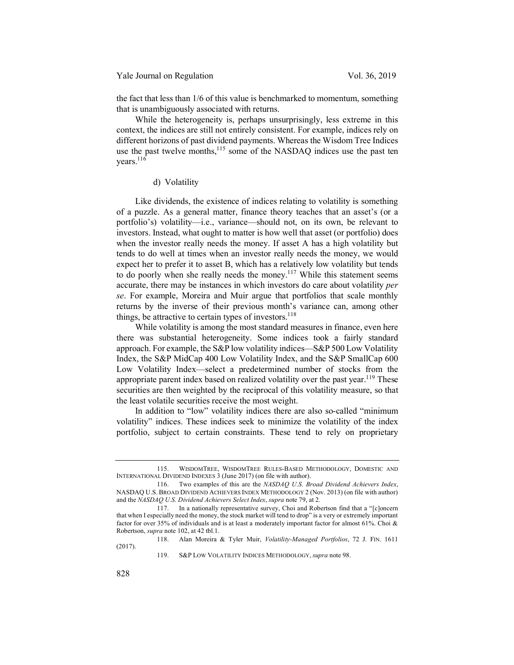the fact that less than 1/6 of this value is benchmarked to momentum, something that is unambiguously associated with returns.

While the heterogeneity is, perhaps unsurprisingly, less extreme in this context, the indices are still not entirely consistent. For example, indices rely on different horizons of past dividend payments. Whereas the Wisdom Tree Indices use the past twelve months,<sup>115</sup> some of the NASDAQ indices use the past ten years.<sup>116</sup>

## d) Volatility

Like dividends, the existence of indices relating to volatility is something of a puzzle. As a general matter, finance theory teaches that an asset's (or a portfolio's) volatility—i.e., variance—should not, on its own, be relevant to investors. Instead, what ought to matter is how well that asset (or portfolio) does when the investor really needs the money. If asset A has a high volatility but tends to do well at times when an investor really needs the money, we would expect her to prefer it to asset B, which has a relatively low volatility but tends to do poorly when she really needs the money.<sup>117</sup> While this statement seems accurate, there may be instances in which investors do care about volatility *per se*. For example, Moreira and Muir argue that portfolios that scale monthly returns by the inverse of their previous month's variance can, among other things, be attractive to certain types of investors.<sup>118</sup>

While volatility is among the most standard measures in finance, even here there was substantial heterogeneity. Some indices took a fairly standard approach. For example, the S&P low volatility indices—S&P 500 Low Volatility Index, the S&P MidCap 400 Low Volatility Index, and the S&P SmallCap 600 Low Volatility Index—select a predetermined number of stocks from the appropriate parent index based on realized volatility over the past year.<sup>119</sup> These securities are then weighted by the reciprocal of this volatility measure, so that the least volatile securities receive the most weight.

In addition to "low" volatility indices there are also so-called "minimum volatility" indices. These indices seek to minimize the volatility of the index portfolio, subject to certain constraints. These tend to rely on proprietary

118. Alan Moreira & Tyler Muir, *Volatility-Managed Portfolios*, 72 J. FIN. 1611 (2017).

119. S&P LOW VOLATILITY INDICES METHODOLOGY, *supra* note 98.

<sup>115.</sup> WISDOMTREE, WISDOMTREE RULES-BASED METHODOLOGY, DOMESTIC AND INTERNATIONAL DIVIDEND INDEXES 3 (June 2017) (on file with author).

<sup>116.</sup> Two examples of this are the *NASDAQ U.S. Broad Dividend Achievers Index*, NASDAQ U.S. BROAD DIVIDEND ACHIEVERS INDEX METHODOLOGY 2 (Nov. 2013) (on file with author) and the *NASDAQ U.S. Dividend Achievers Select Index*, *supra* note 79, at 2.

<sup>117.</sup> In a nationally representative survey, Choi and Robertson find that a "[c]oncern that when I especially need the money, the stock market will tend to drop" is a very or extremely important factor for over 35% of individuals and is at least a moderately important factor for almost 61%. Choi & Robertson, *supra* note 102, at 42 tbl.1.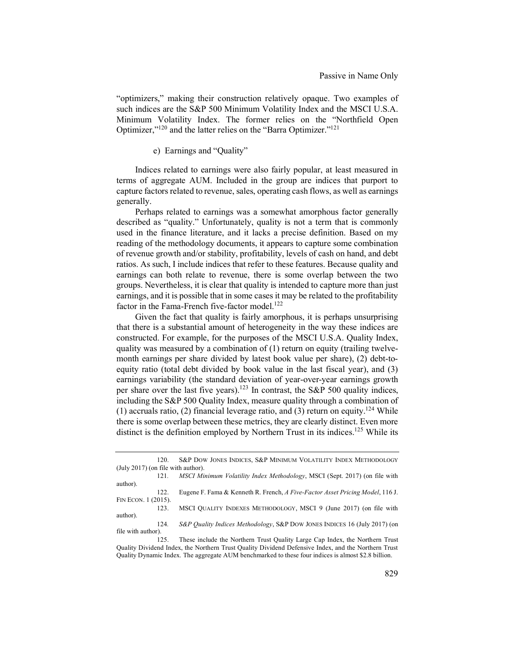"optimizers," making their construction relatively opaque. Two examples of such indices are the S&P 500 Minimum Volatility Index and the MSCI U.S.A. Minimum Volatility Index. The former relies on the "Northfield Open Optimizer,"120 and the latter relies on the "Barra Optimizer."121

e) Earnings and "Quality"

Indices related to earnings were also fairly popular, at least measured in terms of aggregate AUM. Included in the group are indices that purport to capture factors related to revenue, sales, operating cash flows, as well as earnings generally.

Perhaps related to earnings was a somewhat amorphous factor generally described as "quality." Unfortunately, quality is not a term that is commonly used in the finance literature, and it lacks a precise definition. Based on my reading of the methodology documents, it appears to capture some combination of revenue growth and/or stability, profitability, levels of cash on hand, and debt ratios. As such, I include indices that refer to these features. Because quality and earnings can both relate to revenue, there is some overlap between the two groups. Nevertheless, it is clear that quality is intended to capture more than just earnings, and it is possible that in some cases it may be related to the profitability factor in the Fama-French five-factor model.<sup>122</sup>

Given the fact that quality is fairly amorphous, it is perhaps unsurprising that there is a substantial amount of heterogeneity in the way these indices are constructed. For example, for the purposes of the MSCI U.S.A. Quality Index, quality was measured by a combination of  $(1)$  return on equity (trailing twelvemonth earnings per share divided by latest book value per share), (2) debt-toequity ratio (total debt divided by book value in the last fiscal year), and (3) earnings variability (the standard deviation of year-over-year earnings growth per share over the last five years).<sup>123</sup> In contrast, the S&P 500 quality indices, including the S&P 500 Quality Index, measure quality through a combination of (1) accruals ratio, (2) financial leverage ratio, and (3) return on equity.<sup>124</sup> While there is some overlap between these metrics, they are clearly distinct. Even more distinct is the definition employed by Northern Trust in its indices. <sup>125</sup> While its

| 120                                  | S&P DOW JONES INDICES, S&P MINIMUM VOLATILITY INDEX METHODOLOGY               |
|--------------------------------------|-------------------------------------------------------------------------------|
| $(July 2017)$ (on file with author). |                                                                               |
| 121.                                 | MSCI Minimum Volatility Index Methodology, MSCI (Sept. 2017) (on file with    |
| author).                             |                                                                               |
| 122.                                 | Eugene F. Fama & Kenneth R. French, A Five-Factor Asset Pricing Model, 116 J. |
| FIN ECON. 1 (2015).                  |                                                                               |
| 123.                                 | MSCI QUALITY INDEXES METHODOLOGY, MSCI 9 (June 2017) (on file with            |
| author).                             |                                                                               |
| 124.                                 | S&P Quality Indices Methodology, S&P DOW JONES INDICES 16 (July 2017) (on     |
| file with author).                   |                                                                               |

125. These include the Northern Trust Quality Large Cap Index, the Northern Trust Quality Dividend Index, the Northern Trust Quality Dividend Defensive Index, and the Northern Trust Quality Dynamic Index. The aggregate AUM benchmarked to these four indices is almost \$2.8 billion.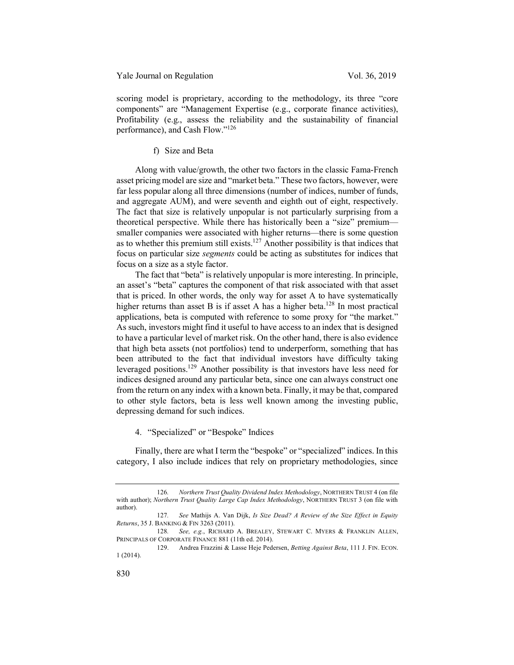scoring model is proprietary, according to the methodology, its three "core" components" are "Management Expertise (e.g., corporate finance activities), Profitability (e.g., assess the reliability and the sustainability of financial performance), and Cash Flow."126

f) Size and Beta

Along with value/growth, the other two factors in the classic Fama-French asset pricing model are size and "market beta." These two factors, however, were far less popular along all three dimensions (number of indices, number of funds, and aggregate AUM), and were seventh and eighth out of eight, respectively. The fact that size is relatively unpopular is not particularly surprising from a theoretical perspective. While there has historically been a "size" premium smaller companies were associated with higher returns—there is some question as to whether this premium still exists.<sup>127</sup> Another possibility is that indices that focus on particular size *segments* could be acting as substitutes for indices that focus on a size as a style factor.

The fact that "beta" is relatively unpopular is more interesting. In principle, an asset's "beta" captures the component of that risk associated with that asset that is priced. In other words, the only way for asset A to have systematically higher returns than asset B is if asset A has a higher beta.<sup>128</sup> In most practical applications, beta is computed with reference to some proxy for "the market." As such, investors might find it useful to have access to an index that is designed to have a particular level of market risk. On the other hand, there is also evidence that high beta assets (not portfolios) tend to underperform, something that has been attributed to the fact that individual investors have difficulty taking leveraged positions.129 Another possibility is that investors have less need for indices designed around any particular beta, since one can always construct one from the return on any index with a known beta. Finally, it may be that, compared to other style factors, beta is less well known among the investing public, depressing demand for such indices.

4. "Specialized" or "Bespoke" Indices

Finally, there are what I term the "bespoke" or "specialized" indices. In this category, I also include indices that rely on proprietary methodologies, since

<sup>126</sup>*. Northern Trust Quality Dividend Index Methodology*, NORTHERN TRUST 4 (on file with author); *Northern Trust Quality Large Cap Index Methodology*, NORTHERN TRUST 3 (on file with author).

<sup>127</sup>*. See* Mathijs A. Van Dijk, *Is Size Dead? A Review of the Size Effect in Equity Returns*, 35 J. BANKING & FIN 3263 (2011).

<sup>128</sup>*. See, e.g.*, RICHARD A. BREALEY, STEWART C. MYERS & FRANKLIN ALLEN, PRINCIPALS OF CORPORATE FINANCE 881 (11th ed. 2014).

<sup>129.</sup> Andrea Frazzini & Lasse Heje Pedersen, *Betting Against Beta*, 111 J. FIN. ECON. 1 (2014).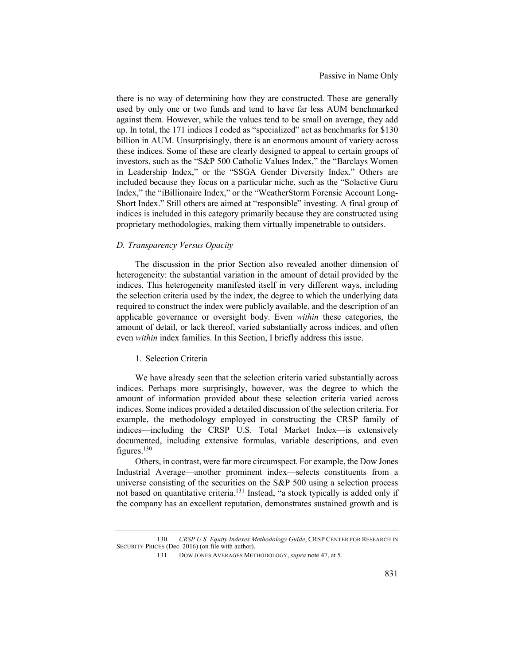there is no way of determining how they are constructed. These are generally used by only one or two funds and tend to have far less AUM benchmarked against them. However, while the values tend to be small on average, they add up. In total, the 171 indices I coded as "specialized" act as benchmarks for \$130 billion in AUM. Unsurprisingly, there is an enormous amount of variety across these indices. Some of these are clearly designed to appeal to certain groups of investors, such as the "S&P 500 Catholic Values Index," the "Barclays Women in Leadership Index," or the "SSGA Gender Diversity Index." Others are included because they focus on a particular niche, such as the "Solactive Guru Index," the "iBillionaire Index," or the "WeatherStorm Forensic Account Long-Short Index." Still others are aimed at "responsible" investing. A final group of indices is included in this category primarily because they are constructed using proprietary methodologies, making them virtually impenetrable to outsiders.

## *D. Transparency Versus Opacity*

The discussion in the prior Section also revealed another dimension of heterogeneity: the substantial variation in the amount of detail provided by the indices. This heterogeneity manifested itself in very different ways, including the selection criteria used by the index, the degree to which the underlying data required to construct the index were publicly available, and the description of an applicable governance or oversight body. Even *within* these categories, the amount of detail, or lack thereof, varied substantially across indices, and often even *within* index families. In this Section, I briefly address this issue.

#### 1. Selection Criteria

We have already seen that the selection criteria varied substantially across indices. Perhaps more surprisingly, however, was the degree to which the amount of information provided about these selection criteria varied across indices. Some indices provided a detailed discussion of the selection criteria. For example, the methodology employed in constructing the CRSP family of indices—including the CRSP U.S. Total Market Index—is extensively documented, including extensive formulas, variable descriptions, and even figures.130

Others, in contrast, were far more circumspect. For example, the Dow Jones Industrial Average—another prominent index—selects constituents from a universe consisting of the securities on the S&P 500 using a selection process not based on quantitative criteria.<sup>131</sup> Instead, "a stock typically is added only if the company has an excellent reputation, demonstrates sustained growth and is

<sup>130</sup>*. CRSP U.S. Equity Indexes Methodology Guide*, CRSP CENTER FOR RESEARCH IN SECURITY PRICES (Dec. 2016) (on file with author).

<sup>131.</sup> DOW JONES AVERAGES METHODOLOGY, *supra* note 47, at 5.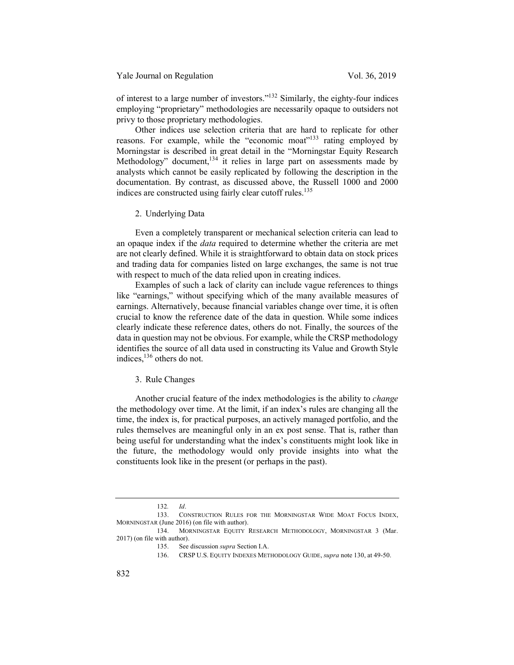Yale Journal on Regulation Vol. 36, 2019

of interest to a large number of investors."132 Similarly, the eighty-four indices employing "proprietary" methodologies are necessarily opaque to outsiders not privy to those proprietary methodologies.

Other indices use selection criteria that are hard to replicate for other reasons. For example, while the "economic moat"<sup>133</sup> rating employed by Morningstar is described in great detail in the "Morningstar Equity Research Methodology" document, $134$  it relies in large part on assessments made by analysts which cannot be easily replicated by following the description in the documentation. By contrast, as discussed above, the Russell 1000 and 2000 indices are constructed using fairly clear cutoff rules.<sup>135</sup>

2. Underlying Data

Even a completely transparent or mechanical selection criteria can lead to an opaque index if the *data* required to determine whether the criteria are met are not clearly defined. While it is straightforward to obtain data on stock prices and trading data for companies listed on large exchanges, the same is not true with respect to much of the data relied upon in creating indices.

Examples of such a lack of clarity can include vague references to things like "earnings," without specifying which of the many available measures of earnings. Alternatively, because financial variables change over time, it is often crucial to know the reference date of the data in question. While some indices clearly indicate these reference dates, others do not. Finally, the sources of the data in question may not be obvious. For example, while the CRSP methodology identifies the source of all data used in constructing its Value and Growth Style indices,<sup>136</sup> others do not.

### 3. Rule Changes

Another crucial feature of the index methodologies is the ability to *change*  the methodology over time. At the limit, if an index's rules are changing all the time, the index is, for practical purposes, an actively managed portfolio, and the rules themselves are meaningful only in an ex post sense. That is, rather than being useful for understanding what the index's constituents might look like in the future, the methodology would only provide insights into what the constituents look like in the present (or perhaps in the past).

<sup>132</sup>*. Id*.

<sup>133.</sup> CONSTRUCTION RULES FOR THE MORNINGSTAR WIDE MOAT FOCUS INDEX, MORNINGSTAR (June 2016) (on file with author).

<sup>134.</sup> MORNINGSTAR EQUITY RESEARCH METHODOLOGY, MORNINGSTAR 3 (Mar. 2017) (on file with author).

<sup>135.</sup> See discussion *supra* Section I.A.

<sup>136.</sup> CRSP U.S. EQUITY INDEXES METHODOLOGY GUIDE, *supra* note 130, at 49-50.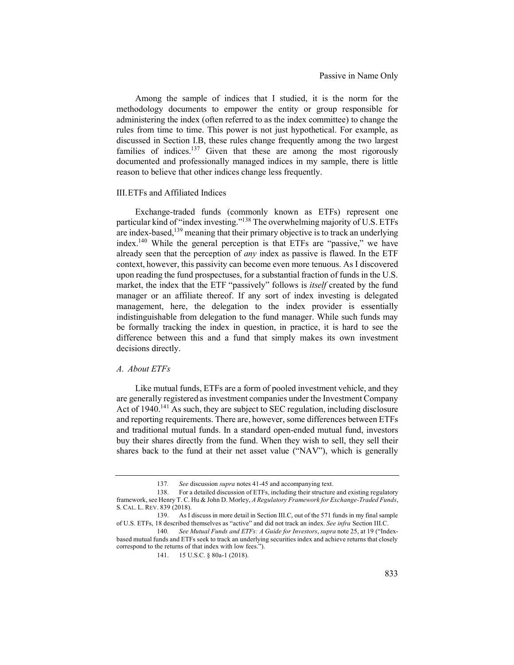Among the sample of indices that I studied, it is the norm for the methodology documents to empower the entity or group responsible for administering the index (often referred to as the index committee) to change the rules from time to time. This power is not just hypothetical. For example, as discussed in Section I.B, these rules change frequently among the two largest families of indices.<sup>137</sup> Given that these are among the most rigorously documented and professionally managed indices in my sample, there is little reason to believe that other indices change less frequently.

#### III.ETFs and Affiliated Indices

Exchange-traded funds (commonly known as ETFs) represent one particular kind of "index investing."<sup>138</sup> The overwhelming majority of U.S. ETFs are index-based,139 meaning that their primary objective is to track an underlying index.140 While the general perception is that ETFs are "passive," we have already seen that the perception of *any* index as passive is flawed. In the ETF context, however, this passivity can become even more tenuous. As I discovered upon reading the fund prospectuses, for a substantial fraction of funds in the U.S. market, the index that the ETF "passively" follows is *itself* created by the fund manager or an affiliate thereof. If any sort of index investing is delegated management, here, the delegation to the index provider is essentially indistinguishable from delegation to the fund manager. While such funds may be formally tracking the index in question, in practice, it is hard to see the difference between this and a fund that simply makes its own investment decisions directly.

## *A. About ETFs*

Like mutual funds, ETFs are a form of pooled investment vehicle, and they are generally registered as investment companies under the Investment Company Act of 1940.<sup>141</sup> As such, they are subject to SEC regulation, including disclosure and reporting requirements. There are, however, some differences between ETFs and traditional mutual funds. In a standard open-ended mutual fund, investors buy their shares directly from the fund. When they wish to sell, they sell their shares back to the fund at their net asset value ("NAV"), which is generally

<sup>137</sup>*. See* discussion *supra* notes 41-45 and accompanying text.

<sup>138.</sup> For a detailed discussion of ETFs, including their structure and existing regulatory framework, see Henry T. C. Hu & John D. Morley, *A Regulatory Framework for Exchange-Traded Funds*, S. CAL. L. REV. 839 (2018).

<sup>139.</sup> As I discuss in more detail in Section III.C, out of the 571 funds in my final sample of U.S. ETFs, 18 described themselves as "active" and did not track an index. *See infra* Section III.C.

<sup>140</sup>*. See Mutual Funds and ETFs: A Guide for Investors*, *supra* note 25, at 19 ("Indexbased mutual funds and ETFs seek to track an underlying securities index and achieve returns that closely correspond to the returns of that index with low fees.").

<sup>141. 15</sup> U.S.C. § 80a-1 (2018).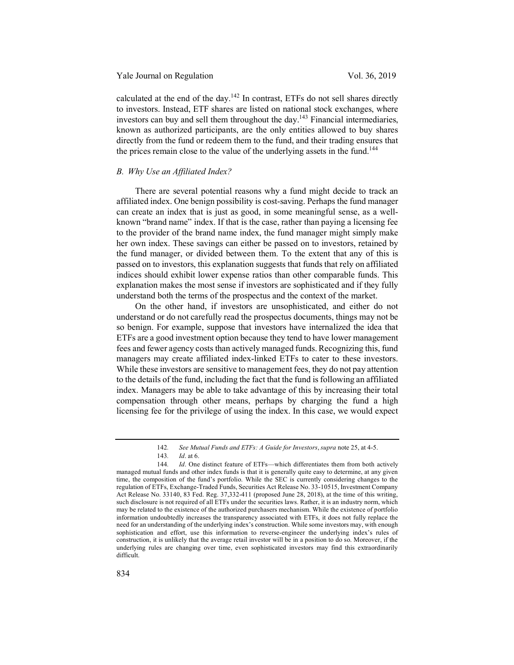Yale Journal on Regulation Vol. 36, 2019

calculated at the end of the day.<sup>142</sup> In contrast, ETFs do not sell shares directly to investors. Instead, ETF shares are listed on national stock exchanges, where investors can buy and sell them throughout the day.<sup>143</sup> Financial intermediaries, known as authorized participants, are the only entities allowed to buy shares directly from the fund or redeem them to the fund, and their trading ensures that the prices remain close to the value of the underlying assets in the fund.<sup>144</sup>

## *B. Why Use an Affiliated Index?*

There are several potential reasons why a fund might decide to track an affiliated index. One benign possibility is cost-saving. Perhaps the fund manager can create an index that is just as good, in some meaningful sense, as a wellknown "brand name" index. If that is the case, rather than paying a licensing fee to the provider of the brand name index, the fund manager might simply make her own index. These savings can either be passed on to investors, retained by the fund manager, or divided between them. To the extent that any of this is passed on to investors, this explanation suggests that funds that rely on affiliated indices should exhibit lower expense ratios than other comparable funds. This explanation makes the most sense if investors are sophisticated and if they fully understand both the terms of the prospectus and the context of the market.

On the other hand, if investors are unsophisticated, and either do not understand or do not carefully read the prospectus documents, things may not be so benign. For example, suppose that investors have internalized the idea that ETFs are a good investment option because they tend to have lower management fees and fewer agency costs than actively managed funds. Recognizing this, fund managers may create affiliated index-linked ETFs to cater to these investors. While these investors are sensitive to management fees, they do not pay attention to the details of the fund, including the fact that the fund is following an affiliated index. Managers may be able to take advantage of this by increasing their total compensation through other means, perhaps by charging the fund a high licensing fee for the privilege of using the index. In this case, we would expect

<sup>142</sup>*. See Mutual Funds and ETFs: A Guide for Investors*, *supra* note 25, at 4-5.

<sup>143</sup>*. Id*. at 6.

<sup>144</sup>*. Id*. One distinct feature of ETFs—which differentiates them from both actively managed mutual funds and other index funds is that it is generally quite easy to determine, at any given time, the composition of the fund's portfolio. While the SEC is currently considering changes to the regulation of ETFs, Exchange-Traded Funds, Securities Act Release No. 33-10515, Investment Company Act Release No. 33140, 83 Fed. Reg. 37,332-411 (proposed June 28, 2018), at the time of this writing, such disclosure is not required of all ETFs under the securities laws. Rather, it is an industry norm, which may be related to the existence of the authorized purchasers mechanism. While the existence of portfolio information undoubtedly increases the transparency associated with ETFs, it does not fully replace the need for an understanding of the underlying index's construction. While some investors may, with enough sophistication and effort, use this information to reverse-engineer the underlying index's rules of construction, it is unlikely that the average retail investor will be in a position to do so. Moreover, if the underlying rules are changing over time, even sophisticated investors may find this extraordinarily difficult.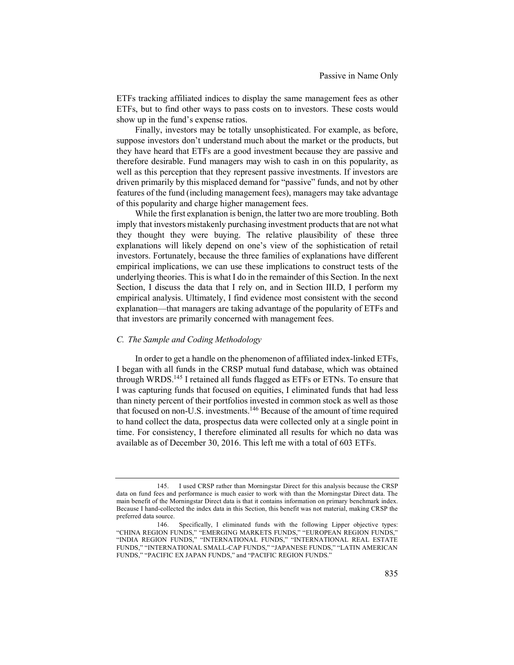ETFs tracking affiliated indices to display the same management fees as other ETFs, but to find other ways to pass costs on to investors. These costs would show up in the fund's expense ratios.

Finally, investors may be totally unsophisticated. For example, as before, suppose investors don't understand much about the market or the products, but they have heard that ETFs are a good investment because they are passive and therefore desirable. Fund managers may wish to cash in on this popularity, as well as this perception that they represent passive investments. If investors are driven primarily by this misplaced demand for "passive" funds, and not by other features of the fund (including management fees), managers may take advantage of this popularity and charge higher management fees.

While the first explanation is benign, the latter two are more troubling. Both imply that investors mistakenly purchasing investment products that are not what they thought they were buying. The relative plausibility of these three explanations will likely depend on one's view of the sophistication of retail investors. Fortunately, because the three families of explanations have different empirical implications, we can use these implications to construct tests of the underlying theories. This is what I do in the remainder of this Section. In the next Section, I discuss the data that I rely on, and in Section III.D, I perform my empirical analysis. Ultimately, I find evidence most consistent with the second explanation—that managers are taking advantage of the popularity of ETFs and that investors are primarily concerned with management fees.

## *C. The Sample and Coding Methodology*

In order to get a handle on the phenomenon of affiliated index-linked ETFs, I began with all funds in the CRSP mutual fund database, which was obtained through WRDS.<sup>145</sup> I retained all funds flagged as ETFs or ETNs. To ensure that I was capturing funds that focused on equities, I eliminated funds that had less than ninety percent of their portfolios invested in common stock as well as those that focused on non-U.S. investments.146 Because of the amount of time required to hand collect the data, prospectus data were collected only at a single point in time. For consistency, I therefore eliminated all results for which no data was available as of December 30, 2016. This left me with a total of 603 ETFs.

<sup>145.</sup> I used CRSP rather than Morningstar Direct for this analysis because the CRSP data on fund fees and performance is much easier to work with than the Morningstar Direct data. The main benefit of the Morningstar Direct data is that it contains information on primary benchmark index. Because I hand-collected the index data in this Section, this benefit was not material, making CRSP the preferred data source.

<sup>146.</sup> Specifically, I eliminated funds with the following Lipper objective types: "CHINA REGION FUNDS," "EMERGING MARKETS FUNDS," "EUROPEAN REGION FUNDS," "INDIA REGION FUNDS," "INTERNATIONAL FUNDS," "INTERNATIONAL REAL ESTATE FUNDS," "INTERNATIONAL SMALL-CAP FUNDS," "JAPANESE FUNDS," "LATIN AMERICAN FUNDS," "PACIFIC EX JAPAN FUNDS," and "PACIFIC REGION FUNDS."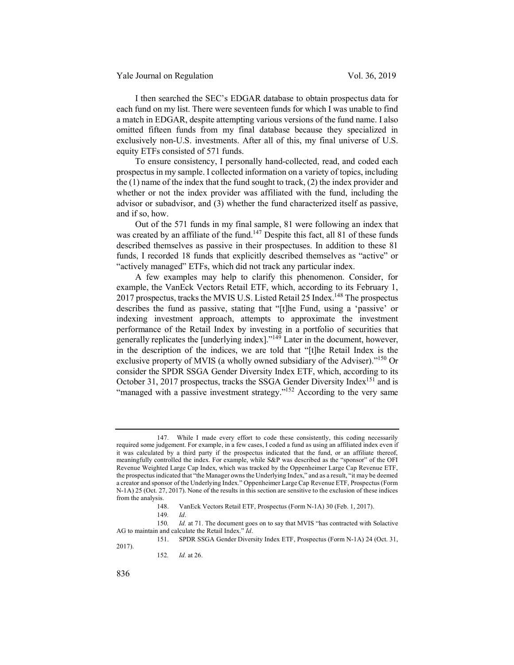I then searched the SEC's EDGAR database to obtain prospectus data for each fund on my list. There were seventeen funds for which I was unable to find a match in EDGAR, despite attempting various versions of the fund name. I also omitted fifteen funds from my final database because they specialized in exclusively non-U.S. investments. After all of this, my final universe of U.S. equity ETFs consisted of 571 funds.

To ensure consistency, I personally hand-collected, read, and coded each prospectus in my sample. I collected information on a variety of topics, including the (1) name of the index that the fund sought to track, (2) the index provider and whether or not the index provider was affiliated with the fund, including the advisor or subadvisor, and (3) whether the fund characterized itself as passive, and if so, how.

Out of the 571 funds in my final sample, 81 were following an index that was created by an affiliate of the fund.<sup>147</sup> Despite this fact, all 81 of these funds described themselves as passive in their prospectuses. In addition to these 81 funds, I recorded 18 funds that explicitly described themselves as "active" or "actively managed" ETFs, which did not track any particular index.

A few examples may help to clarify this phenomenon. Consider, for example, the VanEck Vectors Retail ETF, which, according to its February 1, 2017 prospectus, tracks the MVIS U.S. Listed Retail 25 Index.<sup>148</sup> The prospectus describes the fund as passive, stating that "[t]he Fund, using a 'passive' or indexing investment approach, attempts to approximate the investment performance of the Retail Index by investing in a portfolio of securities that generally replicates the  $[underlying index]$ ."<sup>149</sup> Later in the document, however, in the description of the indices, we are told that "[t]he Retail Index is the exclusive property of MVIS (a wholly owned subsidiary of the Adviser)."<sup>150</sup> Or consider the SPDR SSGA Gender Diversity Index ETF, which, according to its October 31, 2017 prospectus, tracks the SSGA Gender Diversity Index<sup>151</sup> and is "managed with a passive investment strategy."<sup>152</sup> According to the very same

152*. Id.* at 26.

<sup>147.</sup> While I made every effort to code these consistently, this coding necessarily required some judgement. For example, in a few cases, I coded a fund as using an affiliated index even if it was calculated by a third party if the prospectus indicated that the fund, or an affiliate thereof, meaningfully controlled the index. For example, while S&P was described as the "sponsor" of the OFI Revenue Weighted Large Cap Index, which was tracked by the Oppenheimer Large Cap Revenue ETF, the prospectus indicated that "the Manager owns the Underlying Index," and as a result, "it may be deemed a creator and sponsor of the Underlying Index." Oppenheimer Large Cap Revenue ETF, Prospectus(Form N-1A) 25 (Oct. 27, 2017). None of the results in this section are sensitive to the exclusion of these indices from the analysis.

<sup>148.</sup> VanEck Vectors Retail ETF, Prospectus (Form N-1A) 30 (Feb. 1, 2017).

<sup>149</sup>*. Id*.

<sup>150</sup>*. Id.* at 71. The document goes on to say that MVIS "has contracted with Solactive AG to maintain and calculate the Retail Index." *Id*.

<sup>151.</sup> SPDR SSGA Gender Diversity Index ETF, Prospectus (Form N-1A) 24 (Oct. 31, 2017).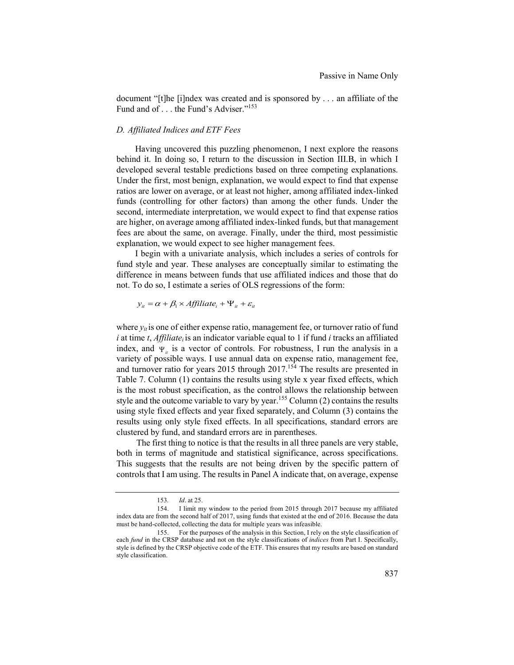document "[t]he [i]ndex was created and is sponsored by . . . an affiliate of the Fund and of . . . the Fund's Adviser."<sup>153</sup>

## *D. Affiliated Indices and ETF Fees*

Having uncovered this puzzling phenomenon, I next explore the reasons behind it. In doing so, I return to the discussion in Section III.B, in which I developed several testable predictions based on three competing explanations. Under the first, most benign, explanation, we would expect to find that expense ratios are lower on average, or at least not higher, among affiliated index-linked funds (controlling for other factors) than among the other funds. Under the second, intermediate interpretation, we would expect to find that expense ratios are higher, on average among affiliated index-linked funds, but that management fees are about the same, on average. Finally, under the third, most pessimistic explanation, we would expect to see higher management fees.

I begin with a univariate analysis, which includes a series of controls for fund style and year. These analyses are conceptually similar to estimating the difference in means between funds that use affiliated indices and those that do not. To do so, I estimate a series of OLS regressions of the form:

$$
y_{ii} = \alpha + \beta_1 \times Affiltate_i + \Psi_{ii} + \varepsilon_{ii}
$$

where  $y_{it}$  is one of either expense ratio, management fee, or turnover ratio of fund  $i$  at time  $t$ , *Affiliate<sub>i</sub>* is an indicator variable equal to 1 if fund  $i$  tracks an affiliated index, and  $\Psi_{i}$  is a vector of controls. For robustness, I run the analysis in a variety of possible ways. I use annual data on expense ratio, management fee, and turnover ratio for years 2015 through 2017.<sup>154</sup> The results are presented in Table 7. Column (1) contains the results using style x year fixed effects, which is the most robust specification, as the control allows the relationship between style and the outcome variable to vary by year.<sup>155</sup> Column  $(2)$  contains the results using style fixed effects and year fixed separately, and Column (3) contains the results using only style fixed effects. In all specifications, standard errors are clustered by fund, and standard errors are in parentheses.

 The first thing to notice is that the results in all three panels are very stable, both in terms of magnitude and statistical significance, across specifications. This suggests that the results are not being driven by the specific pattern of controls that I am using. The results in Panel A indicate that, on average, expense

<sup>153</sup>*. Id*. at 25.

<sup>154.</sup> I limit my window to the period from 2015 through 2017 because my affiliated index data are from the second half of 2017, using funds that existed at the end of 2016. Because the data must be hand-collected, collecting the data for multiple years was infeasible.

<sup>155.</sup> For the purposes of the analysis in this Section, I rely on the style classification of each *fund* in the CRSP database and not on the style classifications of *indices* from Part I. Specifically, style is defined by the CRSP objective code of the ETF. This ensures that my results are based on standard style classification.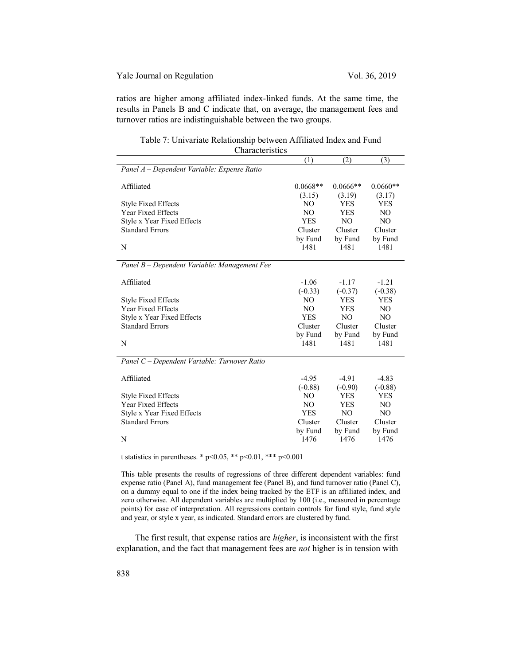## Yale Journal on Regulation Vol. 36, 2019

ratios are higher among affiliated index-linked funds. At the same time, the results in Panels B and C indicate that, on average, the management fees and turnover ratios are indistinguishable between the two groups.

Table 7: Univariate Relationship between Affiliated Index and Fund **Characteristics** 

|                                              | (1)            | (2)            | (3)        |
|----------------------------------------------|----------------|----------------|------------|
| Panel A - Dependent Variable: Expense Ratio  |                |                |            |
|                                              | $0.0668**$     | $0.0666**$     | $0.0660**$ |
| Affiliated                                   |                |                |            |
|                                              | (3.15)         | (3.19)         | (3.17)     |
| <b>Style Fixed Effects</b>                   | N <sub>O</sub> | <b>YES</b>     | <b>YES</b> |
| <b>Year Fixed Effects</b>                    | N <sub>O</sub> | <b>YES</b>     | NO.        |
| Style x Year Fixed Effects                   | <b>YES</b>     | N <sub>O</sub> | NO         |
| <b>Standard Errors</b>                       | Cluster        | Cluster        | Cluster    |
|                                              | by Fund        | by Fund        | by Fund    |
| N                                            | 1481           | 1481           | 1481       |
| Panel B - Dependent Variable: Management Fee |                |                |            |
| Affiliated                                   | $-1.06$        | $-1.17$        | $-1.21$    |
|                                              | $(-0.33)$      | $(-0.37)$      | $(-0.38)$  |
| <b>Style Fixed Effects</b>                   | N <sub>O</sub> | <b>YES</b>     | YES        |
| <b>Year Fixed Effects</b>                    | NO.            | <b>YES</b>     | NO.        |
| Style x Year Fixed Effects                   | <b>YES</b>     | N <sub>O</sub> | NO         |
| <b>Standard Errors</b>                       | Cluster        | Cluster        | Cluster    |
|                                              | by Fund        | by Fund        | by Fund    |
| N                                            | 1481           | 1481           | 1481       |
|                                              |                |                |            |
| Panel C - Dependent Variable: Turnover Ratio |                |                |            |
| Affiliated                                   | $-4.95$        | $-4.91$        | $-4.83$    |
|                                              | $(-0.88)$      | $(-0.90)$      | $(-0.88)$  |
| <b>Style Fixed Effects</b>                   | N <sub>O</sub> | YES            | YES        |
| <b>Year Fixed Effects</b>                    | N <sub>O</sub> | <b>YES</b>     | NO.        |
| Style x Year Fixed Effects                   | <b>YES</b>     | N <sub>O</sub> | NO         |
| <b>Standard Errors</b>                       | Cluster        | Cluster        | Cluster    |
|                                              | by Fund        | by Fund        | by Fund    |
| N                                            | 1476           | 1476           | 1476       |
|                                              |                |                |            |

t statistics in parentheses. \*  $p<0.05$ , \*\*  $p<0.01$ , \*\*\*  $p<0.001$ 

This table presents the results of regressions of three different dependent variables: fund expense ratio (Panel A), fund management fee (Panel B), and fund turnover ratio (Panel C), on a dummy equal to one if the index being tracked by the ETF is an affiliated index, and zero otherwise. All dependent variables are multiplied by 100 (i.e., measured in percentage points) for ease of interpretation. All regressions contain controls for fund style, fund style and year, or style x year, as indicated. Standard errors are clustered by fund.

The first result, that expense ratios are *higher*, is inconsistent with the first explanation, and the fact that management fees are *not* higher is in tension with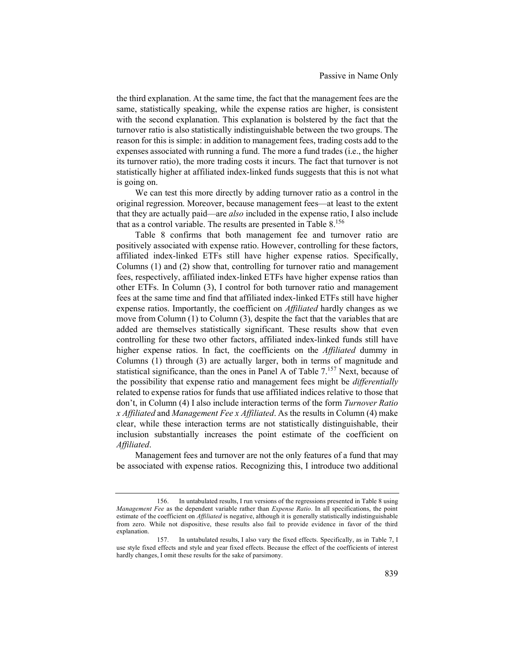the third explanation. At the same time, the fact that the management fees are the same, statistically speaking, while the expense ratios are higher, is consistent with the second explanation. This explanation is bolstered by the fact that the turnover ratio is also statistically indistinguishable between the two groups. The reason for this is simple: in addition to management fees, trading costs add to the expenses associated with running a fund. The more a fund trades (i.e., the higher its turnover ratio), the more trading costs it incurs. The fact that turnover is not statistically higher at affiliated index-linked funds suggests that this is not what is going on.

We can test this more directly by adding turnover ratio as a control in the original regression. Moreover, because management fees—at least to the extent that they are actually paid—are *also* included in the expense ratio, I also include that as a control variable. The results are presented in Table 8. 156

Table 8 confirms that both management fee and turnover ratio are positively associated with expense ratio. However, controlling for these factors, affiliated index-linked ETFs still have higher expense ratios. Specifically, Columns (1) and (2) show that, controlling for turnover ratio and management fees, respectively, affiliated index-linked ETFs have higher expense ratios than other ETFs. In Column (3), I control for both turnover ratio and management fees at the same time and find that affiliated index-linked ETFs still have higher expense ratios. Importantly, the coefficient on *Affiliated* hardly changes as we move from Column (1) to Column (3), despite the fact that the variables that are added are themselves statistically significant. These results show that even controlling for these two other factors, affiliated index-linked funds still have higher expense ratios. In fact, the coefficients on the *Affiliated* dummy in Columns (1) through (3) are actually larger, both in terms of magnitude and statistical significance, than the ones in Panel A of Table 7.<sup>157</sup> Next, because of the possibility that expense ratio and management fees might be *differentially*  related to expense ratios for funds that use affiliated indices relative to those that don't, in Column (4) I also include interaction terms of the form *Turnover Ratio x Affiliated* and *Management Fee x Affiliated*. As the results in Column (4) make clear, while these interaction terms are not statistically distinguishable, their inclusion substantially increases the point estimate of the coefficient on *Affiliated*.

Management fees and turnover are not the only features of a fund that may be associated with expense ratios. Recognizing this, I introduce two additional

<sup>156.</sup> In untabulated results, I run versions of the regressions presented in Table 8 using *Management Fee* as the dependent variable rather than *Expense Ratio*. In all specifications, the point estimate of the coefficient on *Affiliated* is negative, although it is generally statistically indistinguishable from zero. While not dispositive, these results also fail to provide evidence in favor of the third explanation.

<sup>157.</sup> In untabulated results, I also vary the fixed effects. Specifically, as in Table 7, I use style fixed effects and style and year fixed effects. Because the effect of the coefficients of interest hardly changes, I omit these results for the sake of parsimony.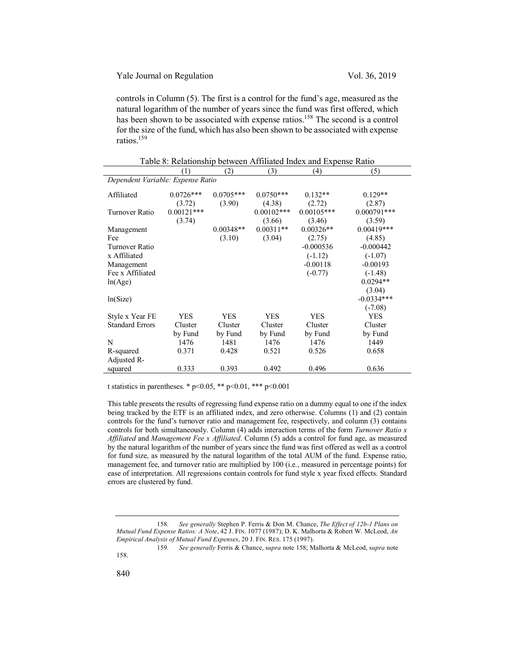controls in Column (5). The first is a control for the fund's age, measured as the natural logarithm of the number of years since the fund was first offered, which has been shown to be associated with expense ratios.<sup>158</sup> The second is a control for the size of the fund, which has also been shown to be associated with expense ratios.159

|                                   | (1)          | (2)         | (3)           | (4)          | (5)           |
|-----------------------------------|--------------|-------------|---------------|--------------|---------------|
| Dependent Variable: Expense Ratio |              |             |               |              |               |
| Affiliated                        | $0.0726***$  | $0.0705***$ | $0.0750***$   | $0.132**$    | $0.129**$     |
|                                   | (3.72)       | (3.90)      | (4.38)        | (2.72)       | (2.87)        |
| Turnover Ratio                    | $0.00121***$ |             | $0.00102$ *** | $0.00105***$ | $0.000791***$ |
|                                   | (3.74)       |             | (3.66)        | (3.46)       | (3.59)        |
| Management                        |              | $0.00348**$ | $0.00311**$   | $0.00326**$  | $0.00419***$  |
| Fee                               |              | (3.10)      | (3.04)        | (2.75)       | (4.85)        |
| <b>Turnover Ratio</b>             |              |             |               | $-0.000536$  | $-0.000442$   |
| x Affiliated                      |              |             |               | $(-1.12)$    | $(-1.07)$     |
| Management                        |              |             |               | $-0.00118$   | $-0.00193$    |
| Fee x Affiliated                  |              |             |               | $(-0.77)$    | $(-1.48)$     |
| ln(Age)                           |              |             |               |              | $0.0294**$    |
|                                   |              |             |               |              | (3.04)        |
| ln(Size)                          |              |             |               |              | $-0.0334***$  |
|                                   |              |             |               |              | $(-7.08)$     |
| Style x Year FE                   | <b>YES</b>   | <b>YES</b>  | <b>YES</b>    | <b>YES</b>   | <b>YES</b>    |
| <b>Standard Errors</b>            | Cluster      | Cluster     | Cluster       | Cluster      | Cluster       |
|                                   | by Fund      | by Fund     | by Fund       | by Fund      | by Fund       |
| N                                 | 1476         | 1481        | 1476          | 1476         | 1449          |
| R-squared                         | 0.371        | 0.428       | 0.521         | 0.526        | 0.658         |
| Adjusted R-                       |              |             |               |              |               |
| squared                           | 0.333        | 0.393       | 0.492         | 0.496        | 0.636         |

Table 8: Relationship between Affiliated Index and Expense Ratio

t statistics in parentheses. \*  $p < 0.05$ , \*\*  $p < 0.01$ , \*\*\*  $p < 0.001$ 

This table presents the results of regressing fund expense ratio on a dummy equal to one if the index being tracked by the ETF is an affiliated index, and zero otherwise. Columns (1) and (2) contain controls for the fund's turnover ratio and management fee, respectively, and column (3) contains controls for both simultaneously. Column (4) adds interaction terms of the form *Turnover Ratio x Affiliated* and *Management Fee x Affiliated*. Column (5) adds a control for fund age, as measured by the natural logarithm of the number of years since the fund was first offered as well as a control for fund size, as measured by the natural logarithm of the total AUM of the fund. Expense ratio, management fee, and turnover ratio are multiplied by 100 (i.e., measured in percentage points) for ease of interpretation. All regressions contain controls for fund style x year fixed effects. Standard errors are clustered by fund.

<sup>158</sup>*. See generally* Stephen P. Ferris & Don M. Chance, *The Effect of 12b-1 Plans on Mutual Fund Expense Ratios: A Note*, 42 J. FIN. 1077 (1987); D. K. Malhorta & Robert W. McLeod, *An Empirical Analysis of Mutual Fund Expenses*, 20 J. FIN. RES. 175 (1997).

<sup>159</sup>*. See generally* Ferris & Chance, s*upra* note 158; Malhorta & McLeod, s*upra* note 158.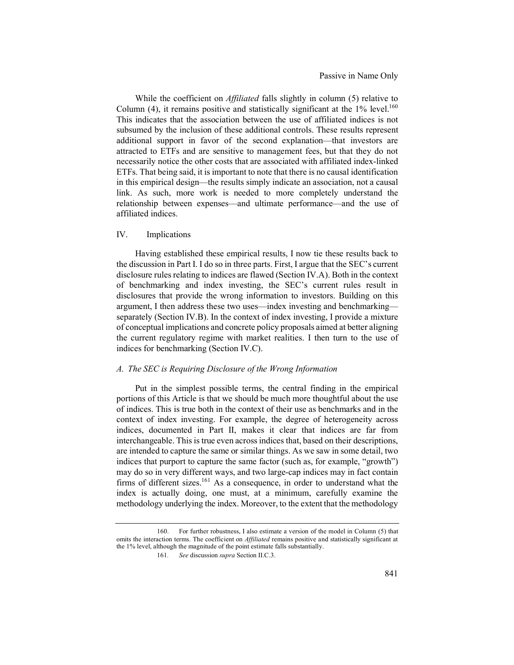While the coefficient on *Affiliated* falls slightly in column (5) relative to Column  $(4)$ , it remains positive and statistically significant at the  $1\%$  level.<sup>160</sup> This indicates that the association between the use of affiliated indices is not subsumed by the inclusion of these additional controls. These results represent additional support in favor of the second explanation—that investors are attracted to ETFs and are sensitive to management fees, but that they do not necessarily notice the other costs that are associated with affiliated index-linked ETFs. That being said, it is important to note that there is no causal identification in this empirical design—the results simply indicate an association, not a causal link. As such, more work is needed to more completely understand the relationship between expenses—and ultimate performance—and the use of affiliated indices.

### IV. Implications

Having established these empirical results, I now tie these results back to the discussion in Part I. I do so in three parts. First, I argue that the SEC's current disclosure rules relating to indices are flawed (Section IV.A). Both in the context of benchmarking and index investing, the SEC's current rules result in disclosures that provide the wrong information to investors. Building on this argument, I then address these two uses—index investing and benchmarking separately (Section IV.B). In the context of index investing, I provide a mixture of conceptual implications and concrete policy proposals aimed at better aligning the current regulatory regime with market realities. I then turn to the use of indices for benchmarking (Section IV.C).

## *A. The SEC is Requiring Disclosure of the Wrong Information*

Put in the simplest possible terms, the central finding in the empirical portions of this Article is that we should be much more thoughtful about the use of indices. This is true both in the context of their use as benchmarks and in the context of index investing. For example, the degree of heterogeneity across indices, documented in Part II, makes it clear that indices are far from interchangeable. This is true even across indices that, based on their descriptions, are intended to capture the same or similar things. As we saw in some detail, two indices that purport to capture the same factor (such as, for example, "growth") may do so in very different ways, and two large-cap indices may in fact contain firms of different sizes.<sup>161</sup> As a consequence, in order to understand what the index is actually doing, one must, at a minimum, carefully examine the methodology underlying the index. Moreover, to the extent that the methodology

<sup>160.</sup> For further robustness, I also estimate a version of the model in Column (5) that omits the interaction terms. The coefficient on *Affiliated* remains positive and statistically significant at the 1% level, although the magnitude of the point estimate falls substantially.

<sup>161</sup>*. See* discussion *supra* Section II.C.3.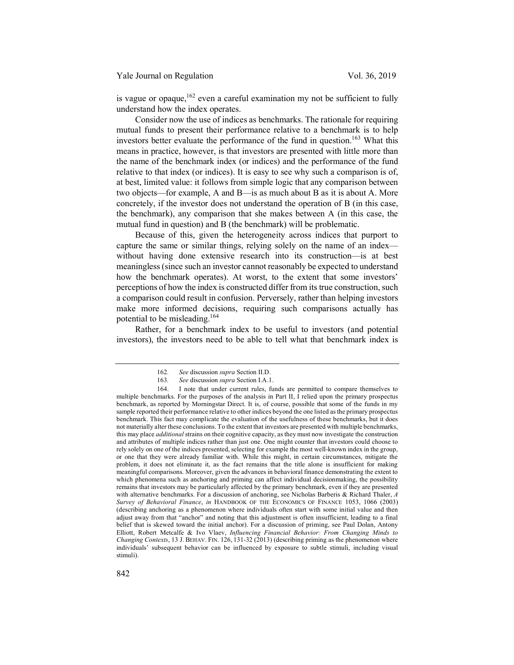Yale Journal on Regulation Vol. 36, 2019

is vague or opaque,<sup>162</sup> even a careful examination my not be sufficient to fully understand how the index operates.

Consider now the use of indices as benchmarks. The rationale for requiring mutual funds to present their performance relative to a benchmark is to help investors better evaluate the performance of the fund in question.<sup>163</sup> What this means in practice, however, is that investors are presented with little more than the name of the benchmark index (or indices) and the performance of the fund relative to that index (or indices). It is easy to see why such a comparison is of, at best, limited value: it follows from simple logic that any comparison between two objects—for example, A and B—is as much about B as it is about A. More concretely, if the investor does not understand the operation of B (in this case, the benchmark), any comparison that she makes between A (in this case, the mutual fund in question) and B (the benchmark) will be problematic.

Because of this, given the heterogeneity across indices that purport to capture the same or similar things, relying solely on the name of an index without having done extensive research into its construction—is at best meaningless (since such an investor cannot reasonably be expected to understand how the benchmark operates). At worst, to the extent that some investors' perceptions of how the index is constructed differ from its true construction, such a comparison could result in confusion. Perversely, rather than helping investors make more informed decisions, requiring such comparisons actually has potential to be misleading.<sup>164</sup>

Rather, for a benchmark index to be useful to investors (and potential investors), the investors need to be able to tell what that benchmark index is

<sup>162</sup>*. See* discussion *supra* Section II.D.

<sup>163</sup>*. See* discussion *supra* Section I.A.1.

<sup>164.</sup> I note that under current rules, funds are permitted to compare themselves to multiple benchmarks. For the purposes of the analysis in Part II, I relied upon the primary prospectus benchmark, as reported by Morningstar Direct. It is, of course, possible that some of the funds in my sample reported their performance relative to other indices beyond the one listed as the primary prospectus benchmark. This fact may complicate the evaluation of the usefulness of these benchmarks, but it does not materially alter these conclusions. To the extent that investors are presented with multiple benchmarks, this may place *additional* strains on their cognitive capacity, as they must now investigate the construction and attributes of multiple indices rather than just one. One might counter that investors could choose to rely solely on one of the indices presented, selecting for example the most well-known index in the group, or one that they were already familiar with. While this might, in certain circumstances, mitigate the problem, it does not eliminate it, as the fact remains that the title alone is insufficient for making meaningful comparisons. Moreover, given the advances in behavioral finance demonstrating the extent to which phenomena such as anchoring and priming can affect individual decisionmaking, the possibility remains that investors may be particularly affected by the primary benchmark, even if they are presented with alternative benchmarks. For a discussion of anchoring, see Nicholas Barberis & Richard Thaler, *A Survey of Behavioral Finance*, *in* HANDBOOK OF THE ECONOMICS OF FINANCE 1053, 1066 (2003) (describing anchoring as a phenomenon where individuals often start with some initial value and then adjust away from that "anchor" and noting that this adjustment is often insufficient, leading to a final belief that is skewed toward the initial anchor). For a discussion of priming, see Paul Dolan, Antony Elliott, Robert Metcalfe & Ivo Vlaev, *Influencing Financial Behavior: From Changing Minds to Changing Contexts*, 13 J. BEHAV. FIN. 126, 131-32 (2013) (describing priming as the phenomenon where individuals' subsequent behavior can be influenced by exposure to subtle stimuli, including visual stimuli).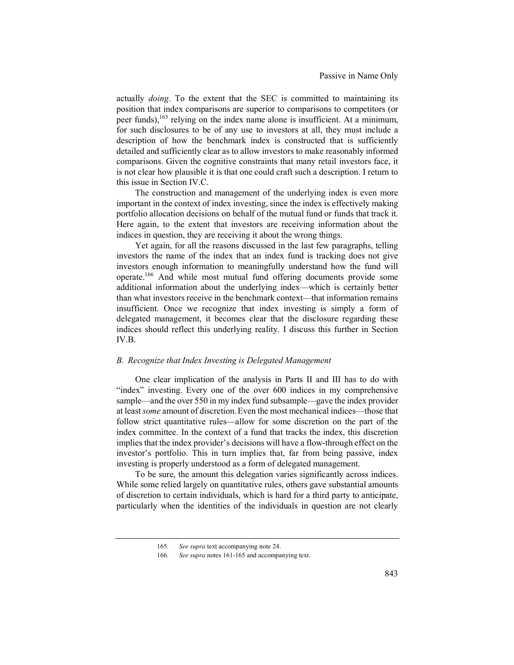actually *doing*. To the extent that the SEC is committed to maintaining its position that index comparisons are superior to comparisons to competitors (or peer funds), <sup>165</sup> relying on the index name alone is insufficient. At a minimum, for such disclosures to be of any use to investors at all, they must include a description of how the benchmark index is constructed that is sufficiently detailed and sufficiently clear as to allow investors to make reasonably informed comparisons. Given the cognitive constraints that many retail investors face, it is not clear how plausible it is that one could craft such a description. I return to this issue in Section IV.C.

The construction and management of the underlying index is even more important in the context of index investing, since the index is effectively making portfolio allocation decisions on behalf of the mutual fund or funds that track it. Here again, to the extent that investors are receiving information about the indices in question, they are receiving it about the wrong things.

Yet again, for all the reasons discussed in the last few paragraphs, telling investors the name of the index that an index fund is tracking does not give investors enough information to meaningfully understand how the fund will operate.166 And while most mutual fund offering documents provide some additional information about the underlying index—which is certainly better than what investors receive in the benchmark context—that information remains insufficient. Once we recognize that index investing is simply a form of delegated management, it becomes clear that the disclosure regarding these indices should reflect this underlying reality. I discuss this further in Section IV.B.

## *B. Recognize that Index Investing is Delegated Management*

One clear implication of the analysis in Parts II and III has to do with "index" investing. Every one of the over 600 indices in my comprehensive sample—and the over 550 in my index fund subsample—gave the index provider at least *some* amount of discretion.Even the most mechanical indices—those that follow strict quantitative rules—allow for some discretion on the part of the index committee. In the context of a fund that tracks the index, this discretion implies that the index provider's decisions will have a flow-through effect on the investor's portfolio. This in turn implies that, far from being passive, index investing is properly understood as a form of delegated management.

To be sure, the amount this delegation varies significantly across indices. While some relied largely on quantitative rules, others gave substantial amounts of discretion to certain individuals, which is hard for a third party to anticipate, particularly when the identities of the individuals in question are not clearly

<sup>165</sup>*. See supra* text accompanying note 24.

<sup>166</sup>*. See supra* notes 161-165 and accompanying text.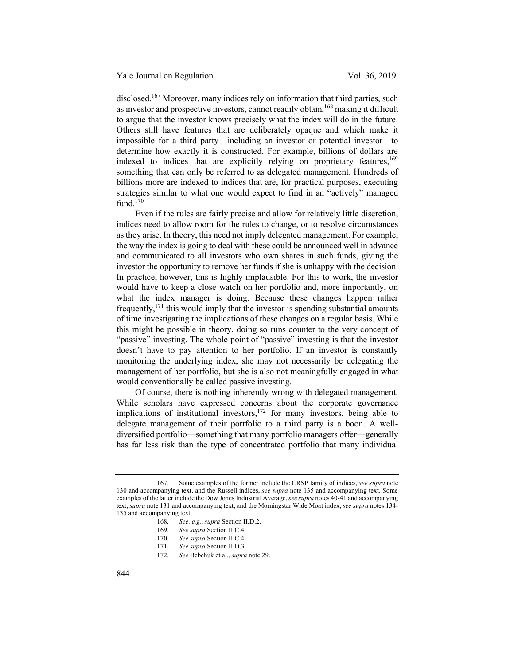disclosed.<sup>167</sup> Moreover, many indices rely on information that third parties, such as investor and prospective investors, cannot readily obtain,<sup>168</sup> making it difficult to argue that the investor knows precisely what the index will do in the future. Others still have features that are deliberately opaque and which make it impossible for a third party—including an investor or potential investor—to determine how exactly it is constructed. For example, billions of dollars are indexed to indices that are explicitly relying on proprietary features,  $169$ something that can only be referred to as delegated management. Hundreds of billions more are indexed to indices that are, for practical purposes, executing strategies similar to what one would expect to find in an "actively" managed fund. $170$ 

Even if the rules are fairly precise and allow for relatively little discretion, indices need to allow room for the rules to change, or to resolve circumstances as they arise. In theory, this need not imply delegated management. For example, the way the index is going to deal with these could be announced well in advance and communicated to all investors who own shares in such funds, giving the investor the opportunity to remove her funds if she is unhappy with the decision. In practice, however, this is highly implausible. For this to work, the investor would have to keep a close watch on her portfolio and, more importantly, on what the index manager is doing. Because these changes happen rather frequently, $171$  this would imply that the investor is spending substantial amounts of time investigating the implications of these changes on a regular basis. While this might be possible in theory, doing so runs counter to the very concept of "passive" investing. The whole point of "passive" investing is that the investor doesn't have to pay attention to her portfolio. If an investor is constantly monitoring the underlying index, she may not necessarily be delegating the management of her portfolio, but she is also not meaningfully engaged in what would conventionally be called passive investing.

Of course, there is nothing inherently wrong with delegated management. While scholars have expressed concerns about the corporate governance implications of institutional investors,  $172$  for many investors, being able to delegate management of their portfolio to a third party is a boon. A welldiversified portfolio—something that many portfolio managers offer—generally has far less risk than the type of concentrated portfolio that many individual

172*. See* Bebchuk et al., *supra* note 29.

<sup>167.</sup> Some examples of the former include the CRSP family of indices, *see supra* note 130 and accompanying text, and the Russell indices, *see supra* note 135 and accompanying text. Some examples of the latter include the Dow Jones Industrial Average, *see supra* notes 40-41 and accompanying text; *supra* note 131 and accompanying text, and the Morningstar Wide Moat index, *see supra* notes 134- 135 and accompanying text.

<sup>168</sup>*. See, e.g.*, *supra* Section II.D.2.

<sup>169</sup>*. See supra* Section II.C.4.

<sup>170</sup>*. See supra* Section II.C.4.

<sup>171</sup>*. See supra* Section II.D.3.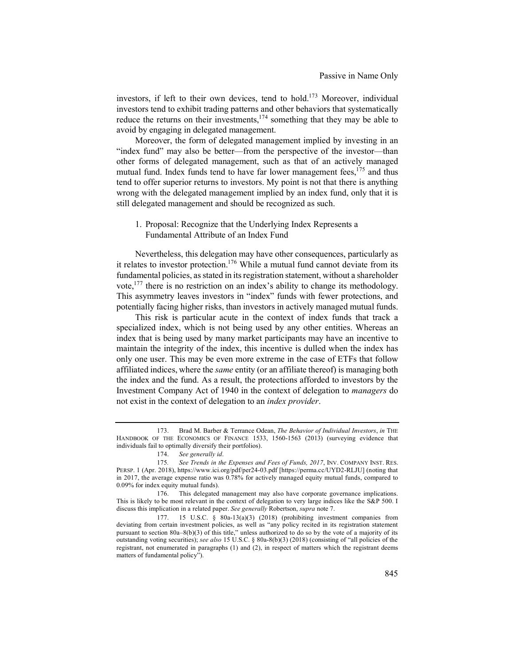investors, if left to their own devices, tend to hold.173 Moreover, individual investors tend to exhibit trading patterns and other behaviors that systematically reduce the returns on their investments, $174$  something that they may be able to avoid by engaging in delegated management.

Moreover, the form of delegated management implied by investing in an "index fund" may also be better—from the perspective of the investor—than other forms of delegated management, such as that of an actively managed mutual fund. Index funds tend to have far lower management fees,  $175$  and thus tend to offer superior returns to investors. My point is not that there is anything wrong with the delegated management implied by an index fund, only that it is still delegated management and should be recognized as such.

## 1. Proposal: Recognize that the Underlying Index Represents a Fundamental Attribute of an Index Fund

Nevertheless, this delegation may have other consequences, particularly as it relates to investor protection.<sup>176</sup> While a mutual fund cannot deviate from its fundamental policies, as stated in its registration statement, without a shareholder vote, $1^{177}$  there is no restriction on an index's ability to change its methodology. This asymmetry leaves investors in "index" funds with fewer protections, and potentially facing higher risks, than investors in actively managed mutual funds.

This risk is particular acute in the context of index funds that track a specialized index, which is not being used by any other entities. Whereas an index that is being used by many market participants may have an incentive to maintain the integrity of the index, this incentive is dulled when the index has only one user. This may be even more extreme in the case of ETFs that follow affiliated indices, where the *same* entity (or an affiliate thereof) is managing both the index and the fund. As a result, the protections afforded to investors by the Investment Company Act of 1940 in the context of delegation to *managers* do not exist in the context of delegation to an *index provider*.

<sup>173.</sup> Brad M. Barber & Terrance Odean, *The Behavior of Individual Investors*, *in* THE HANDBOOK OF THE ECONOMICS OF FINANCE 1533, 1560-1563 (2013) (surveying evidence that individuals fail to optimally diversify their portfolios).

<sup>174.</sup> *See generally id*.

See Trends in the Expenses and Fees of Funds, 2017, INV. COMPANY INST. RES. PERSP. 1 (Apr. 2018), https://www.ici.org/pdf/per24-03.pdf [https://perma.cc/UYD2-RLJU] (noting that in 2017, the average expense ratio was 0.78% for actively managed equity mutual funds, compared to 0.09% for index equity mutual funds).

<sup>176.</sup> This delegated management may also have corporate governance implications. This is likely to be most relevant in the context of delegation to very large indices like the S&P 500. I discuss this implication in a related paper. *See generally* Robertson, *supra* note 7.

<sup>177. 15</sup> U.S.C. § 80a-13(a)(3) (2018) (prohibiting investment companies from deviating from certain investment policies, as well as "any policy recited in its registration statement pursuant to section 80a–8(b)(3) of this title," unless authorized to do so by the vote of a majority of its outstanding voting securities); *see also* 15 U.S.C. § 80a-8(b)(3) (2018) (consisting of "all policies of the registrant, not enumerated in paragraphs (1) and (2), in respect of matters which the registrant deems matters of fundamental policy").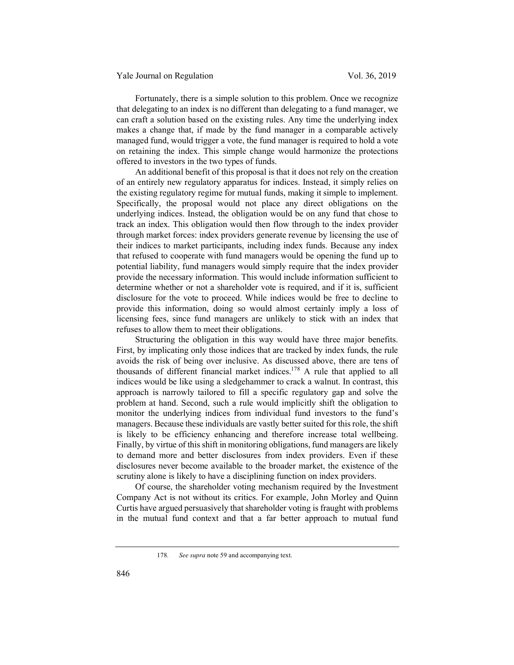Fortunately, there is a simple solution to this problem. Once we recognize that delegating to an index is no different than delegating to a fund manager, we can craft a solution based on the existing rules. Any time the underlying index makes a change that, if made by the fund manager in a comparable actively managed fund, would trigger a vote, the fund manager is required to hold a vote on retaining the index. This simple change would harmonize the protections offered to investors in the two types of funds.

An additional benefit of this proposal is that it does not rely on the creation of an entirely new regulatory apparatus for indices. Instead, it simply relies on the existing regulatory regime for mutual funds, making it simple to implement. Specifically, the proposal would not place any direct obligations on the underlying indices. Instead, the obligation would be on any fund that chose to track an index. This obligation would then flow through to the index provider through market forces: index providers generate revenue by licensing the use of their indices to market participants, including index funds. Because any index that refused to cooperate with fund managers would be opening the fund up to potential liability, fund managers would simply require that the index provider provide the necessary information. This would include information sufficient to determine whether or not a shareholder vote is required, and if it is, sufficient disclosure for the vote to proceed. While indices would be free to decline to provide this information, doing so would almost certainly imply a loss of licensing fees, since fund managers are unlikely to stick with an index that refuses to allow them to meet their obligations.

Structuring the obligation in this way would have three major benefits. First, by implicating only those indices that are tracked by index funds, the rule avoids the risk of being over inclusive. As discussed above, there are tens of thousands of different financial market indices.<sup>178</sup> A rule that applied to all indices would be like using a sledgehammer to crack a walnut. In contrast, this approach is narrowly tailored to fill a specific regulatory gap and solve the problem at hand. Second, such a rule would implicitly shift the obligation to monitor the underlying indices from individual fund investors to the fund's managers. Because these individuals are vastly better suited for this role, the shift is likely to be efficiency enhancing and therefore increase total wellbeing. Finally, by virtue of this shift in monitoring obligations, fund managers are likely to demand more and better disclosures from index providers. Even if these disclosures never become available to the broader market, the existence of the scrutiny alone is likely to have a disciplining function on index providers.

Of course, the shareholder voting mechanism required by the Investment Company Act is not without its critics. For example, John Morley and Quinn Curtis have argued persuasively that shareholder voting is fraught with problems in the mutual fund context and that a far better approach to mutual fund

178*. See supra* note 59 and accompanying text.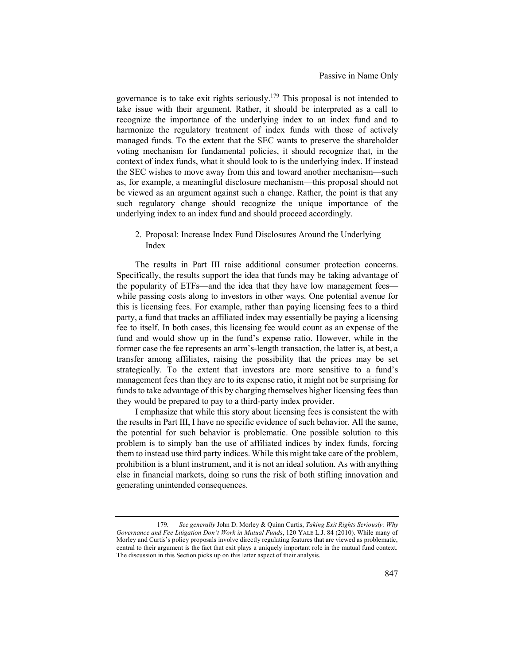governance is to take exit rights seriously.179 This proposal is not intended to take issue with their argument. Rather, it should be interpreted as a call to recognize the importance of the underlying index to an index fund and to harmonize the regulatory treatment of index funds with those of actively managed funds. To the extent that the SEC wants to preserve the shareholder voting mechanism for fundamental policies, it should recognize that, in the context of index funds, what it should look to is the underlying index. If instead the SEC wishes to move away from this and toward another mechanism—such as, for example, a meaningful disclosure mechanism—this proposal should not be viewed as an argument against such a change. Rather, the point is that any such regulatory change should recognize the unique importance of the underlying index to an index fund and should proceed accordingly.

2. Proposal: Increase Index Fund Disclosures Around the Underlying Index

The results in Part III raise additional consumer protection concerns. Specifically, the results support the idea that funds may be taking advantage of the popularity of ETFs—and the idea that they have low management fees while passing costs along to investors in other ways. One potential avenue for this is licensing fees. For example, rather than paying licensing fees to a third party, a fund that tracks an affiliated index may essentially be paying a licensing fee to itself. In both cases, this licensing fee would count as an expense of the fund and would show up in the fund's expense ratio. However, while in the former case the fee represents an arm's-length transaction, the latter is, at best, a transfer among affiliates, raising the possibility that the prices may be set strategically. To the extent that investors are more sensitive to a fund's management fees than they are to its expense ratio, it might not be surprising for funds to take advantage of this by charging themselves higher licensing fees than they would be prepared to pay to a third-party index provider.

I emphasize that while this story about licensing fees is consistent the with the results in Part III, I have no specific evidence of such behavior. All the same, the potential for such behavior is problematic. One possible solution to this problem is to simply ban the use of affiliated indices by index funds, forcing them to instead use third party indices. While this might take care of the problem, prohibition is a blunt instrument, and it is not an ideal solution. As with anything else in financial markets, doing so runs the risk of both stifling innovation and generating unintended consequences.

<sup>179</sup>*. See generally* John D. Morley & Quinn Curtis, *Taking Exit Rights Seriously: Why Governance and Fee Litigation Don't Work in Mutual Funds*, 120 YALE L.J. 84 (2010). While many of Morley and Curtis's policy proposals involve directly regulating features that are viewed as problematic, central to their argument is the fact that exit plays a uniquely important role in the mutual fund context. The discussion in this Section picks up on this latter aspect of their analysis.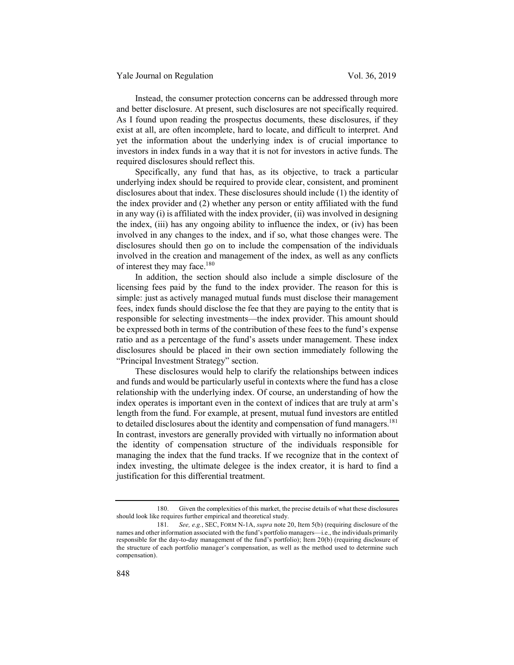Instead, the consumer protection concerns can be addressed through more and better disclosure. At present, such disclosures are not specifically required. As I found upon reading the prospectus documents, these disclosures, if they exist at all, are often incomplete, hard to locate, and difficult to interpret. And yet the information about the underlying index is of crucial importance to investors in index funds in a way that it is not for investors in active funds. The required disclosures should reflect this.

Specifically, any fund that has, as its objective, to track a particular underlying index should be required to provide clear, consistent, and prominent disclosures about that index. These disclosures should include (1) the identity of the index provider and (2) whether any person or entity affiliated with the fund in any way (i) is affiliated with the index provider, (ii) was involved in designing the index, (iii) has any ongoing ability to influence the index, or (iv) has been involved in any changes to the index, and if so, what those changes were. The disclosures should then go on to include the compensation of the individuals involved in the creation and management of the index, as well as any conflicts of interest they may face.<sup>180</sup>

In addition, the section should also include a simple disclosure of the licensing fees paid by the fund to the index provider. The reason for this is simple: just as actively managed mutual funds must disclose their management fees, index funds should disclose the fee that they are paying to the entity that is responsible for selecting investments—the index provider. This amount should be expressed both in terms of the contribution of these fees to the fund's expense ratio and as a percentage of the fund's assets under management. These index disclosures should be placed in their own section immediately following the "Principal Investment Strategy" section.

These disclosures would help to clarify the relationships between indices and funds and would be particularly useful in contexts where the fund has a close relationship with the underlying index. Of course, an understanding of how the index operates is important even in the context of indices that are truly at arm's length from the fund. For example, at present, mutual fund investors are entitled to detailed disclosures about the identity and compensation of fund managers.<sup>181</sup> In contrast, investors are generally provided with virtually no information about the identity of compensation structure of the individuals responsible for managing the index that the fund tracks. If we recognize that in the context of index investing, the ultimate delegee is the index creator, it is hard to find a justification for this differential treatment.

<sup>180.</sup> Given the complexities of this market, the precise details of what these disclosures should look like requires further empirical and theoretical study.

<sup>181</sup>*. See, e.g.*, SEC, FORM N-1A, *supra* note 20, Item 5(b) (requiring disclosure of the names and other information associated with the fund's portfolio managers—i.e., the individuals primarily responsible for the day-to-day management of the fund's portfolio); Item 20(b) (requiring disclosure of the structure of each portfolio manager's compensation, as well as the method used to determine such compensation).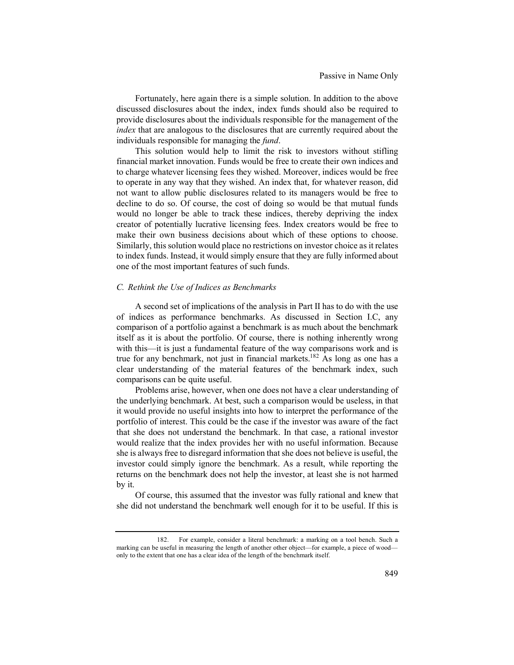Fortunately, here again there is a simple solution. In addition to the above discussed disclosures about the index, index funds should also be required to provide disclosures about the individuals responsible for the management of the *index* that are analogous to the disclosures that are currently required about the individuals responsible for managing the *fund*.

This solution would help to limit the risk to investors without stifling financial market innovation. Funds would be free to create their own indices and to charge whatever licensing fees they wished. Moreover, indices would be free to operate in any way that they wished. An index that, for whatever reason, did not want to allow public disclosures related to its managers would be free to decline to do so. Of course, the cost of doing so would be that mutual funds would no longer be able to track these indices, thereby depriving the index creator of potentially lucrative licensing fees. Index creators would be free to make their own business decisions about which of these options to choose. Similarly, this solution would place no restrictions on investor choice as it relates to index funds. Instead, it would simply ensure that they are fully informed about one of the most important features of such funds.

#### *C. Rethink the Use of Indices as Benchmarks*

A second set of implications of the analysis in Part II has to do with the use of indices as performance benchmarks. As discussed in Section I.C, any comparison of a portfolio against a benchmark is as much about the benchmark itself as it is about the portfolio. Of course, there is nothing inherently wrong with this—it is just a fundamental feature of the way comparisons work and is true for any benchmark, not just in financial markets.<sup>182</sup> As long as one has a clear understanding of the material features of the benchmark index, such comparisons can be quite useful.

Problems arise, however, when one does not have a clear understanding of the underlying benchmark. At best, such a comparison would be useless, in that it would provide no useful insights into how to interpret the performance of the portfolio of interest. This could be the case if the investor was aware of the fact that she does not understand the benchmark. In that case, a rational investor would realize that the index provides her with no useful information. Because she is always free to disregard information that she does not believe is useful, the investor could simply ignore the benchmark. As a result, while reporting the returns on the benchmark does not help the investor, at least she is not harmed by it.

Of course, this assumed that the investor was fully rational and knew that she did not understand the benchmark well enough for it to be useful. If this is

<sup>182.</sup> For example, consider a literal benchmark: a marking on a tool bench. Such a marking can be useful in measuring the length of another other object—for example, a piece of wood only to the extent that one has a clear idea of the length of the benchmark itself.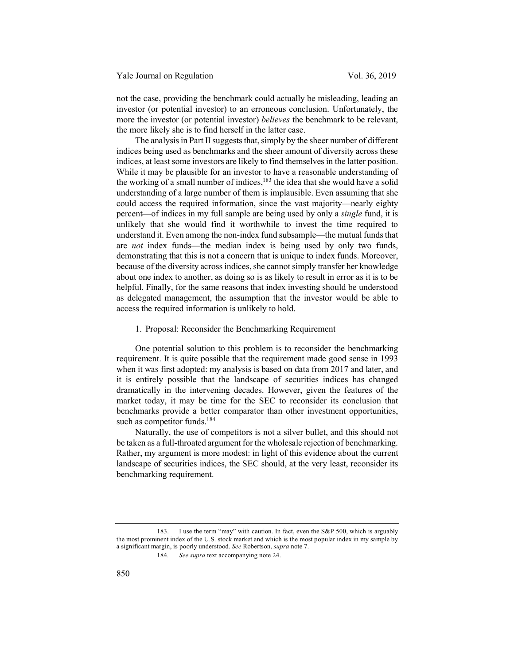not the case, providing the benchmark could actually be misleading, leading an investor (or potential investor) to an erroneous conclusion. Unfortunately, the more the investor (or potential investor) *believes* the benchmark to be relevant, the more likely she is to find herself in the latter case.

The analysis in Part II suggests that, simply by the sheer number of different indices being used as benchmarks and the sheer amount of diversity across these indices, at least some investors are likely to find themselves in the latter position. While it may be plausible for an investor to have a reasonable understanding of the working of a small number of indices, $183$  the idea that she would have a solid understanding of a large number of them is implausible. Even assuming that she could access the required information, since the vast majority—nearly eighty percent—of indices in my full sample are being used by only a *single* fund, it is unlikely that she would find it worthwhile to invest the time required to understand it. Even among the non-index fund subsample—the mutual funds that are *not* index funds—the median index is being used by only two funds, demonstrating that this is not a concern that is unique to index funds. Moreover, because of the diversity across indices, she cannot simply transfer her knowledge about one index to another, as doing so is as likely to result in error as it is to be helpful. Finally, for the same reasons that index investing should be understood as delegated management, the assumption that the investor would be able to access the required information is unlikely to hold.

1. Proposal: Reconsider the Benchmarking Requirement

One potential solution to this problem is to reconsider the benchmarking requirement. It is quite possible that the requirement made good sense in 1993 when it was first adopted: my analysis is based on data from 2017 and later, and it is entirely possible that the landscape of securities indices has changed dramatically in the intervening decades. However, given the features of the market today, it may be time for the SEC to reconsider its conclusion that benchmarks provide a better comparator than other investment opportunities, such as competitor funds.<sup>184</sup>

Naturally, the use of competitors is not a silver bullet, and this should not be taken as a full-throated argument for the wholesale rejection of benchmarking. Rather, my argument is more modest: in light of this evidence about the current landscape of securities indices, the SEC should, at the very least, reconsider its benchmarking requirement.

<sup>183.</sup> I use the term "may" with caution. In fact, even the S&P 500, which is arguably the most prominent index of the U.S. stock market and which is the most popular index in my sample by a significant margin, is poorly understood. *See* Robertson, *supra* note 7.

<sup>184</sup>*. See supra* text accompanying note 24.